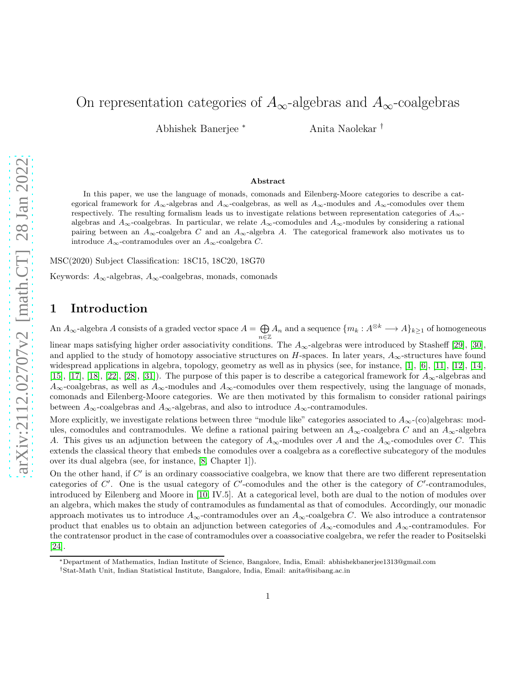# arXiv:2112.02707v2 [math.CT] 28 Jan 2022 [arXiv:2112.02707v2 \[math.CT\] 28 Jan 2022](http://arxiv.org/abs/2112.02707v2)

# On representation categories of  $A_{\infty}$ -algebras and  $A_{\infty}$ -coalgebras

Abhishek Banerjee <sup>∗</sup> Anita Naolekar †

### Abstract

In this paper, we use the language of monads, comonads and Eilenberg-Moore categories to describe a categorical framework for  $A_{\infty}$ -algebras and  $A_{\infty}$ -coalgebras, as well as  $A_{\infty}$ -modules and  $A_{\infty}$ -comodules over them respectively. The resulting formalism leads us to investigate relations between representation categories of  $A_{\infty}$ algebras and  $A_{\infty}$ -coalgebras. In particular, we relate  $A_{\infty}$ -comodules and  $A_{\infty}$ -modules by considering a rational pairing between an  $A_{\infty}$ -coalgebra C and an  $A_{\infty}$ -algebra A. The categorical framework also motivates us to introduce  $A_{\infty}$ -contramodules over an  $A_{\infty}$ -coalgebra C.

MSC(2020) Subject Classification: 18C15, 18C20, 18G70

Keywords:  $A_{\infty}$ -algebras,  $A_{\infty}$ -coalgebras, monads, comonads

### 1 Introduction

An  $A_{\infty}$ -algebra A consists of a graded vector space  $A = \bigoplus$  $\bigoplus_{n\in\mathbb{Z}}A_n$  and a sequence  $\{m_k: A^{\otimes k}\longrightarrow A\}_{k\geq 1}$  of homogeneous

linear maps satisfying higher order associativity conditions. The  $A_{\infty}$ -algebras were introduced by Stasheff [\[29\]](#page-29-0), [\[30\]](#page-29-1), and applied to the study of homotopy associative structures on H-spaces. In later years,  $A_{\infty}$ -structures have found widespread applications in algebra, topology, geometry as well as in physics (see, for instance, [\[1\]](#page-28-0), [\[6\]](#page-28-1), [\[11\]](#page-29-2), [\[12\]](#page-29-3), [\[14\]](#page-29-4), [\[15\]](#page-29-5), [\[17\]](#page-29-6), [\[18\]](#page-29-7), [\[22\]](#page-29-8), [\[28\]](#page-29-9), [\[31\]](#page-29-10)). The purpose of this paper is to describe a categorical framework for  $A_{\infty}$ -algebras and  $A_{\infty}$ -coalgebras, as well as  $A_{\infty}$ -modules and  $A_{\infty}$ -comodules over them respectively, using the language of monads, comonads and Eilenberg-Moore categories. We are then motivated by this formalism to consider rational pairings between  $A_{\infty}$ -coalgebras and  $A_{\infty}$ -algebras, and also to introduce  $A_{\infty}$ -contramodules.

More explicitly, we investigate relations between three "module like" categories associated to  $A_{\infty}$ -(co)algebras: modules, comodules and contramodules. We define a rational pairing between an  $A_{\infty}$ -coalgebra C and an  $A_{\infty}$ -algebra A. This gives us an adjunction between the category of  $A_{\infty}$ -modules over A and the  $A_{\infty}$ -comodules over C. This extends the classical theory that embeds the comodules over a coalgebra as a coreflective subcategory of the modules over its dual algebra (see, for instance, [\[8,](#page-29-11) Chapter 1]).

On the other hand, if  $C'$  is an ordinary coassociative coalgebra, we know that there are two different representation categories of  $C'$ . One is the usual category of  $C'$ -comodules and the other is the category of  $C'$ -contramodules, introduced by Eilenberg and Moore in [\[10,](#page-29-12) IV.5]. At a categorical level, both are dual to the notion of modules over an algebra, which makes the study of contramodules as fundamental as that of comodules. Accordingly, our monadic approach motivates us to introduce  $A_{\infty}$ -contramodules over an  $A_{\infty}$ -coalgebra C. We also introduce a contratensor product that enables us to obtain an adjunction between categories of  $A_{\infty}$ -comodules and  $A_{\infty}$ -contramodules. For the contratensor product in the case of contramodules over a coassociative coalgebra, we refer the reader to Positselski [\[24\]](#page-29-13).

<sup>∗</sup>Department of Mathematics, Indian Institute of Science, Bangalore, India, Email: abhishekbanerjee1313@gmail.com

<sup>†</sup>Stat-Math Unit, Indian Statistical Institute, Bangalore, India, Email: anita@isibang.ac.in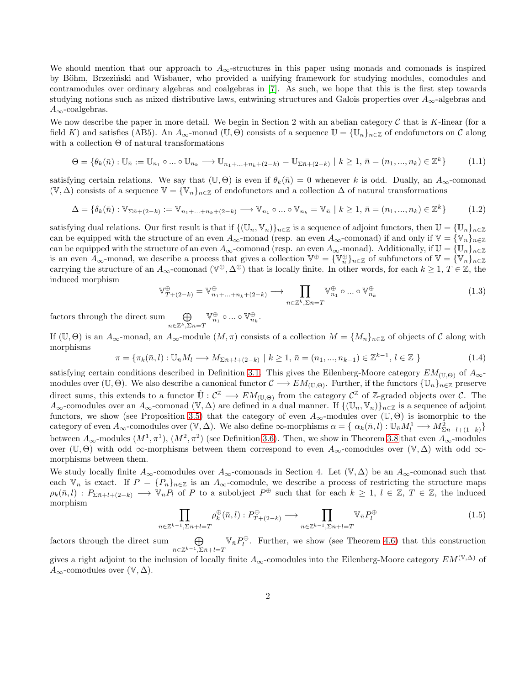We should mention that our approach to  $A_{\infty}$ -structures in this paper using monads and comonads is inspired by Böhm, Brzeziński and Wisbauer, who provided a unifying framework for studying modules, comodules and contramodules over ordinary algebras and coalgebras in [\[7\]](#page-28-2). As such, we hope that this is the first step towards studying notions such as mixed distributive laws, entwining structures and Galois properties over  $A_{\infty}$ -algebras and  $A_{\infty}$ -coalgebras.

We now describe the paper in more detail. We begin in Section 2 with an abelian category  $\mathcal C$  that is K-linear (for a field K) and satisfies (AB5). An  $A_{\infty}$ -monad (U,  $\Theta$ ) consists of a sequence  $\mathbb{U} = {\mathbb{U}_n}_{n \in \mathbb{Z}}$  of endofunctors on C along with a collection  $\Theta$  of natural transformations

$$
\Theta = \{ \theta_k(\bar{n}) : \mathbb{U}_{\bar{n}} := \mathbb{U}_{n_1} \circ \dots \circ \mathbb{U}_{n_k} \longrightarrow \mathbb{U}_{n_1 + \dots + n_k + (2-k)} = \mathbb{U}_{\Sigma \bar{n} + (2-k)} \mid k \ge 1, \, \bar{n} = (n_1, \dots, n_k) \in \mathbb{Z}^k \}
$$
(1.1)

satisfying certain relations. We say that  $(\mathbb{U}, \Theta)$  is even if  $\theta_k(\bar{n}) = 0$  whenever k is odd. Dually, an  $A_\infty$ -comonad  $(\mathbb{V}, \Delta)$  consists of a sequence  $\mathbb{V} = {\mathbb{V}_n}_{n \in \mathbb{Z}}$  of endofunctors and a collection  $\Delta$  of natural transformations

$$
\Delta = \{ \delta_k(\bar{n}) : \mathbb{V}_{\Sigma \bar{n} + (2-k)} := \mathbb{V}_{n_1 + \dots + n_k + (2-k)} \longrightarrow \mathbb{V}_{n_1} \circ \dots \circ \mathbb{V}_{n_k} = \mathbb{V}_{\bar{n}} \mid k \ge 1, \, \bar{n} = (n_1, \dots, n_k) \in \mathbb{Z}^k \}
$$
(1.2)

satisfying dual relations. Our first result is that if  $\{(U_n, V_n)\}_{n\in\mathbb{Z}}$  is a sequence of adjoint functors, then  $\mathbb{U} = \{U_n\}_{n\in\mathbb{Z}}$ can be equipped with the structure of an even  $A_{\infty}$ -monad (resp. an even  $A_{\infty}$ -comonad) if and only if  $\mathbb{V} = {\mathbb{V}_n}_{n \in \mathbb{Z}}$ can be equipped with the structure of an even  $A_{\infty}$ -comonad (resp. an even  $A_{\infty}$ -monad). Additionally, if  $\mathbb{U} = {\{\mathbb{U}_n\}}_{n \in \mathbb{Z}}$ is an even  $A_{\infty}$ -monad, we describe a process that gives a collection  $\mathbb{V}^{\oplus} = {\{\mathbb{V}_n\}}_{n \in \mathbb{Z}}$  of subfunctors of  $\mathbb{V} = {\{\mathbb{V}_n\}}_{n \in \mathbb{Z}}$ carrying the structure of an  $A_{\infty}$ -comonad  $(\mathbb{V}^{\oplus}, \Delta^{\oplus})$  that is locally finite. In other words, for each  $k \geq 1, T \in \mathbb{Z}$ , the induced morphism

$$
\mathbb{V}_{T+(2-k)}^{\oplus} = \mathbb{V}_{n_1+\ldots+n_k+(2-k)}^{\oplus} \longrightarrow \prod_{\bar{n}\in\mathbb{Z}^k, \Sigma\bar{n}=T} \mathbb{V}_{n_1}^{\oplus} \circ \ldots \circ \mathbb{V}_{n_k}^{\oplus} \tag{1.3}
$$

factors through the direct sum  $\bigoplus$  $\bar{n} \in \mathbb{Z}^k, \Sigma \bar{n} = T$  $\mathbb{V}_{n_1}^{\oplus} \circ ... \circ \mathbb{V}_{n_k}^{\oplus}.$ 

If  $(\mathbb{U}, \Theta)$  is an  $A_{\infty}$ -monad, an  $A_{\infty}$ -module  $(M, \pi)$  consists of a collection  $M = \{M_n\}_{n \in \mathbb{Z}}$  of objects of C along with morphisms

$$
\pi = \{ \pi_k(\bar{n}, l) : \mathbb{U}_{\bar{n}} M_l \longrightarrow M_{\Sigma \bar{n} + l + (2 - k)} \mid k \ge 1, \, \bar{n} = (n_1, ..., n_{k-1}) \in \mathbb{Z}^{k-1}, \, l \in \mathbb{Z} \}
$$
\n
$$
(1.4)
$$

satisfying certain conditions described in Definition [3.1.](#page-7-0) This gives the Eilenberg-Moore category  $EM_{(\mathbb{U},\Theta)}$  of  $A_{\infty}$ modules over  $(\mathbb{U}, \Theta)$ . We also describe a canonical functor  $\mathcal{C} \longrightarrow EM_{(\mathbb{U}, \Theta)}$ . Further, if the functors  $\{\mathbb{U}_n\}_{n\in\mathbb{Z}}$  preserve direct sums, this extends to a functor  $\hat{\mathbb{U}}: \mathcal{C}^{\mathbb{Z}} \longrightarrow EM_{(\mathbb{U}, \Theta)}$  from the category  $\mathcal{C}^{\mathbb{Z}}$  of Z-graded objects over  $\mathcal{C}$ . The  $A_{\infty}$ -comodules over an  $A_{\infty}$ -comonad (V,  $\Delta$ ) are defined in a dual manner. If  $\{(\mathbb{U}_n, \mathbb{V}_n)\}_{n\in\mathbb{Z}}$  is a sequence of adjoint functors, we show (see Proposition [3.5\)](#page-9-0) that the category of even  $A_{\infty}$ -modules over  $(\mathbb{U},\Theta)$  is isomorphic to the category of even  $A_{\infty}$ -comodules over  $(\mathbb{V}, \Delta)$ . We also define  $\infty$ -morphisms  $\alpha = \{\alpha_k(\bar{n}, l) : \mathbb{U}_{\bar{n}}M_l^1 \longrightarrow M_{\Sigma \bar{n}+l+(1-k)}^2\}$ between  $A_{\infty}$ -modules  $(M^1, \pi^1)$ ,  $(M^2, \pi^2)$  (see Definition [3.6\)](#page-11-0). Then, we show in Theorem [3.8](#page-12-0) that even  $A_{\infty}$ -modules over (U, Θ) with odd  $\infty$ -morphisms between them correspond to even  $A_{\infty}$ -comodules over (V, Δ) with odd  $\infty$ morphisms between them.

We study locally finite  $A_{\infty}$ -comodules over  $A_{\infty}$ -comonads in Section 4. Let  $(\mathbb{V}, \Delta)$  be an  $A_{\infty}$ -comonad such that each  $V_n$  is exact. If  $P = \{P_n\}_{n \in \mathbb{Z}}$  is an  $A_\infty$ -comodule, we describe a process of restricting the structure maps  $\rho_k(\bar{n}, l) : P_{\Sigma \bar{n}+l+(2-k)} \longrightarrow \bar{\mathbb{V}}_{\bar{n}} P_l$  of P to a subobject  $P^{\oplus}$  such that for each  $k \geq 1, l \in \mathbb{Z}, T \in \mathbb{Z}$ , the induced morphism

$$
\prod_{\bar{n}\in\mathbb{Z}^{k-1},\Sigma\bar{n}+l=T}\rho_k^{\oplus}(\bar{n},l):P_{T+(2-k)}^{\oplus}\longrightarrow\prod_{\bar{n}\in\mathbb{Z}^{k-1},\Sigma\bar{n}+l=T}\mathbb{V}_{\bar{n}}P_l^{\oplus}\tag{1.5}
$$

factors through the direct sum  $\bar{n} \in \mathbb{Z}^{k-1}, \Sigma \bar{n}+l=T$  $\mathbb{V}_{\bar{n}}P_t^{\oplus}$ . Further, we show (see Theorem [4.6\)](#page-16-0) that this construction gives a right adjoint to the inclusion of locally finite  $A_{\infty}$ -comodules into the Eilenberg-Moore category  $EM^{(\mathbb{V}, \Delta)}$  of  $A_{\infty}$ -comodules over  $(\mathbb{V}, \Delta)$ .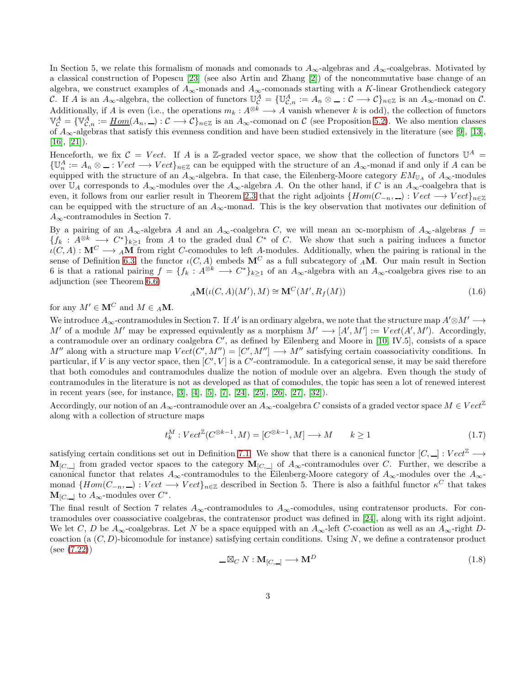In Section 5, we relate this formalism of monads and comonads to  $A_{\infty}$ -algebras and  $A_{\infty}$ -coalgebras. Motivated by a classical construction of Popescu [\[23\]](#page-29-14) (see also Artin and Zhang [\[2\]](#page-28-3)) of the noncommutative base change of an algebra, we construct examples of  $A_{\infty}$ -monads and  $A_{\infty}$ -comonads starting with a K-linear Grothendieck category C. If A is an  $A_{\infty}$ -algebra, the collection of functors  $\mathbb{U}_{\mathcal{C}}^A = \{\mathbb{U}_{\mathcal{C},n}^A := A_n \otimes \dots \in \mathcal{C} \longrightarrow \mathcal{C}\}_{n \in \mathbb{Z}}$  is an  $A_{\infty}$ -monad on  $\mathcal{C}$ . Additionally, if A is even (i.e., the operations  $m_k : A^{\otimes k} \longrightarrow A$  vanish whenever k is odd), the collection of functors  $\mathbb{V}_{\mathcal{C}}^A = \{ \mathbb{V}_{\mathcal{C},n}^A := \underline{Hom}(A_n,...): \mathcal{C} \longrightarrow \mathcal{C} \}_{n \in \mathbb{Z}}$  is an  $A_\infty$ -comonad on  $\mathcal{C}$  (see Proposition [5.2\)](#page-17-0). We also mention classes of  $A_{\infty}$ -algebras that satisfy this evenness condition and have been studied extensively in the literature (see [\[9\]](#page-29-15), [\[13\]](#page-29-16),  $[16]$ ,  $[21]$ ).

Henceforth, we fix  $\mathcal{C} = Vect.$  If A is a Z-graded vector space, we show that the collection of functors  $\mathbb{U}^A$  $\{\mathbb{U}_n^A:=A_n\otimes \_ :Vect\longrightarrow Vect\}_{n\in\mathbb{Z}}$  can be equipped with the structure of an  $A_\infty$ -monad if and only if A can be equipped with the structure of an  $A_{\infty}$ -algebra. In that case, the Eilenberg-Moore category  $EM_{\mathbb{U}_A}$  of  $A_{\infty}$ -modules over  $\mathbb{U}_A$  corresponds to  $A_\infty$ -modules over the  $A_\infty$ -algebra A. On the other hand, if C is an  $A_\infty$ -coalgebra that is even, it follows from our earlier result in Theorem [2.3](#page-4-0) that the right adjoints  $\{Hom(C_{-n}, \_): Vect \longrightarrow Vect\}_{n\in \mathbb{Z}}$ can be equipped with the structure of an  $A_{\infty}$ -monad. This is the key observation that motivates our definition of  $A_{\infty}$ -contramodules in Section 7.

By a pairing of an  $A_{\infty}$ -algebra A and an  $A_{\infty}$ -coalgebra C, we will mean an  $\infty$ -morphism of  $A_{\infty}$ -algebras  $f =$  ${f_k : A^{\otimes k} \longrightarrow C^*}_{k\geq 1}$  from A to the graded dual  $C^*$  of C. We show that such a pairing induces a functor  $\iota(C, A) : \mathbf{M}^C \longrightarrow {}_A\mathbf{M}$  from right C-comodules to left A-modules. Additionally, when the pairing is rational in the sense of Definition [6.3,](#page-20-0) the functor  $\iota(C, A)$  embeds  $\mathbf{M}^C$  as a full subcategory of  $_A\mathbf{M}$ . Our main result in Section 6 is that a rational pairing  $f = \{f_k : A^{\otimes k} \longrightarrow C^*\}_{k\geq 1}$  of an  $A_\infty$ -algebra with an  $A_\infty$ -coalgebra gives rise to an adjunction (see Theorem [6.6\)](#page-21-0)

$$
{}_A\mathbf{M}(\iota(C,A)(M'),M) \cong \mathbf{M}^C(M',R_f(M))
$$
\n(1.6)

for any  $M' \in \mathbf{M}^C$  and  $M \in {}_A\mathbf{M}$ .

We introduce  $A_\infty$ -contramodules in Section 7. If A' is an ordinary algebra, we note that the structure map  $A'\otimes M' \longrightarrow$ M' of a module M' may be expressed equivalently as a morphism  $M' \longrightarrow [A', M'] := Vect(A', M')$ . Accordingly, a contramodule over an ordinary coalgebra  $C'$ , as defined by Eilenberg and Moore in [\[10,](#page-29-12) IV.5], consists of a space  $M''$  along with a structure map  $Vect(C', M'') = [C', M''] \longrightarrow M''$  satisfying certain coassociativity conditions. In particular, if V is any vector space, then  $[C', V]$  is a  $C'$ -contramodule. In a categorical sense, it may be said therefore that both comodules and contramodules dualize the notion of module over an algebra. Even though the study of contramodules in the literature is not as developed as that of comodules, the topic has seen a lot of renewed interest in recent years (see, for instance, [\[3\]](#page-28-4), [\[4\]](#page-28-5), [\[5\]](#page-28-6), [\[7\]](#page-28-2), [\[24\]](#page-29-13), [\[25\]](#page-29-19), [\[26\]](#page-29-20), [\[27\]](#page-29-21), [\[32\]](#page-29-22)).

Accordingly, our notion of an  $A_{\infty}$ -contramodule over an  $A_{\infty}$ -coalgebra C consists of a graded vector space  $M \in Vect^{\mathbb{Z}}$ along with a collection of structure maps

$$
t_k^M : Vect^{\mathbb{Z}}(C^{\otimes k-1}, M) = [C^{\otimes k-1}, M] \longrightarrow M \qquad k \ge 1
$$
\n
$$
(1.7)
$$

satisfying certain conditions set out in Definition [7.1.](#page-22-0) We show that there is a canonical functor  $[C, \_] : Vect^{\mathbb{Z}} \longrightarrow$  $M_{[C,\_\]}$  from graded vector spaces to the category  $M_{[C,\_\]}$  of  $A_{\infty}$ -contramodules over C. Further, we describe a canonical functor that relates  $A_{\infty}$ -contramodules to the Eilenberg-Moore category of  $A_{\infty}$ -modules over the  $A_{\infty}$ monad  ${Hom(C_{-n}, \_\_\}) : Vect \longrightarrow Vect\}_{n \in \mathbb{Z}}$  described in Section 5. There is also a faithful functor  $\kappa^C$  that takes  $\mathbf{M}_{[C,\_\]}$  to  $A_\infty$ -modules over  $C^*$ .

The final result of Section 7 relates  $A_{\infty}$ -contramodules to  $A_{\infty}$ -comodules, using contratensor products. For contramodules over coassociative coalgebras, the contratensor product was defined in [\[24\]](#page-29-13), along with its right adjoint. We let C, D be  $A_{\infty}$ -coalgebras. Let N be a space equipped with an  $A_{\infty}$ -left C-coaction as well as an  $A_{\infty}$ -right Dcoaction (a  $(C, D)$ -bicomodule for instance) satisfying certain conditions. Using N, we define a contratensor product (see [\(7.22\)](#page-25-0))

$$
\_\_\boxtimes_C N: \mathbf{M}_{[C,\_\]} \longrightarrow \mathbf{M}^D \tag{1.8}
$$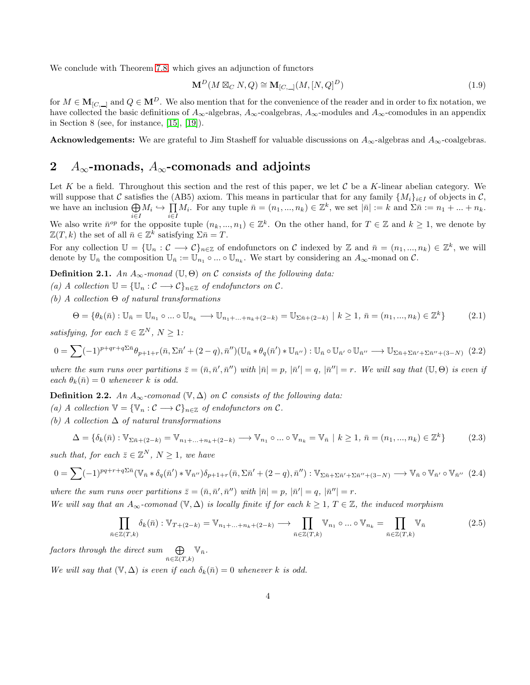We conclude with Theorem [7.8,](#page-26-0) which gives an adjunction of functors

$$
\mathbf{M}^{D}(M \boxtimes_{C} N,Q) \cong \mathbf{M}_{[C,\perp]}(M,[N,Q]^{D})
$$
\n(1.9)

for  $M \in \mathbf{M}_{[C,\perp]}$  and  $Q \in \mathbf{M}^D$ . We also mention that for the convenience of the reader and in order to fix notation, we have collected the basic definitions of  $A_{\infty}$ -algebras,  $A_{\infty}$ -coalgebras,  $A_{\infty}$ -modules and  $A_{\infty}$ -comodules in an appendix in Section 8 (see, for instance, [\[15\]](#page-29-5), [\[19\]](#page-29-23)).

**Acknowledgements:** We are grateful to Jim Stasheff for valuable discussions on  $A_{\infty}$ -algebras and  $A_{\infty}$ -coalgebras.

## 2  $A_{\infty}$ -monads,  $A_{\infty}$ -comonads and adjoints

Let K be a field. Throughout this section and the rest of this paper, we let C be a K-linear abelian category. We will suppose that C satisfies the (AB5) axiom. This means in particular that for any family  $\{M_i\}_{i\in I}$  of objects in C, we have an inclusion  $\bigoplus M_i \hookrightarrow \prod M_i$ . For any tuple  $\bar{n} = (n_1, ..., n_k) \in \mathbb{Z}^k$ , we set  $|\bar{n}| := k$  and  $\Sigma \bar{n} := n_1 + ... + n_k$ . i∈I i∈I

We also write  $\bar{n}^{op}$  for the opposite tuple  $(n_k, ..., n_1) \in \mathbb{Z}^k$ . On the other hand, for  $T \in \mathbb{Z}$  and  $k \geq 1$ , we denote by  $\mathbb{Z}(T, k)$  the set of all  $\bar{n} \in \mathbb{Z}^k$  satisfying  $\Sigma \bar{n} = T$ .

For any collection  $\mathbb{U} = {\{\mathbb{U}_n : C \longrightarrow C\}}_{n \in \mathbb{Z}}$  of endofunctors on C indexed by  $\mathbb{Z}$  and  $\bar{n} = (n_1, ..., n_k) \in \mathbb{Z}^k$ , we will denote by  $\mathbb{U}_{\bar{n}}$  the composition  $\mathbb{U}_{\bar{n}} := \mathbb{U}_{n_1} \circ ... \circ \mathbb{U}_{n_k}$ . We start by considering an  $A_{\infty}$ -monad on  $\mathcal{C}$ .

**Definition 2.1.** *An*  $A_{\infty}$ -monad (U,  $\Theta$ ) *on* C *consists of the following data:* 

- *(a) A collection*  $\mathbb{U} = {\mathbb{U}_n : C \longrightarrow C}_{n \in \mathbb{Z}}$  *of endofunctors on*  $C$ *.*
- *(b) A collection* Θ *of natural transformations*

<span id="page-3-2"></span>
$$
\Theta = \{ \theta_k(\bar{n}) : \mathbb{U}_{\bar{n}} = \mathbb{U}_{n_1} \circ \dots \circ \mathbb{U}_{n_k} \longrightarrow \mathbb{U}_{n_1 + \dots + n_k + (2-k)} = \mathbb{U}_{\Sigma \bar{n} + (2-k)} \mid k \ge 1, \, \bar{n} = (n_1, \dots, n_k) \in \mathbb{Z}^k \}
$$
(2.1)

*satisfying, for each*  $\bar{z} \in \mathbb{Z}^N$ ,  $N \geq 1$ *:* 

<span id="page-3-0"></span>
$$
0 = \sum (-1)^{p+qr+q\sum \bar{n}} \theta_{p+1+r}(\bar{n}, \Sigma \bar{n}' + (2-q), \bar{n}'') (\mathbb{U}_{\bar{n}} * \theta_q(\bar{n}') * \mathbb{U}_{\bar{n}''}) : \mathbb{U}_{\bar{n}} \circ \mathbb{U}_{\bar{n}''} \longrightarrow \mathbb{U}_{\Sigma \bar{n}+\Sigma \bar{n}'+\Sigma \bar{n}''+(3-N)} (2.2)
$$

where the sum runs over partitions  $\bar{z} = (\bar{n}, \bar{n}', \bar{n}'')$  with  $|\bar{n}| = p$ ,  $|\bar{n}'| = q$ ,  $|\bar{n}''| = r$ . We will say that  $(\mathbb{U}, \Theta)$  is even if *each*  $\theta_k(\bar{n}) = 0$  *whenever* k *is odd.* 

**Definition 2.2.** *An*  $A_{\infty}$ -comonad  $(\mathbb{V}, \Delta)$  on C consists of the following data:

- *(a) A collection*  $\mathbb{V} = {\mathbb{V}_n : C \longrightarrow C}_{n \in \mathbb{Z}}$  *of endofunctors on*  $C$ *.*
- *(b) A collection* ∆ *of natural transformations*

$$
\Delta = \{ \delta_k(\bar{n}) : \mathbb{V}_{\Sigma \bar{n} + (2-k)} = \mathbb{V}_{n_1 + \dots + n_k + (2-k)} \longrightarrow \mathbb{V}_{n_1} \circ \dots \circ \mathbb{V}_{n_k} = \mathbb{V}_{\bar{n}} \mid k \ge 1, \ \bar{n} = (n_1, \dots, n_k) \in \mathbb{Z}^k \}
$$
(2.3)

*such that, for each*  $\bar{z} \in \mathbb{Z}^N$ ,  $N \geq 1$ *, we have* 

<span id="page-3-1"></span>
$$
0 = \sum (-1)^{pq+r+q\sum \bar{n}} (\mathbb{V}_{\bar{n}} * \delta_q(\bar{n}') * \mathbb{V}_{\bar{n}''}) \delta_{p+1+r}(\bar{n}, \Sigma \bar{n}' + (2-q), \bar{n}'') : \mathbb{V}_{\Sigma \bar{n}+\Sigma \bar{n}'+\Sigma \bar{n}''+(3-N)} \longrightarrow \mathbb{V}_{\bar{n}} \circ \mathbb{V}_{\bar{n}''} \quad (2.4)
$$

where the sum runs over partitions  $\bar{z} = (\bar{n}, \bar{n}', \bar{n}'')$  with  $|\bar{n}| = p$ ,  $|\bar{n}'| = q$ ,  $|\bar{n}''| = r$ .

*We will say that an*  $A_{\infty}$ -comonad  $(\mathbb{V}, \Delta)$  *is locally finite if for each*  $k \geq 1, T \in \mathbb{Z}$ *, the induced morphism* 

$$
\prod_{\bar{n}\in\mathbb{Z}(T,k)} \delta_k(\bar{n}) : \mathbb{V}_{T+(2-k)} = \mathbb{V}_{n_1+\ldots+n_k+(2-k)} \longrightarrow \prod_{\bar{n}\in\mathbb{Z}(T,k)} \mathbb{V}_{n_1} \circ \ldots \circ \mathbb{V}_{n_k} = \prod_{\bar{n}\in\mathbb{Z}(T,k)} \mathbb{V}_{\bar{n}} \tag{2.5}
$$

 $factors$  *through the direct sum*  $\bigoplus$  $\bigoplus_{\bar{n}\in\mathbb{Z}(T,k)}\mathbb{V}_{\bar{n}}.$ 

*We will say that*  $(\mathbb{V}, \Delta)$  *is even if each*  $\delta_k(\bar{n}) = 0$  *whenever* k *is odd.*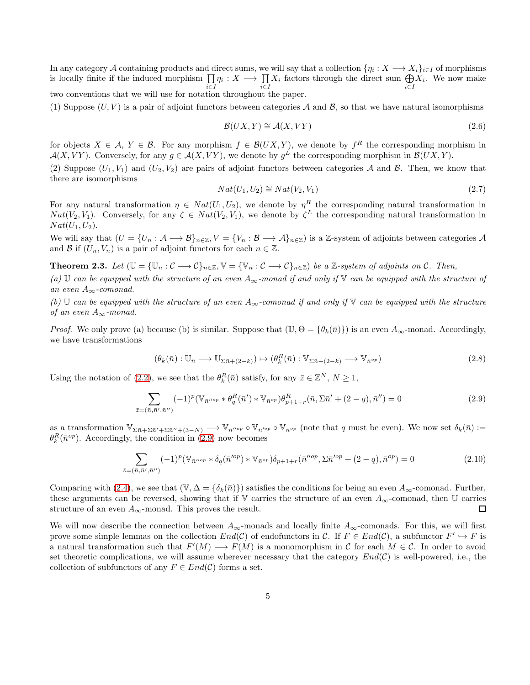In any category A containing products and direct sums, we will say that a collection  $\{\eta_i: X \longrightarrow X_i\}_{i \in I}$  of morphisms is locally finite if the induced morphism  $\prod_{i\in I} \eta_i : X \longrightarrow \prod_{i\in I} X_i$  factors through the direct sum  $\bigoplus_{i\in I} X_i$ . We now make i∈I two conventions that we will use for notation throughout the paper.

(1) Suppose  $(U, V)$  is a pair of adjoint functors between categories A and B, so that we have natural isomorphisms

$$
\mathcal{B}(UX, Y) \cong \mathcal{A}(X, VY) \tag{2.6}
$$

for objects  $X \in \mathcal{A}, Y \in \mathcal{B}$ . For any morphism  $f \in \mathcal{B}(UX, Y)$ , we denote by  $f^R$  the corresponding morphism in  $\mathcal{A}(X, VY)$ . Conversely, for any  $g \in \mathcal{A}(X, VY)$ , we denote by  $g^L$  the corresponding morphism in  $\mathcal{B}(UX, Y)$ .

(2) Suppose  $(U_1, V_1)$  and  $(U_2, V_2)$  are pairs of adjoint functors between categories A and B. Then, we know that there are isomorphisms

$$
Nat(U_1, U_2) \cong Nat(V_2, V_1)
$$
\n
$$
(2.7)
$$

For any natural transformation  $\eta \in Nat(U_1, U_2)$ , we denote by  $\eta^R$  the corresponding natural transformation in  $Nat(V_2, V_1)$ . Conversely, for any  $\zeta \in Nat(V_2, V_1)$ , we denote by  $\zeta^L$  the corresponding natural transformation in  $Nat(U_1, U_2)$ .

We will say that  $(U = \{U_n : A \longrightarrow B\}_{n \in \mathbb{Z}}, V = \{V_n : B \longrightarrow A\}_{n \in \mathbb{Z}})$  is a Z-system of adjoints between categories A and B if  $(U_n, V_n)$  is a pair of adjoint functors for each  $n \in \mathbb{Z}$ .

<span id="page-4-0"></span>**Theorem 2.3.** Let  $(\mathbb{U} = {\{\mathbb{U}_n : C \longrightarrow C\}}_{n \in \mathbb{Z}}, \mathbb{V} = {\{\mathbb{V}_n : C \longrightarrow C\}}_{n \in \mathbb{Z}}$  be a Z-system of adjoints on C. Then,

*(a)* U *can be equipped with the structure of an even* A∞*-monad if and only if* V *can be equipped with the structure of an even* A∞*-comonad.*

*(b)* U *can be equipped with the structure of an even* A∞*-comonad if and only if* V *can be equipped with the structure of an even* A∞*-monad.*

*Proof.* We only prove (a) because (b) is similar. Suppose that  $(\mathbb{U}, \Theta = {\theta_k(\bar{n})})$  is an even  $A_{\infty}$ -monad. Accordingly, we have transformations

$$
(\theta_k(\bar{n}):\mathbb{U}_{\bar{n}}\longrightarrow\mathbb{U}_{\Sigma\bar{n}+(2-k)})\mapsto(\theta_k^R(\bar{n}):\mathbb{V}_{\Sigma\bar{n}+(2-k)}\longrightarrow\mathbb{V}_{\bar{n}^{op}})
$$
\n(2.8)

Using the notation of [\(2.2\)](#page-3-0), we see that the  $\theta_k^R(\bar{n})$  satisfy, for any  $\bar{z} \in \mathbb{Z}^N$ ,  $N \ge 1$ ,

<span id="page-4-1"></span>
$$
\sum_{\bar{z}=(\bar{n},\bar{n}',\bar{n}'')} (-1)^p (\mathbb{V}_{\bar{n}''^{op}} * \theta_q^R(\bar{n}') * \mathbb{V}_{\bar{n}^{op}}) \theta_{p+1+r}^R(\bar{n}, \Sigma \bar{n}' + (2-q), \bar{n}'') = 0
$$
\n(2.9)

as a transformation  $\mathbb{V}_{\Sigma \bar{n}+\Sigma \bar{n}'+\Sigma \bar{n}''+(3-N)} \longrightarrow \mathbb{V}_{\bar{n}''^{op}} \circ \mathbb{V}_{\bar{n}^{op}}$  (note that q must be even). We now set  $\delta_k(\bar{n}) :=$  $\theta_k^R(\bar{n}^{op})$ . Accordingly, the condition in [\(2.9\)](#page-4-1) now becomes

$$
\sum_{\bar{z}=(\bar{n},\bar{n}',\bar{n}'')} (-1)^p (\mathbb{V}_{\bar{n}''^{op}} * \delta_q(\bar{n}'^{op}) * \mathbb{V}_{\bar{n}^{op}}) \delta_{p+1+r}(\bar{n}''^{op}, \Sigma \bar{n}'^{op} + (2-q), \bar{n}^{op}) = 0
$$
\n(2.10)

Comparing with [\(2.4\)](#page-3-1), we see that  $(\mathbb{V}, \Delta = {\delta_k(\bar{n})})$  satisfies the conditions for being an even  $A_{\infty}$ -comonad. Further, these arguments can be reversed, showing that if V carries the structure of an even  $A_{\infty}$ -comonad, then U carries structure of an even  $A_{\infty}$ -monad. This proves the result. 口

We will now describe the connection between  $A_{\infty}$ -monads and locally finite  $A_{\infty}$ -comonads. For this, we will first prove some simple lemmas on the collection  $End(\mathcal{C})$  of endofunctors in  $\mathcal{C}$ . If  $F \in End(\mathcal{C})$ , a subfunctor  $F' \hookrightarrow F$  is a natural transformation such that  $F'(M) \longrightarrow F(M)$  is a monomorphism in C for each  $M \in \mathcal{C}$ . In order to avoid set theoretic complications, we will assume wherever necessary that the category  $End(\mathcal{C})$  is well-powered, i.e., the collection of subfunctors of any  $F \in End(\mathcal{C})$  forms a set.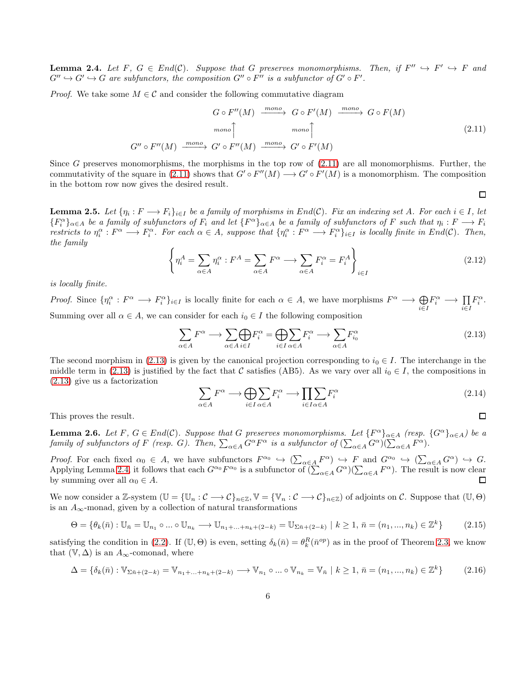<span id="page-5-2"></span>**Lemma 2.4.** Let F,  $G \in End(C)$ . Suppose that G preserves monomorphisms. Then, if  $F'' \hookrightarrow F' \hookrightarrow F$  and  $G'' \hookrightarrow G' \hookrightarrow G$  are subfunctors, the composition  $G'' \circ F''$  is a subfunctor of  $G' \circ F'$ .

*Proof.* We take some  $M \in \mathcal{C}$  and consider the following commutative diagram

<span id="page-5-0"></span>
$$
G \circ F''(M) \xrightarrow{mono} G \circ F'(M) \xrightarrow{mono} G \circ F(M)
$$
  
\n
$$
mono \uparrow \qquad mono \uparrow
$$
  
\n
$$
G'' \circ F''(M) \xrightarrow{mono} G' \circ F''(M) \xrightarrow{mono} G' \circ F'(M)
$$
\n(2.11)

Since G preserves monomorphisms, the morphisms in the top row of  $(2.11)$  are all monomorphisms. Further, the commutativity of the square in [\(2.11\)](#page-5-0) shows that  $G' \circ F''(M) \to G' \circ F'(M)$  is a monomorphism. The composition in the bottom row now gives the desired result.

<span id="page-5-5"></span>**Lemma 2.5.** Let  $\{\eta_i: F \longrightarrow F_i\}_{i\in I}$  be a family of morphisms in  $End(\mathcal{C})$ . Fix an indexing set A. For each  $i \in I$ , let  ${F_i^{\alpha}}_{\alpha \in A}$  *be a family of subfunctors of*  $F_i$  *and let*  ${F^{\alpha}}_{\alpha \in A}$  *be a family of subfunctors of*  $F$  *such that*  $\eta_i : F \longrightarrow F_i$ *restricts to*  $\eta_i^{\alpha}: F^{\alpha} \longrightarrow F_i^{\alpha}$ . For each  $\alpha \in A$ , suppose that  $\{\eta_i^{\alpha}: F^{\alpha} \longrightarrow F_i^{\alpha}\}_{i \in I}$  is locally finite in End(C). Then, *the family*

$$
\left\{\eta_i^A = \sum_{\alpha \in A} \eta_i^{\alpha} : F^A = \sum_{\alpha \in A} F^{\alpha} \longrightarrow \sum_{\alpha \in A} F_i^{\alpha} = F_i^A \right\}_{i \in I}
$$
\n(2.12)

 $\Box$ 

 $\Box$ 

*is locally finite.*

*Proof.* Since  $\{\eta_i^{\alpha}: F^{\alpha} \longrightarrow F_i^{\alpha}\}_{i \in I}$  is locally finite for each  $\alpha \in A$ , we have morphisms  $F^{\alpha} \longrightarrow \bigoplus$ i∈I  $F_i^{\alpha} \longrightarrow \prod_{i \in I}$  $F_i^{\alpha}$ . Summing over all  $\alpha \in A$ , we can consider for each  $i_0 \in I$  the following composition

<span id="page-5-1"></span>
$$
\sum_{\alpha \in A} F^{\alpha} \longrightarrow \sum_{\alpha \in A} \bigoplus_{i \in I} F_i^{\alpha} = \bigoplus_{i \in I} \sum_{\alpha \in A} F_i^{\alpha} \longrightarrow \sum_{\alpha \in A} F_{i_0}^{\alpha} \tag{2.13}
$$

The second morphism in [\(2.13\)](#page-5-1) is given by the canonical projection corresponding to  $i_0 \in I$ . The interchange in the middle term in [\(2.13\)](#page-5-1) is justified by the fact that C satisfies (AB5). As we vary over all  $i_0 \in I$ , the compositions in [\(2.13\)](#page-5-1) give us a factorization

$$
\sum_{\alpha \in A} F^{\alpha} \longrightarrow \bigoplus_{i \in I} \sum_{\alpha \in A} F_i^{\alpha} \longrightarrow \prod_{i \in I} \sum_{\alpha \in A} F_i^{\alpha} \tag{2.14}
$$

This proves the result.

<span id="page-5-4"></span>**Lemma 2.6.** *Let*  $F, G \in End(C)$ *. Suppose that* G *preserves monomorphisms. Let*  $\{F^{\alpha}\}_{\alpha \in A}$  (resp.  $\{G^{\alpha}\}_{\alpha \in A}$ ) be a *family of subfunctors of* F *(resp.* G). Then,  $\sum_{\alpha \in A} G^{\alpha} F^{\alpha}$  *is a subfunctor of*  $(\sum_{\alpha \in A} G^{\alpha})(\sum_{\alpha \in A} F^{\alpha})$ .

*Proof.* For each fixed  $\alpha_0 \in A$ , we have subfunctors  $F^{\alpha_0} \hookrightarrow (\sum_{\alpha \in A} F^{\alpha}) \hookrightarrow F$  and  $G^{\alpha_0} \hookrightarrow (\sum_{\alpha \in A} G^{\alpha}) \hookrightarrow G$ . Applying Lemma [2.4,](#page-5-2) it follows that each  $G^{\alpha_0}F^{\alpha_0}$  is a subfunctor of  $(\sum_{\alpha\in A}G^{\alpha})(\sum_{\alpha\in A}F^{\alpha})$ . The result is now clear by summing over all  $\alpha_0 \in A$ . □

We now consider a Z-system  $(\mathbb{U} = {\{\mathbb{U}_n : C \longrightarrow C\}}_{n \in \mathbb{Z}}, \mathbb{V} = {\{\mathbb{V}_n : C \longrightarrow C\}}_{n \in \mathbb{Z}})$  of adjoints on C. Suppose that  $(\mathbb{U}, \Theta)$ is an  $A_{\infty}$ -monad, given by a collection of natural transformations

$$
\Theta = \{ \theta_k(\bar{n}) : \mathbb{U}_{\bar{n}} = \mathbb{U}_{n_1} \circ \dots \circ \mathbb{U}_{n_k} \longrightarrow \mathbb{U}_{n_1 + \dots + n_k + (2-k)} = \mathbb{U}_{\Sigma \bar{n} + (2-k)} \mid k \ge 1, \, \bar{n} = (n_1, \dots, n_k) \in \mathbb{Z}^k \}
$$
(2.15)

satisfying the condition in [\(2.2\)](#page-3-0). If  $(\mathbb{U}, \Theta)$  is even, setting  $\delta_k(\bar{n}) = \theta_k^R(\bar{n}^{op})$  as in the proof of Theorem [2.3,](#page-4-0) we know that  $(\mathbb{V}, \Delta)$  is an  $A_{\infty}$ -comonad, where

<span id="page-5-3"></span>
$$
\Delta = \{\delta_k(\bar{n}) : \mathbb{V}_{\Sigma \bar{n} + (2-k)} = \mathbb{V}_{n_1 + \dots + n_k + (2-k)} \longrightarrow \mathbb{V}_{n_1} \circ \dots \circ \mathbb{V}_{n_k} = \mathbb{V}_{\bar{n}} \mid k \ge 1, \, \bar{n} = (n_1, \dots, n_k) \in \mathbb{Z}^k\}
$$
(2.16)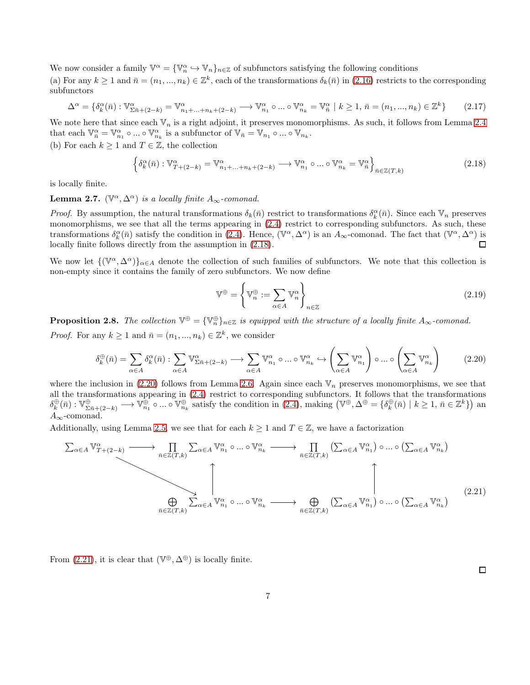We now consider a family  $\mathbb{V}^{\alpha} = {\mathbb{V}_{n}^{\alpha} \hookrightarrow \mathbb{V}_{n}}_{n \in \mathbb{Z}}$  of subfunctors satisfying the following conditions

(a) For any  $k \ge 1$  and  $\bar{n} = (n_1, ..., n_k) \in \mathbb{Z}^k$ , each of the transformations  $\delta_k(\bar{n})$  in  $(2.16)$  restricts to the corresponding subfunctors

$$
\Delta^{\alpha} = \{\delta_k^{\alpha}(\bar{n}) : \mathbb{V}_{\Sigma \bar{n} + (2-k)}^{\alpha} = \mathbb{V}_{n_1 + \dots + n_k + (2-k)}^{\alpha} \longrightarrow \mathbb{V}_{n_1}^{\alpha} \circ \dots \circ \mathbb{V}_{n_k}^{\alpha} = \mathbb{V}_{\bar{n}}^{\alpha} \mid k \ge 1, \, \bar{n} = (n_1, \dots, n_k) \in \mathbb{Z}^k \}
$$
(2.17)

We note here that since each  $\mathbb{V}_n$  is a right adjoint, it preserves monomorphisms. As such, it follows from Lemma [2.4](#page-5-2) that each  $\mathbb{V}_{\bar{n}}^{\alpha} = \mathbb{V}_{n_1}^{\alpha} \circ ... \circ \mathbb{V}_{n_k}^{\alpha}$  is a subfunctor of  $\mathbb{V}_{\bar{n}} = \mathbb{V}_{n_1} \circ ... \circ \mathbb{V}_{n_k}$ .

(b) For each  $k \geq 1$  and  $T \in \mathbb{Z}$ , the collection

<span id="page-6-0"></span>
$$
\left\{ \delta_k^{\alpha}(\bar{n}) : \mathbb{V}_{T+(2-k)}^{\alpha} = \mathbb{V}_{n_1+\dots+n_k+(2-k)}^{\alpha} \longrightarrow \mathbb{V}_{n_1}^{\alpha} \circ \dots \circ \mathbb{V}_{n_k}^{\alpha} = \mathbb{V}_{\bar{n}}^{\alpha} \right\}_{\bar{n} \in \mathbb{Z}(T,k)} \tag{2.18}
$$

is locally finite.

**Lemma 2.7.**  $(\mathbb{V}^{\alpha}, \Delta^{\alpha})$  *is a locally finite*  $A_{\infty}$ -comonad.

*Proof.* By assumption, the natural transformations  $\delta_k(\bar{n})$  restrict to transformations  $\delta_k^{\alpha}(\bar{n})$ . Since each  $\mathbb{V}_n$  preserves monomorphisms, we see that all the terms appearing in [\(2.4\)](#page-3-1) restrict to corresponding subfunctors. As such, these transformations  $\delta_k^{\alpha}(\bar{n})$  satisfy the condition in [\(2.4\)](#page-3-1). Hence,  $(\mathbb{V}^{\alpha}, \Delta^{\alpha})$  is an  $A_{\infty}$ -comonad. The fact that  $(\mathbb{V}^{\alpha}, \Delta^{\alpha})$  is locally finite follows directly from the assumption in [\(2.18\)](#page-6-0).  $\Box$ 

We now let  $\{(\mathbb{V}^{\alpha}, \Delta^{\alpha})\}_{\alpha \in A}$  denote the collection of such families of subfunctors. We note that this collection is non-empty since it contains the family of zero subfunctors. We now define

<span id="page-6-3"></span>
$$
\mathbb{V}^{\oplus} = \left\{ \mathbb{V}_n^{\oplus} := \sum_{\alpha \in A} \mathbb{V}_n^{\alpha} \right\}_{n \in \mathbb{Z}} \tag{2.19}
$$

**Proposition 2.8.** The collection  $\mathbb{V}^{\oplus} = {\mathbb{V}_{n}^{\oplus}}_{n \in \mathbb{Z}}$  is equipped with the structure of a locally finite  $A_{\infty}$ -comonad. *Proof.* For any  $k \geq 1$  and  $\bar{n} = (n_1, ..., n_k) \in \mathbb{Z}^k$ , we consider

<span id="page-6-1"></span>
$$
\delta_k^{\oplus}(\bar{n}) = \sum_{\alpha \in A} \delta_k^{\alpha}(\bar{n}) : \sum_{\alpha \in A} \mathbb{V}^{\alpha}_{\Sigma \bar{n} + (2-k)} \longrightarrow \sum_{\alpha \in A} \mathbb{V}^{\alpha}_{n_1} \circ \dots \circ \mathbb{V}^{\alpha}_{n_k} \hookrightarrow \left(\sum_{\alpha \in A} \mathbb{V}^{\alpha}_{n_1}\right) \circ \dots \circ \left(\sum_{\alpha \in A} \mathbb{V}^{\alpha}_{n_k}\right) \tag{2.20}
$$

where the inclusion in [\(2.20\)](#page-6-1) follows from Lemma [2.6.](#page-5-4) Again since each  $V_n$  preserves monomorphisms, we see that all the transformations appearing in [\(2.4\)](#page-3-1) restrict to corresponding subfunctors. It follows that the transformations  $\delta_k^{\oplus}(\bar{n}) : \mathbb{V}_{\Sigma \bar{n}+(2-k)}^{\oplus} \longrightarrow \mathbb{V}_{n_1}^{\oplus} \circ ... \circ \mathbb{V}_{n_k}^{\oplus}$  satisfy the condition in  $(2.4)$ , making  $(\mathbb{V}^{\oplus}, \Delta^{\oplus} = {\delta_k^{\oplus}}(\bar{n}) \mid k \geq 1, \bar{n} \in \mathbb{Z}^k)$  and  $A_{\infty}$ -comonad.

Additionally, using Lemma [2.5,](#page-5-5) we see that for each  $k \geq 1$  and  $T \in \mathbb{Z}$ , we have a factorization

<span id="page-6-2"></span>
$$
\sum_{\alpha \in A} \mathbb{V}_{T+(2-k)}^{\alpha} \longrightarrow \prod_{\bar{n} \in \mathbb{Z}(T,k)} \sum_{\alpha \in A} \mathbb{V}_{n_1}^{\alpha} \circ \dots \circ \mathbb{V}_{n_k}^{\alpha} \longrightarrow \prod_{\bar{n} \in \mathbb{Z}(T,k)} \left( \sum_{\alpha \in A} \mathbb{V}_{n_1}^{\alpha} \right) \circ \dots \circ \left( \sum_{\alpha \in A} \mathbb{V}_{n_k}^{\alpha} \right)
$$
\n
$$
\downarrow \qquad \qquad \downarrow \qquad \qquad \downarrow \qquad \qquad \downarrow \qquad \qquad \downarrow \qquad \qquad \downarrow \qquad \qquad \downarrow \qquad \qquad \downarrow \qquad \qquad \downarrow \qquad \qquad \downarrow \qquad \qquad \downarrow \qquad \qquad \downarrow \qquad \qquad \downarrow \qquad \qquad \downarrow \qquad \qquad \downarrow \qquad \qquad \downarrow \qquad \qquad \downarrow \qquad \qquad \downarrow \qquad \qquad \downarrow \qquad \qquad \downarrow \qquad \qquad \downarrow \qquad \qquad \downarrow \qquad \qquad \downarrow \qquad \qquad \downarrow \qquad \qquad \downarrow \qquad \qquad \downarrow \qquad \qquad \downarrow \qquad \qquad \downarrow \qquad \qquad \downarrow \qquad \qquad \downarrow \qquad \qquad \downarrow \qquad \qquad \downarrow \qquad \qquad \downarrow \qquad \qquad \downarrow \qquad \qquad \downarrow \qquad \qquad \downarrow \qquad \qquad \downarrow \qquad \qquad \downarrow \qquad \qquad \downarrow \qquad \qquad \downarrow \qquad \qquad \downarrow \qquad \qquad \downarrow \qquad \qquad \downarrow \qquad \qquad \downarrow \qquad \qquad \downarrow \qquad \qquad \downarrow \qquad \qquad \downarrow \qquad \qquad \downarrow \qquad \qquad \downarrow \qquad \qquad \downarrow \qquad \qquad \downarrow \qquad \qquad \downarrow \qquad \qquad \downarrow \qquad \qquad \downarrow \qquad \qquad \downarrow \qquad \qquad \downarrow \qquad \qquad \downarrow \qquad \qquad \downarrow \qquad \qquad \downarrow \qquad \qquad \downarrow \qquad \qquad \downarrow \qquad \qquad \downarrow \qquad \qquad \downarrow \qquad \qquad \downarrow \qquad \qquad \downarrow \qquad \
$$

From [\(2.21\)](#page-6-2), it is clear that  $(\mathbb{V}^{\oplus}, \Delta^{\oplus})$  is locally finite.

 $\Box$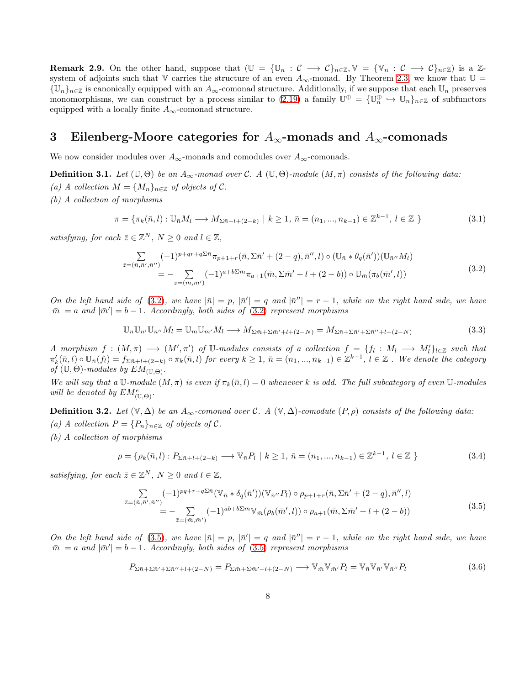**Remark 2.9.** On the other hand, suppose that  $(\mathbb{U} = {\{\mathbb{U}_n : C \longrightarrow C\}_{n \in \mathbb{Z}}, \mathbb{V} = {\{\mathbb{V}_n : C \longrightarrow C\}_{n \in \mathbb{Z}} \text{ is a } \mathbb{Z}$ system of adjoints such that V carries the structure of an even  $A_{\infty}$ -monad. By Theorem [2.3,](#page-4-0) we know that  $\mathbb{U} =$  ${\{\mathbb U}_n\}_{n\in\mathbb Z}$  is canonically equipped with an  $A_\infty$ -comonad structure. Additionally, if we suppose that each  $\mathbb U_n$  preserves monomorphisms, we can construct by a process similar to [\(2.19\)](#page-6-3) a family  $\mathbb{U}^{\oplus} = {\{\mathbb{U}_n^{\oplus} \hookrightarrow \mathbb{U}_n\}}_{n \in \mathbb{Z}}$  of subfunctors equipped with a locally finite  $A_{\infty}$ -comonad structure.

# 3 Eilenberg-Moore categories for  $A_{\infty}$ -monads and  $A_{\infty}$ -comonads

We now consider modules over  $A_{\infty}$ -monads and comodules over  $A_{\infty}$ -comonads.

<span id="page-7-0"></span>**Definition 3.1.** Let  $(\mathbb{U}, \Theta)$  be an  $A_{\infty}$ -monad over C. A  $(\mathbb{U}, \Theta)$ -module  $(M, \pi)$  consists of the following data:

- *(a) A collection*  $M = \{M_n\}_{n \in \mathbb{Z}}$  *of objects of*  $C$ *.*
- *(b) A collection of morphisms*

$$
\pi = \{ \pi_k(\bar{n}, l) : \mathbb{U}_{\bar{n}} M_l \longrightarrow M_{\Sigma \bar{n} + l + (2 - k)} \mid k \ge 1, \, \bar{n} = (n_1, ..., n_{k-1}) \in \mathbb{Z}^{k-1}, \, l \in \mathbb{Z} \}
$$
\n
$$
(3.1)
$$

*satisfying, for each*  $\bar{z} \in \mathbb{Z}^N$ ,  $N \geq 0$  *and*  $l \in \mathbb{Z}$ ,

<span id="page-7-1"></span>
$$
\sum_{\bar{z}=(\bar{n},\bar{n}',\bar{n}'')} (-1)^{p+qr+q\Sigma\bar{n}} \pi_{p+1+r}(\bar{n},\Sigma\bar{n}' + (2-q),\bar{n}'',l) \circ (\mathbb{U}_{\bar{n}} * \theta_q(\bar{n}'))(\mathbb{U}_{\bar{n}''} M_l)
$$
\n
$$
= - \sum_{\bar{z}=(\bar{m},\bar{m}')} (-1)^{a+b\Sigma\bar{m}} \pi_{a+1}(\bar{m},\Sigma\bar{m}' + l + (2-b)) \circ \mathbb{U}_{\bar{m}}(\pi_b(\bar{m}',l))
$$
\n(3.2)

*On the left hand side of* [\(3.2\)](#page-7-1), we have  $|\bar{n}| = p$ ,  $|\bar{n}'| = q$  and  $|\bar{n}''| = r - 1$ , while on the right hand side, we have  $|\bar{m}| = a$  and  $|\bar{m}'| = b - 1$ . Accordingly, both sides of [\(3.2\)](#page-7-1) represent morphisms

$$
\mathbb{U}_{\bar{n}}\mathbb{U}_{\bar{n}'}\mathbb{U}_{\bar{n}''}M_l = \mathbb{U}_{\bar{m}}\mathbb{U}_{\bar{m}'}M_l \longrightarrow M_{\Sigma\bar{m}+\Sigma\bar{m}'+l+(2-N)} = M_{\Sigma\bar{n}+\Sigma\bar{n}'+l+(2-N)}\tag{3.3}
$$

*A* morphism  $f : (M, \pi) \longrightarrow (M', \pi')$  of U-modules consists of a collection  $f = \{f_l : M_l \longrightarrow M'_l\}_{l \in \mathbb{Z}}$  such that  $\pi'_k(\bar{n},l) \circ \mathbb{U}_{\bar{n}}(f_l) = f_{\Sigma \bar{n}+l+(2-k)} \circ \pi_k(\bar{n},l)$  for every  $k \geq 1$ ,  $\bar{n} = (n_1,...,n_{k-1}) \in \mathbb{Z}^{k-1}$ ,  $l \in \mathbb{Z}$  . We denote the category *of*  $(\mathbb{U}, \Theta)$ *-modules by*  $EM_{(\mathbb{U}, \Theta)}$ *.* 

*We will say that a* U-module  $(M, \pi)$  *is even if*  $\pi_k(\bar{n}, l) = 0$  *whenever* k *is odd. The full subcategory of even* U-modules *will be denoted by*  $EM_{(\mathbb{U},\Theta)}^e$ .

<span id="page-7-3"></span>**Definition 3.2.** *Let*  $(\mathbb{V}, \Delta)$  *be an*  $A_{\infty}$ *-comonad over* C*.* A  $(\mathbb{V}, \Delta)$ *-comodule*  $(P, \rho)$  *consists of the following data: (a) A collection*  $P = \{P_n\}_{n \in \mathbb{Z}}$  *of objects of*  $C$ *. (b) A collection of morphisms*

<span id="page-7-4"></span>
$$
\rho = \{ \rho_k(\bar{n}, l) : P_{\Sigma \bar{n} + l + (2 - k)} \longrightarrow \mathbb{V}_{\bar{n}} P_l \mid k \ge 1, \, \bar{n} = (n_1, ..., n_{k-1}) \in \mathbb{Z}^{k-1}, \, l \in \mathbb{Z} \}
$$
\n
$$
(3.4)
$$

*satisfying, for each*  $\bar{z} \in \mathbb{Z}^N$ ,  $N \geq 0$  *and*  $l \in \mathbb{Z}$ ,

<span id="page-7-2"></span>
$$
\sum_{\bar{z}=(\bar{n},\bar{n}',\bar{n}'')} (-1)^{pq+r+q\sum\bar{n}} (\mathbb{V}_{\bar{n}} * \delta_q(\bar{n}'))(\mathbb{V}_{\bar{n}''} P_l) \circ \rho_{p+1+r}(\bar{n}, \Sigma \bar{n}' + (2-q), \bar{n}'', l) \n= - \sum_{\bar{z}=(\bar{m},\bar{m}')} (-1)^{ab+b\sum\bar{m}} \mathbb{V}_{\bar{m}}(\rho_b(\bar{m}',l)) \circ \rho_{a+1}(\bar{m}, \Sigma \bar{m}' + l + (2-b))
$$
\n(3.5)

*On the left hand side of* [\(3.5\)](#page-7-2), we have  $|\bar{n}| = p$ ,  $|\bar{n}'| = q$  and  $|\bar{n}''| = r - 1$ , while on the right hand side, we have  $|\bar{m}| = a$  and  $|\bar{m}'| = b - 1$ . Accordingly, both sides of [\(3.5\)](#page-7-2) represent morphisms

$$
P_{\Sigma \bar{n} + \Sigma \bar{n}' + \Sigma \bar{n}'' + l + (2 - N)} = P_{\Sigma \bar{m} + \Sigma \bar{m}' + l + (2 - N)} \longrightarrow \mathbb{V}_{\bar{m}} \mathbb{V}_{\bar{m}'} P_l = \mathbb{V}_{\bar{n}} \mathbb{V}_{\bar{n}'} \mathbb{V}_{\bar{n}''} P_l
$$
\n(3.6)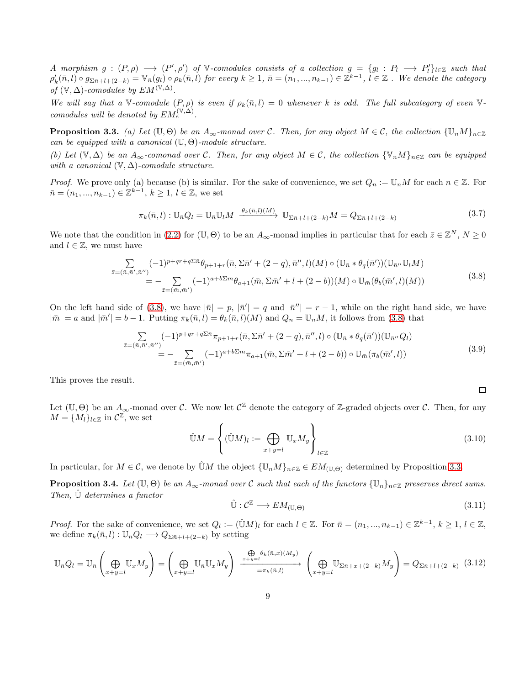*A* morphism  $g: (P, \rho) \longrightarrow (P', \rho')$  of V-comodules consists of a collection  $g = \{g_l: P_l \longrightarrow P'_l\}_{l \in \mathbb{Z}}$  such that  $\rho'_k(\bar{n},l) \circ g_{\Sigma \bar{n}+l+(2-k)} = \mathbb{V}_{\bar{n}}(g_l) \circ \rho_k(\bar{n},l)$  *for every*  $k \geq 1$ ,  $\bar{n} = (n_1,...,n_{k-1}) \in \mathbb{Z}^{k-1}$ ,  $l \in \mathbb{Z}$ . We denote the category *of*  $(\mathbb{V}, \Delta)$ -comodules by  $EM^{(\mathbb{V}, \Delta)}$ .

*We will say that a* V-comodule  $(P, \rho)$  *is even if*  $\rho_k(\bar{n}, l) = 0$  whenever k is odd. The full subcategory of even V*comodules will be denoted by*  $EM_e^{(\mathbb{V}, \Delta)}$ .

<span id="page-8-1"></span>**Proposition 3.3.** *(a) Let*  $(\mathbb{U}, \Theta)$  *be an*  $A_{\infty}$ *-monad over* C*. Then, for any object*  $M \in \mathcal{C}$ *, the collection*  $\{\mathbb{U}_n M\}_{n\in \mathbb{Z}}$ *can be equipped with a canonical* (U, Θ)*-module structure.*

*(b)* Let  $(\mathbb{V}, \Delta)$  be an  $A_{\infty}$ -comonad over C. Then, for any object  $M \in \mathcal{C}$ , the collection  $\{\mathbb{V}_n M\}_{n\in \mathbb{Z}}$  can be equipped *with a canonical* (V, ∆)*-comodule structure.*

*Proof.* We prove only (a) because (b) is similar. For the sake of convenience, we set  $Q_n := \mathbb{U}_n M$  for each  $n \in \mathbb{Z}$ . For  $\bar{n} = (n_1, ..., n_{k-1}) \in \mathbb{Z}^{k-1}, k \geq 1, l \in \mathbb{Z}$ , we set

$$
\pi_k(\bar{n}, l) : \mathbb{U}_{\bar{n}}Q_l = \mathbb{U}_{\bar{n}}\mathbb{U}_l M \xrightarrow{\theta_k(\bar{n}, l)(M)} \mathbb{U}_{\Sigma \bar{n}+l+(2-k)}M = Q_{\Sigma \bar{n}+l+(2-k)}\tag{3.7}
$$

We note that the condition in [\(2.2\)](#page-3-0) for  $(\mathbb{U}, \Theta)$  to be an  $A_{\infty}$ -monad implies in particular that for each  $\bar{z} \in \mathbb{Z}^N$ ,  $N \ge 0$ and  $l \in \mathbb{Z}$ , we must have

<span id="page-8-0"></span>
$$
\sum_{\bar{z}=(\bar{n},\bar{n}',\bar{n}'')} (-1)^{p+qr+q\sum\bar{n}} \theta_{p+1+r}(\bar{n},\Sigma\bar{n}' + (2-q),\bar{n}'',l)(M) \circ (\mathbb{U}_{\bar{n}} * \theta_q(\bar{n}'))(\mathbb{U}_{\bar{n}''}\mathbb{U}_l M) \n= - \sum_{\bar{z}=(\bar{m},\bar{m}')} (-1)^{a+b\sum\bar{m}} \theta_{a+1}(\bar{m},\Sigma\bar{m}' + l + (2-b))(M) \circ \mathbb{U}_{\bar{m}}(\theta_b(\bar{m}',l)(M))
$$
\n(3.8)

On the left hand side of [\(3.8\)](#page-8-0), we have  $|\bar{n}| = p$ ,  $|\bar{n}'| = q$  and  $|\bar{n}''| = r - 1$ , while on the right hand side, we have  $|\bar{m}| = a$  and  $|\bar{m}'| = b - 1$ . Putting  $\pi_k(\bar{n}, l) = \theta_k(\bar{n}, l)(M)$  and  $Q_n = \mathbb{U}_nM$ , it follows from [\(3.8\)](#page-8-0) that

$$
\sum_{\bar{z}=(\bar{n},\bar{n}',\bar{n}'')} (-1)^{p+qr+q\Sigma\bar{n}} \pi_{p+1+r}(\bar{n},\Sigma\bar{n}' + (2-q),\bar{n}'',l) \circ (\mathbb{U}_{\bar{n}} * \theta_q(\bar{n}'))(\mathbb{U}_{\bar{n}''} Q_l) \n= - \sum_{\bar{z}=(\bar{m},\bar{m}')} (-1)^{a+b\Sigma\bar{m}} \pi_{a+1}(\bar{m},\Sigma\bar{m}' + l + (2-b)) \circ \mathbb{U}_{\bar{m}}(\pi_b(\bar{m}',l))
$$
\n(3.9)

This proves the result.

Let  $(\mathbb{U}, \Theta)$  be an  $A_{\infty}$ -monad over C. We now let  $\mathcal{C}^{\mathbb{Z}}$  denote the category of  $\mathbb{Z}$ -graded objects over C. Then, for any  $M = \{M_l\}_{l \in \mathbb{Z}}$  in  $\mathcal{C}^{\mathbb{Z}}$ , we set

$$
\hat{\mathbb{U}}M = \left\{ (\hat{\mathbb{U}}M)_l := \bigoplus_{x+y=l} \mathbb{U}_x M_y \right\}_{l \in \mathbb{Z}} \tag{3.10}
$$

In particular, for  $M \in \mathcal{C}$ , we denote by  $\hat{\mathbb{U}}M$  the object  $\{\mathbb{U}_nM\}_{n\in\mathbb{Z}} \in EM_{(\mathbb{U},\Theta)}$  determined by Proposition [3.3.](#page-8-1)

**Proposition 3.4.** *Let*  $(\mathbb{U}, \Theta)$  *be an*  $A_{\infty}$ *-monad over* C *such that each of the functors*  $\{\mathbb{U}_n\}_{n\in\mathbb{Z}}$  *preserves direct sums. Then,* Uˆ *determines a functor*

$$
\hat{\mathbb{U}} : \mathcal{C}^{\mathbb{Z}} \longrightarrow EM_{(\mathbb{U}, \Theta)} \tag{3.11}
$$

 $\Box$ 

*Proof.* For the sake of convenience, we set  $Q_l := (\hat{\mathbb{U}}M)_l$  for each  $l \in \mathbb{Z}$ . For  $\bar{n} = (n_1, ..., n_{k-1}) \in \mathbb{Z}^{k-1}$ ,  $k \geq 1$ ,  $l \in \mathbb{Z}$ , we define  $\pi_k(\bar{n}, l) : \mathbb{U}_{\bar{n}}Q_l \longrightarrow Q_{\Sigma \bar{n}+l+(2-k)}$  by setting

<span id="page-8-2"></span>
$$
\mathbb{U}_{\bar{n}}Q_{l} = \mathbb{U}_{\bar{n}}\left(\bigoplus_{x+y=l} \mathbb{U}_{x}M_{y}\right) = \left(\bigoplus_{x+y=l} \mathbb{U}_{\bar{n}}\mathbb{U}_{x}M_{y}\right) \xrightarrow{\Phi \theta_{k}(\bar{n},x)(M_{y})} \left(\bigoplus_{x+y=l} \mathbb{U}_{\Sigma\bar{n}+x+(2-k)}M_{y}\right) = Q_{\Sigma\bar{n}+l+(2-k)} \quad (3.12)
$$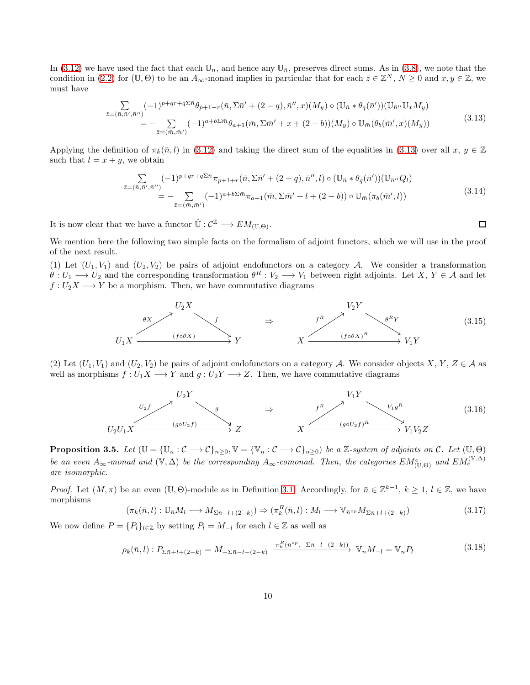In [\(3.12\)](#page-8-2) we have used the fact that each  $\mathbb{U}_n$ , and hence any  $\mathbb{U}_{\bar{n}}$ , preserves direct sums. As in [\(3.8\)](#page-8-0), we note that the condition in [\(2.2\)](#page-3-0) for (U,  $\Theta$ ) to be an  $A_{\infty}$ -monad implies in particular that for each  $\bar{z} \in \mathbb{Z}^{N}$ ,  $N \geq 0$  and  $x, y \in \mathbb{Z}$ , we must have

<span id="page-9-1"></span>
$$
\sum_{\bar{z}=(\bar{n},\bar{n}',\bar{n}'')} (-1)^{p+qr+q\sum\bar{n}} \theta_{p+1+r}(\bar{n},\Sigma\bar{n}' + (2-q),\bar{n}'',x)(M_y) \circ (\mathbb{U}_{\bar{n}} * \theta_q(\bar{n}'))(\mathbb{U}_{\bar{n}''}\mathbb{U}_x M_y) \n= - \sum_{\bar{z}=(\bar{m},\bar{m}')} (-1)^{a+b\sum\bar{m}} \theta_{a+1}(\bar{m},\Sigma\bar{m}' + x + (2-b))(M_y) \circ \mathbb{U}_{\bar{m}}(\theta_b(\bar{m}',x)(M_y))
$$
\n(3.13)

Applying the definition of  $\pi_k(\bar{n}, l)$  in [\(3.12\)](#page-8-2) and taking the direct sum of the equalities in [\(3.13\)](#page-9-1) over all  $x, y \in \mathbb{Z}$ such that  $l = x + y$ , we obtain

$$
\sum_{\bar{z}=(\bar{n},\bar{n}',\bar{n}'')} (-1)^{p+qr+q\Sigma\bar{n}} \pi_{p+1+r}(\bar{n},\Sigma\bar{n}' + (2-q),\bar{n}'',l) \circ (\mathbb{U}_{\bar{n}} * \theta_q(\bar{n}'))(\mathbb{U}_{\bar{n}''} Q_l) \n= - \sum_{\bar{z}=(\bar{m},\bar{m}')} (-1)^{a+b\Sigma\bar{m}} \pi_{a+1}(\bar{m},\Sigma\bar{m}' + l + (2-b)) \circ \mathbb{U}_{\bar{m}}(\pi_b(\bar{m}',l))
$$
\n(3.14)

 $\Box$ 

It is now clear that we have a functor  $\hat{\mathbb{U}} : \mathcal{C}^{\mathbb{Z}} \longrightarrow EM_{(\mathbb{U}, \Theta)}$ .

We mention here the following two simple facts on the formalism of adjoint functors, which we will use in the proof of the next result.

(1) Let  $(U_1, V_1)$  and  $(U_2, V_2)$  be pairs of adjoint endofunctors on a category A. We consider a transformation  $\theta: U_1 \longrightarrow U_2$  and the corresponding transformation  $\theta^R: V_2 \longrightarrow V_1$  between right adjoints. Let X,  $Y \in \mathcal{A}$  and let  $f: U_2X \longrightarrow Y$  be a morphism. Then, we have commutative diagrams

<span id="page-9-2"></span>

(2) Let  $(U_1, V_1)$  and  $(U_2, V_2)$  be pairs of adjoint endofunctors on a category A. We consider objects X, Y, Z  $\in \mathcal{A}$  as well as morphisms  $f: U_1X \longrightarrow Y$  and  $g: U_2Y \longrightarrow Z$ . Then, we have commutative diagrams

<span id="page-9-4"></span>

<span id="page-9-0"></span>**Proposition 3.5.** Let  $(\mathbb{U} = {\mathbb{U}_n : \mathcal{C} \longrightarrow \mathcal{C}}_{n \geq 0}, \mathbb{V} = {\mathbb{V}_n : \mathcal{C} \longrightarrow \mathcal{C}}_{n \geq 0}$  be a Z-system of adjoints on  $\mathcal{C}$ . Let  $(\mathbb{U}, \Theta)$ *be an even*  $A_{\infty}$ -monad and  $(\mathbb{V}, \Delta)$  *be the corresponding*  $A_{\infty}$ -comonad. Then, the categories  $EM_{(\mathbb{U}, \Theta)}^e$  and  $EM_e^{(\mathbb{V}, \Delta)}$ *are isomorphic.*

*Proof.* Let  $(M, \pi)$  be an even  $(\mathbb{U}, \Theta)$ -module as in Definition [3.1.](#page-7-0) Accordingly, for  $\bar{n} \in \mathbb{Z}^{k-1}$ ,  $k \geq 1$ ,  $l \in \mathbb{Z}$ , we have morphisms

$$
(\pi_k(\bar{n},l): \mathbb{U}_{\bar{n}}M_l \longrightarrow M_{\Sigma \bar{n}+l+(2-k)}) \Rightarrow (\pi_k^R(\bar{n},l): M_l \longrightarrow \mathbb{V}_{\bar{n}^{op}}M_{\Sigma \bar{n}+l+(2-k)})
$$
\n(3.17)

We now define  $P = \{P_l\}_{l \in \mathbb{Z}}$  by setting  $P_l = M_{-l}$  for each  $l \in \mathbb{Z}$  as well as

<span id="page-9-3"></span>
$$
\rho_k(\bar{n}, l) : P_{\Sigma \bar{n} + l + (2 - k)} = M_{-\Sigma \bar{n} - l - (2 - k)} \xrightarrow{\pi_k^R(\bar{n}^{op}, -\Sigma \bar{n} - l - (2 - k))} \mathbb{V}_{\bar{n}} M_{-l} = \mathbb{V}_{\bar{n}} P_l \tag{3.18}
$$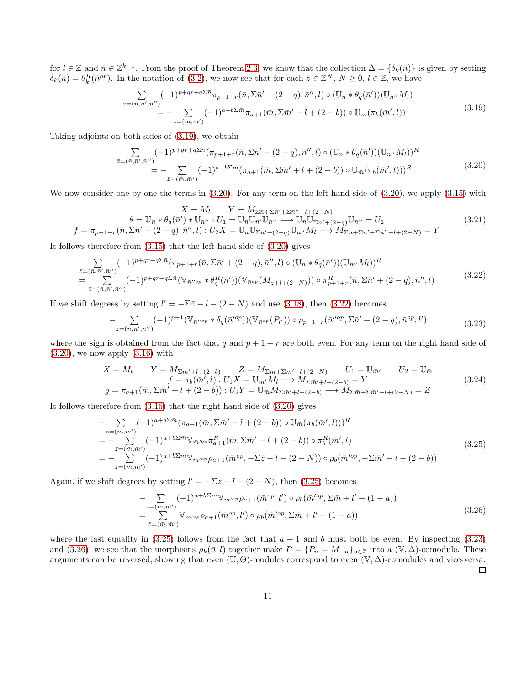for  $l \in \mathbb{Z}$  and  $\bar{n} \in \mathbb{Z}^{k-1}$ . From the proof of Theorem [2.3,](#page-4-0) we know that the collection  $\Delta = {\delta_k(\bar{n})}$  is given by setting  $\delta_k(\bar{n}) = \theta_k^R(\bar{n}^{op})$ . In the notation of [\(3.2\)](#page-7-1), we now see that for each  $\bar{z} \in \mathbb{Z}^N$ ,  $N \geq 0$ ,  $l \in \mathbb{Z}$ , we have

<span id="page-10-0"></span>
$$
\sum_{\bar{z}=(\bar{n},\bar{n}',\bar{n}'')} (-1)^{p+qr+q\Sigma\bar{n}} \pi_{p+1+r}(\bar{n},\Sigma\bar{n}' + (2-q),\bar{n}'',l) \circ (\mathbb{U}_{\bar{n}} * \theta_q(\bar{n}'))(\mathbb{U}_{\bar{n}''}M_l)
$$
\n
$$
= - \sum_{\bar{z}=(\bar{m},\bar{m}')} (-1)^{a+b\Sigma\bar{m}} \pi_{a+1}(\bar{m},\Sigma\bar{m}' + l + (2-b)) \circ \mathbb{U}_{\bar{m}}(\pi_b(\bar{m}',l))
$$
\n(3.19)

Taking adjoints on both sides of [\(3.19\)](#page-10-0), we obtain

<span id="page-10-1"></span>
$$
\sum_{\bar{z}=(\bar{n},\bar{n}',\bar{n}'')} (-1)^{p+qr+q\Sigma\bar{n}} (\pi_{p+1+r}(\bar{n},\Sigma\bar{n}'+(2-q),\bar{n}'',l) \circ (\mathbb{U}_{\bar{n}} * \theta_q(\bar{n}'))(\mathbb{U}_{\bar{n}''} M_l))^R
$$
\n
$$
= - \sum_{\bar{z}=(\bar{m},\bar{m}')} (-1)^{a+b\Sigma\bar{m}} (\pi_{a+1}(\bar{m},\Sigma\bar{m}'+l+(2-b)) \circ \mathbb{U}_{\bar{m}}(\pi_b(\bar{m}',l)))^R
$$
\n(3.20)

We now consider one by one the terms in  $(3.20)$ . For any term on the left hand side of  $(3.20)$ , we apply  $(3.15)$  with

$$
X = M_l \t Y = M_{\Sigma \bar{n} + \Sigma \bar{n}'' + \Sigma \bar{n}'' + l + (2 - N)} \n\theta = \mathbb{U}_{\bar{n}} * \theta_q(\bar{n}') * \mathbb{U}_{\bar{n}''} : U_1 = \mathbb{U}_{\bar{n}} \mathbb{U}_{\bar{n}'} \mathbb{U}_{\bar{n}''} \longrightarrow \mathbb{U}_{\bar{n}} \mathbb{U}_{\Sigma \bar{n}' + (2 - q)} \mathbb{U}_{\bar{n}''} = U_2 \nf = \pi_{p+1+r}(\bar{n}, \Sigma \bar{n}' + (2 - q), \bar{n}'', l) : U_2 X = \mathbb{U}_{\bar{n}} \mathbb{U}_{\Sigma \bar{n}' + (2 - q)} \mathbb{U}_{\bar{n}''} M_l \longrightarrow M_{\Sigma \bar{n} + \Sigma \bar{n}' + \Sigma \bar{n}'' + l + (2 - N)} = Y
$$
\n(3.21)

It follows therefore from [\(3.15\)](#page-9-2) that the left hand side of [\(3.20\)](#page-10-1) gives

<span id="page-10-2"></span>
$$
\sum_{\substack{\bar{z}=(\bar{n},\bar{n}',\bar{n}'')\\ \bar{z}=(\bar{n},\bar{n}',\bar{n}'')}} (-1)^{p+qr+q\Sigma\bar{n}} (\pi_{p+1+r}(\bar{n},\Sigma\bar{n}'+(2-q),\bar{n}'',l) \circ (\mathbb{U}_{\bar{n}} * \theta_q(\bar{n}'))(\mathbb{U}_{\bar{n}''}M_l))^R \n= \sum_{\bar{z}=(\bar{n},\bar{n}',\bar{n}'')} (-1)^{p+qr+q\Sigma\bar{n}} (\mathbb{V}_{\bar{n}''^{op}} * \theta_q^R(\bar{n}'))(\mathbb{V}_{\bar{n}^{op}}(M_{\bar{z}+l+(2-N)})) \circ \pi_{p+1+r}^R(\bar{n},\Sigma\bar{n}'+(2-q),\bar{n}'',l)
$$
\n(3.22)

If we shift degrees by setting  $l' = -\Sigma \bar{z} - l - (2 - N)$  and use [\(3.18\)](#page-9-3), then [\(3.22\)](#page-10-2) becomes

<span id="page-10-4"></span>
$$
-\sum_{\bar{z}=(\bar{n},\bar{n}',\bar{n}'')} (-1)^{p+1} (\mathbb{V}_{\bar{n}''^{op}} * \delta_q(\bar{n}'^{op})) (\mathbb{V}_{\bar{n}^{op}}(P_{l'})) \circ \rho_{p+1+r}(\bar{n}''^{op}, \Sigma \bar{n}' + (2-q), \bar{n}^{op}, l') \tag{3.23}
$$

where the sign is obtained from the fact that q and  $p + 1 + r$  are both even. For any term on the right hand side of  $(3.20)$ , we now apply  $(3.16)$  with

$$
X = M_l \t Y = M_{\Sigma \bar{m}'+l+(2-b)} \t Z = M_{\Sigma \bar{m}+ \Sigma \bar{m}'+l+(2-N)} \t U_1 = \mathbb{U}_{\bar{m}'} \t U_2 = \mathbb{U}_{\bar{m}} \nf = \pi_b(\bar{m}', l) : U_1 X = \mathbb{U}_{\bar{m}'} M_l \longrightarrow M_{\Sigma \bar{m}'+l+(2-b)} = Y \ng = \pi_{a+1}(\bar{m}, \Sigma \bar{m}' + l + (2-b)) : U_2 Y = \mathbb{U}_{\bar{m}} M_{\Sigma \bar{m}'+l+(2-b)} \longrightarrow M_{\Sigma \bar{m}+ \Sigma \bar{m}'+l+(2-N)} = Z
$$
\n(3.24)

It follows therefore from [\(3.16\)](#page-9-4) that the right hand side of [\(3.20\)](#page-10-1) gives

<span id="page-10-3"></span>
$$
- \sum_{\bar{z}=(\bar{m},\bar{m}')} (-1)^{a+b\sum\bar{m}} (\pi_{a+1}(\bar{m}, \Sigma \bar{m}' + l + (2-b)) \circ \mathbb{U}_{\bar{m}}(\pi_b(\bar{m}', l)))^R = - \sum_{\bar{z}=(\bar{m},\bar{m}')} (-1)^{a+b\sum\bar{m}} \mathbb{V}_{\bar{m}'^{op}} \pi_{a+1}^R(\bar{m}, \Sigma \bar{m}' + l + (2-b)) \circ \pi_b^R(\bar{m}', l) = - \sum_{\bar{z}=(\bar{m},\bar{m}')} (-1)^{a+b\sum\bar{m}} \mathbb{V}_{\bar{m}'^{op}} \rho_{a+1}(\bar{m}^{op}, -\Sigma \bar{z} - l - (2-N)) \circ \rho_b(\bar{m}'^{op}, -\Sigma \bar{m}' - l - (2-b))
$$
(3.25)

Again, if we shift degrees by setting  $l' = -\Sigma \overline{z} - l - (2 - N)$ , then [\(3.25\)](#page-10-3) becomes

<span id="page-10-5"></span>
$$
-\sum_{\bar{z}=(\bar{m},\bar{m}')} (-1)^{a+b\sum \bar{m}} \mathbb{V}_{\bar{m}^{top}} \rho_{a+1}(\bar{m}^{op},l') \circ \rho_b(\bar{m}^{top},\Sigma \bar{m}+l'+(1-a))
$$
  
=\sum\_{\bar{z}=(\bar{m},\bar{m}')} \mathbb{V}\_{\bar{m}^{top}} \rho\_{a+1}(\bar{m}^{op},l') \circ \rho\_b(\bar{m}^{top},\Sigma \bar{m}+l'+(1-a)) (3.26)

where the last equality in [\(3.25\)](#page-10-3) follows from the fact that  $a + 1$  and b must both be even. By inspecting [\(3.23\)](#page-10-4) and [\(3.26\)](#page-10-5), we see that the morphisms  $\rho_k(\bar{n}, l)$  together make  $P = \{P_n = M_{-n}\}_{n \in \mathbb{Z}}$  into a  $(\mathbb{V}, \Delta)$ -comodule. These arguments can be reversed, showing that even  $(\mathbb{U}, \Theta)$ -modules correspond to even  $(\mathbb{V}, \Delta)$ -comodules and vice-versa.  $\Box$ 

11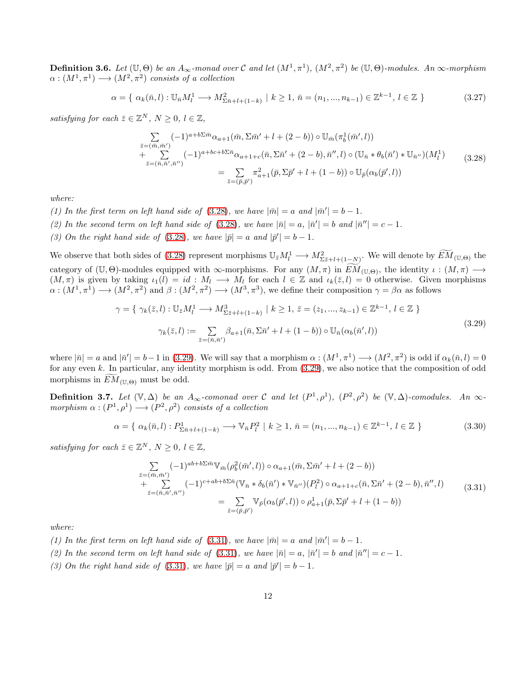<span id="page-11-0"></span>**Definition 3.6.** Let  $(\mathbb{U}, \Theta)$  be an  $A_{\infty}$ -monad over C and let  $(M^1, \pi^1)$ ,  $(M^2, \pi^2)$  be  $(\mathbb{U}, \Theta)$ -modules. An  $\infty$ -morphism  $\alpha:(M^1,\pi^1)\longrightarrow (M^2,\pi^2)$  consists of a collection

$$
\alpha = \{ \alpha_k(\bar{n}, l) : \mathbb{U}_{\bar{n}} M_l^1 \longrightarrow M_{\Sigma \bar{n} + l + (1 - k)}^2 \mid k \ge 1, \, \bar{n} = (n_1, ..., n_{k-1}) \in \mathbb{Z}^{k-1}, \, l \in \mathbb{Z} \}
$$
(3.27)

<span id="page-11-1"></span>*satisfying for each*  $\bar{z} \in \mathbb{Z}^N$ ,  $N \geq 0$ ,  $l \in \mathbb{Z}$ ,

$$
\sum_{\bar{z}=(\bar{m},\bar{m}')} (-1)^{a+b\sum\bar{m}} \alpha_{a+1}(\bar{m}, \Sigma \bar{m}' + l + (2-b)) \circ \mathbb{U}_{\bar{m}}(\pi_b^1(\bar{m}', l)) \n+ \sum_{\bar{z}=(\bar{n},\bar{n}',\bar{n}')} (-1)^{a+bc+b\sum\bar{n}} \alpha_{a+1+c}(\bar{n}, \Sigma \bar{n}' + (2-b), \bar{n}'', l) \circ (\mathbb{U}_{\bar{n}} * \theta_b(\bar{n}') * \mathbb{U}_{\bar{n}''})(M_l^1) \n= \sum_{\bar{z}=(\bar{p},\bar{p}')} \pi_{a+1}^2(\bar{p}, \Sigma \bar{p}' + l + (1-b)) \circ \mathbb{U}_{\bar{p}}(\alpha_b(\bar{p}', l))
$$
\n(3.28)

*where:*

(1) In the first term on left hand side of [\(3.28\)](#page-11-1), we have  $|\bar{m}| = a$  and  $|\bar{m}'| = b - 1$ .

- (2) In the second term on left hand side of [\(3.28\)](#page-11-1), we have  $|\bar{n}| = a$ ,  $|\bar{n}'| = b$  and  $|\bar{n}''| = c 1$ .
- *(3) On the right hand side of* [\(3.28\)](#page-11-1)*, we have*  $|\bar{p}| = a$  *and*  $|\bar{p}'| = b 1$ *.*

We observe that both sides of [\(3.28\)](#page-11-1) represent morphisms  $\mathbb{U}_{\bar{z}}M_l^1 \longrightarrow M_{\Sigma \bar{z}+l+(1-N)}^2$ . We will denote by  $\widetilde{EM}_{(\mathbb{U},\Theta)}$  the category of  $(\mathbb{U}, \Theta)$ -modules equipped with  $\infty$ -morphisms. For any  $(M, \pi)$  in  $EM_{(\mathbb{U}, \Theta)}$ , the identity  $\iota : (M, \pi) \longrightarrow$  $(M, \pi)$  is given by taking  $\iota_1(l) = id : M_l \longrightarrow M_l$  for each  $l \in \mathbb{Z}$  and  $\iota_k(\bar{z}, l) = 0$  otherwise. Given morphisms  $\alpha:(M^1,\pi^1)\longrightarrow (M^2,\pi^2)$  and  $\beta:(M^2,\pi^2)\longrightarrow (M^3,\pi^3)$ , we define their composition  $\gamma=\beta\alpha$  as follows

<span id="page-11-2"></span>
$$
\gamma = \{ \gamma_k(\bar{z}, l) : \mathbb{U}_{\bar{z}} M_l^1 \longrightarrow M_{\Sigma \bar{z} + l + (1 - k)}^3 \mid k \ge 1, \, \bar{z} = (z_1, ..., z_{k-1}) \in \mathbb{Z}^{k-1}, \, l \in \mathbb{Z} \}
$$
  

$$
\gamma_k(\bar{z}, l) := \sum_{\bar{z} = (\bar{n}, \bar{n}')} \beta_{a+1}(\bar{n}, \Sigma \bar{n}' + l + (1 - b)) \circ \mathbb{U}_{\bar{n}}(\alpha_b(\bar{n}', l))
$$
(3.29)

where  $|\bar{n}| = a$  and  $|\bar{n}'| = b - 1$  in [\(3.29\)](#page-11-2). We will say that a morphism  $\alpha : (M^1, \pi^1) \longrightarrow (M^2, \pi^2)$  is odd if  $\alpha_k(\bar{n}, l) = 0$ for any even  $k$ . In particular, any identity morphism is odd. From  $(3.29)$ , we also notice that the composition of odd morphisms in  $EM_{(\mathbb{U},\Theta)}$  must be odd.

**Definition 3.7.** Let  $(\mathbb{V}, \Delta)$  be an  $A_{\infty}$ -comonad over C and let  $(P^1, \rho^1)$ ,  $(P^2, \rho^2)$  be  $(\mathbb{V}, \Delta)$ -comodules. An  $\infty$  $morphism \alpha : (P^1, \rho^1) \longrightarrow (P^2, \rho^2)$  *consists of a collection* 

$$
\alpha = \{ \alpha_k(\bar{n}, l) : P^1_{\Sigma \bar{n} + l + (1 - k)} \longrightarrow \mathbb{V}_{\bar{n}} P_l^2 \mid k \ge 1, \, \bar{n} = (n_1, ..., n_{k-1}) \in \mathbb{Z}^{k-1}, \, l \in \mathbb{Z} \}
$$
(3.30)

*satisfying for each*  $\bar{z} \in \mathbb{Z}^N$ ,  $N \geq 0$ ,  $l \in \mathbb{Z}$ ,

$$
\sum_{\bar{z}=(\bar{m},\bar{m}')} (-1)^{ab+b\sum \bar{m}} \mathbb{V}_{\bar{m}}(\rho_b^2(\bar{m}',l)) \circ \alpha_{a+1}(\bar{m}, \Sigma \bar{m}' + l + (2-b)) \n+ \sum_{\bar{z}=(\bar{n},\bar{n}',\bar{n}'')} (-1)^{c+ab+b\sum \bar{n}} (\mathbb{V}_{\bar{n}} * \delta_b(\bar{n}') * \mathbb{V}_{\bar{n}''})(P_l^2) \circ \alpha_{a+1+c}(\bar{n}, \Sigma \bar{n}' + (2-b), \bar{n}'', l) \n= \sum_{\bar{z}=(\bar{p},\bar{p}')} \mathbb{V}_{\bar{p}}(\alpha_b(\bar{p}',l)) \circ \rho_{a+1}^1(\bar{p}, \Sigma \bar{p}' + l + (1-b))
$$
\n(3.31)

<span id="page-11-3"></span>*where:*

- (1) In the first term on left hand side of [\(3.31\)](#page-11-3), we have  $|\bar{m}| = a$  and  $|\bar{m}'| = b 1$ .
- (2) In the second term on left hand side of [\(3.31\)](#page-11-3), we have  $|\bar{n}| = a$ ,  $|\bar{n}'| = b$  and  $|\bar{n}''| = c 1$ .
- (3) On the right hand side of [\(3.31\)](#page-11-3), we have  $|\bar{p}| = a$  and  $|\bar{p}'| = b 1$ .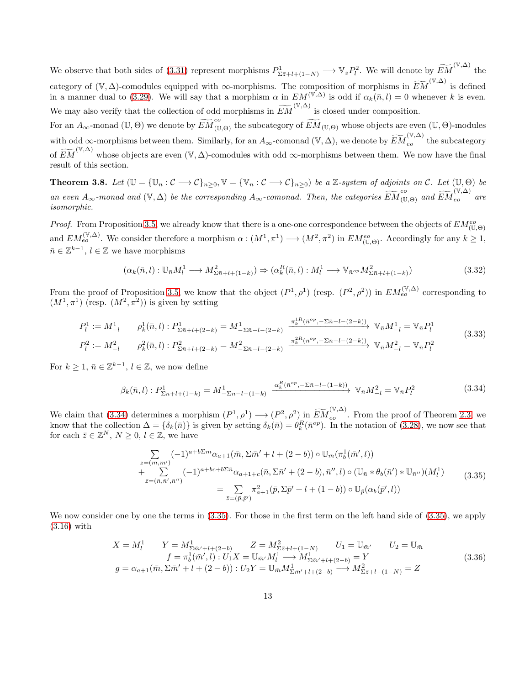We observe that both sides of [\(3.31\)](#page-11-3) represent morphisms  $P^1_{\Sigma \bar{z}+l+(1-N)} \longrightarrow \mathbb{V}_{\bar{z}} P_l^2$ . We will denote by  $\widetilde{EM}^{(\mathbb{V}, \Delta)}$  the category of  $(\mathbb{V}, \Delta)$ -comodules equipped with  $\infty$ -morphisms. The composition of morphisms in  $\widetilde{EM}^{(\mathbb{V}, \Delta)}$  is defined in a manner dual to [\(3.29\)](#page-11-2). We will say that a morphism  $\alpha$  in  $EM^{(\mathbb{V}, \Delta)}$  is odd if  $\alpha_k(\bar{n}, l) = 0$  whenever k is even. We may also verify that the collection of odd morphisms in  $\widetilde{EM}^{(\mathbb{V}, \Delta)}$  is closed under composition.

For an  $A_\infty$ -monad (U, Θ) we denote by  $\widetilde{EM}^{eo}_{(\mathbb{U},\Theta)}$  the subcategory of  $\widetilde{EM}_{(\mathbb{U},\Theta)}$  whose objects are even (U, Θ)-modules with odd ∞-morphisms between them. Similarly, for an  $A_{\infty}$ -comonad  $(\mathbb{V}, \Delta)$ , we denote by  $\widetilde{EM}^{(\mathbb{V}, \Delta)}_{eo}$  the subcategory of  $\widetilde{EM}^{(\mathbb{V},\Delta)}$  whose objects are even  $(\mathbb{V},\Delta)$ -comodules with odd ∞-morphisms between them. We now have the final result of this section.

<span id="page-12-0"></span>**Theorem 3.8.** Let  $(\mathbb{U} = {\{\mathbb{U}_n : C \longrightarrow C\}_{n \geq 0}}, \mathbb{V} = {\{\mathbb{V}_n : C \longrightarrow C\}_{n \geq 0}}$  be a Z-system of adjoints on C. Let  $(\mathbb{U}, \Theta)$  be *an even*  $A_{\infty}$ -monad and  $(\mathbb{V}, \Delta)$  be the corresponding  $A_{\infty}$ -comonad. Then, the categories  $\widetilde{EM}^{eo}_{(\mathbb{U}, \Theta)}$  and  $\widetilde{EM}^{(\mathbb{V}, \Delta)}_{eo}$  are *isomorphic.*

*Proof.* From Proposition [3.5,](#page-9-0) we already know that there is a one-one correspondence between the objects of  $EM_{(\mathbb{U},\Theta)}^{eo}$ and  $EM_{eo}^{(\mathbb{V}, \Delta)}$ . We consider therefore a morphism  $\alpha : (M^1, \pi^1) \longrightarrow (M^2, \pi^2)$  in  $EM_{(\mathbb{U}, \Theta)}^{eo}$ . Accordingly for any  $k \geq 1$ ,  $\bar{n} \in \mathbb{Z}^{k-1}, l \in \mathbb{Z}$  we have morphisms

$$
(\alpha_k(\bar{n},l): \mathbb{U}_{\bar{n}}M_l^1 \longrightarrow M_{\Sigma \bar{n}+l+(1-k)}^2) \Rightarrow (\alpha_k^R(\bar{n},l): M_l^1 \longrightarrow \mathbb{V}_{\bar{n}^{op}}M_{\Sigma \bar{n}+l+(1-k)}^2)
$$
\n(3.32)

From the proof of Proposition [3.5,](#page-9-0) we know that the object  $(P^1, \rho^1)$  (resp.  $(P^2, \rho^2)$ ) in  $EM_{eo}^{(\mathbb{V}, \Delta)}$  corresponding to  $(M^1, \pi^1)$  (resp.  $(M^2, \pi^2)$ ) is given by setting

<span id="page-12-3"></span>
$$
P_l^1 := M_{-l}^1 \qquad \rho_k^1(\bar{n}, l) : P_{\Sigma \bar{n} + l + (2 - k)}^1 = M_{-\Sigma \bar{n} - l - (2 - k)}^1 \xrightarrow{\pi_k^1(\bar{n}^{op}, -\Sigma \bar{n} - l - (2 - k))} \mathbb{V}_{\bar{n}} M_{-l}^1 = \mathbb{V}_{\bar{n}} P_l^1
$$
\n
$$
P_l^2 := M_{-l}^2 \qquad \rho_k^2(\bar{n}, l) : P_{\Sigma \bar{n} + l + (2 - k)}^2 = M_{-\Sigma \bar{n} - l - (2 - k)}^2 \xrightarrow{\pi_k^2(\bar{n}^{op}, -\Sigma \bar{n} - l - (2 - k))} \mathbb{V}_{\bar{n}} M_{-l}^2 = \mathbb{V}_{\bar{n}} P_l^2
$$
\n
$$
(3.33)
$$

For  $k \geq 1$ ,  $\bar{n} \in \mathbb{Z}^{k-1}$ ,  $l \in \mathbb{Z}$ , we now define

<span id="page-12-1"></span>
$$
\beta_k(\bar{n}, l) : P^1_{\Sigma \bar{n}+l+(1-k)} = M^1_{-\Sigma \bar{n}-l-(1-k)} \xrightarrow{\alpha_k^R(\bar{n}^{op}, -\Sigma \bar{n}-l-(1-k))} \mathbb{V}_{\bar{n}} M^2_{-l} = \mathbb{V}_{\bar{n}} P^2_l \tag{3.34}
$$

We claim that [\(3.34\)](#page-12-1) determines a morphism  $(P^1, \rho^1) \longrightarrow (P^2, \rho^2)$  in  $\widetilde{EM}_{eo}^{(\mathbb{V}, \Delta)}$ . From the proof of Theorem [2.3,](#page-4-0) we know that the collection  $\Delta = {\delta_k(\bar{n})}$  is given by setting  $\delta_k(\bar{n}) = \theta_k^R(\bar{n}^{op})$ . In the notation of [\(3.28\)](#page-11-1), we now see that for each  $\bar{z} \in \mathbb{Z}^N$ ,  $N \geq 0$ ,  $l \in \mathbb{Z}$ , we have

$$
\sum_{\bar{z}=(\bar{m},\bar{m}')} (-1)^{a+b\sum \bar{m}} \alpha_{a+1}(\bar{m}, \Sigma \bar{m}' + l + (2-b)) \circ \mathbb{U}_{\bar{m}}(\pi_b^1(\bar{m}', l)) \n+ \sum_{\bar{z}=(\bar{n},\bar{n}',\bar{n}''} (-1)^{a+bc+b\sum \bar{n}} \alpha_{a+1+c}(\bar{n}, \Sigma \bar{n}' + (2-b), \bar{n}'', l) \circ (\mathbb{U}_{\bar{n}} * \theta_b(\bar{n}') * \mathbb{U}_{\bar{n}''})(M_l^1) \n= \sum_{\bar{z}=(\bar{p},\bar{p}')} \pi_{a+1}^2(\bar{p}, \Sigma \bar{p}' + l + (1-b)) \circ \mathbb{U}_{\bar{p}}(\alpha_b(\bar{p}', l))
$$
\n(3.35)

<span id="page-12-2"></span>We now consider one by one the terms in  $(3.35)$ . For those in the first term on the left hand side of  $(3.35)$ , we apply [\(3.16\)](#page-9-4) with

$$
X = M_l^1 \t Y = M_{\Sigma \bar{m}'+l+(2-b)}^1 \t Z = M_{\Sigma \bar{z}+l+(1-N)}^2 \t U_1 = \mathbb{U}_{\bar{m}'} \t U_2 = \mathbb{U}_{\bar{m}}
$$
  
\n
$$
f = \pi_b^1(\bar{m}', l) : U_1 X = \mathbb{U}_{\bar{m}'} M_l^1 \longrightarrow M_{\Sigma \bar{m}'+l+(2-b)}^1 = Y
$$
  
\n
$$
g = \alpha_{a+1}(\bar{m}, \Sigma \bar{m}'+l+(2-b)) : U_2 Y = \mathbb{U}_{\bar{m}} M_{\Sigma \bar{m}'+l+(2-b)}^1 \longrightarrow M_{\Sigma \bar{z}+l+(1-N)}^2 = Z
$$
\n(3.36)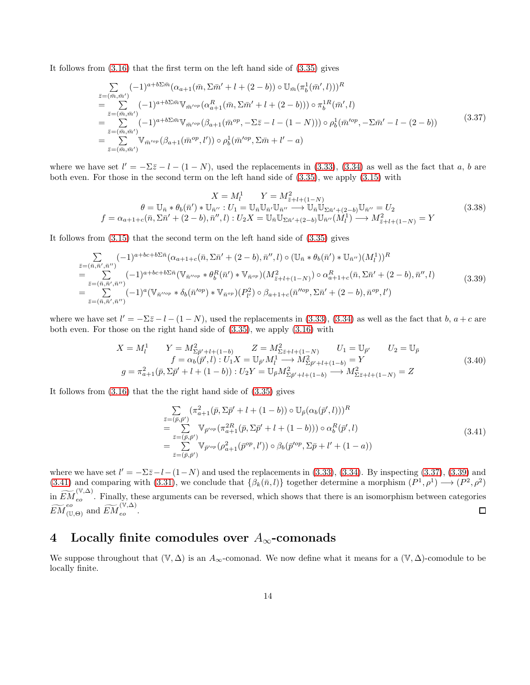It follows from [\(3.16\)](#page-9-4) that the first term on the left hand side of [\(3.35\)](#page-12-2) gives

<span id="page-13-0"></span>
$$
\sum_{\bar{z}=(\bar{m},\bar{m}')} (-1)^{a+b\sum \bar{m}} (\alpha_{a+1}(\bar{m},\Sigma \bar{m}' + l + (2-b)) \circ \mathbb{U}_{\bar{m}}(\pi_b^1(\bar{m}',l)))^R \n= \sum_{\bar{z}=(\bar{m},\bar{m}')} (-1)^{a+b\sum \bar{m}} \mathbb{V}_{\bar{m}'^{op}} (\alpha_{a+1}^R(\bar{m},\Sigma \bar{m}' + l + (2-b))) \circ \pi_b^{1R}(\bar{m}',l) \n= \sum_{\bar{z}=(\bar{m},\bar{m}')} (-1)^{a+b\sum \bar{m}} \mathbb{V}_{\bar{m}'^{op}} (\beta_{a+1}(\bar{m}^{op},-\Sigma \bar{z}-l - (1-N))) \circ \rho_b^1(\bar{m}'^{op},-\Sigma \bar{m}'-l - (2-b)) \n= \sum_{\bar{z}=(\bar{m},\bar{m}')} \mathbb{V}_{\bar{m}'^{op}} (\beta_{a+1}(\bar{m}^{op},l')) \circ \rho_b^1(\bar{m}'^{op},\Sigma \bar{m}+l'-a)
$$
\n(3.37)

where we have set  $l' = -\Sigma \bar{z} - l - (1 - N)$ , used the replacements in [\(3.33\)](#page-12-3), [\(3.34\)](#page-12-1) as well as the fact that a, b are both even. For those in the second term on the left hand side of [\(3.35\)](#page-12-2), we apply [\(3.15\)](#page-9-2) with

$$
X = M_l^1 \t Y = M_{\bar{z}+l+(1-N)}^2
$$
  
\n
$$
\theta = \mathbb{U}_{\bar{n}} * \theta_b(\bar{n}') * \mathbb{U}_{\bar{n}''} : U_1 = \mathbb{U}_{\bar{n}} \mathbb{U}_{\bar{n}'} \mathbb{U}_{\bar{n}''} \longrightarrow \mathbb{U}_{\bar{n}} \mathbb{U}_{\Sigma \bar{n}'+(2-b)} \mathbb{U}_{\bar{n}''} = U_2
$$
  
\n
$$
f = \alpha_{a+1+c}(\bar{n}, \Sigma \bar{n}' + (2-b), \bar{n}'', l) : U_2 X = \mathbb{U}_{\bar{n}} \mathbb{U}_{\Sigma \bar{n}'+(2-b)} \mathbb{U}_{\bar{n}''}(M_l^1) \longrightarrow M_{\bar{z}+l+(1-N)}^2 = Y
$$
\n(3.38)

It follows from [\(3.15\)](#page-9-2) that the second term on the left hand side of [\(3.35\)](#page-12-2) gives

<span id="page-13-1"></span>
$$
\sum_{\substack{\bar{z}=(\bar{n},\bar{n}',\bar{n}'')} } (-1)^{a+bc+b\sum\bar{n}} (\alpha_{a+1+c}(\bar{n},\Sigma\bar{n}' + (2-b),\bar{n}'',l) \circ (\mathbb{U}_{\bar{n}} * \theta_b(\bar{n}') * \mathbb{U}_{\bar{n}''})(M_l^1))^R \n= \sum_{\bar{z}=(\bar{n},\bar{n}',\bar{n}'')} (-1)^{a+bc+b\sum\bar{n}} (\mathbb{V}_{\bar{n}''^{op}} * \theta_b^R(\bar{n}') * \mathbb{V}_{\bar{n}^{op}}) (M_{\bar{z}+l+(1-N)}^2) \circ \alpha_{a+1+c}^R(\bar{n},\Sigma\bar{n}' + (2-b),\bar{n}'',l) \n= \sum_{\bar{z}=(\bar{n},\bar{n}',\bar{n}'')} (-1)^a (\mathbb{V}_{\bar{n}''^{op}} * \delta_b(\bar{n}'^{op}) * \mathbb{V}_{\bar{n}^{op}}) (P_{l'}^2) \circ \beta_{a+1+c}(\bar{n}''^{op},\Sigma\bar{n}' + (2-b),\bar{n}^{op},l') \n\tag{3.39}
$$

where we have set  $l' = -\Sigma \bar{z} - l - (1 - N)$ , used the replacements in [\(3.33\)](#page-12-3), [\(3.34\)](#page-12-1) as well as the fact that b,  $a + c$  are both even. For those on the right hand side of [\(3.35\)](#page-12-2), we apply [\(3.16\)](#page-9-4) with

$$
X = M_l^1 \t Y = M_{\Sigma \bar{p}^{\prime} + l + (1 - b)}^2 \t Z = M_{\Sigma \bar{z} + l + (1 - N)}^2 \t U_1 = \mathbb{U}_{\bar{p}^{\prime}} \t U_2 = \mathbb{U}_{\bar{p}} \nf = \alpha_b(\bar{p}^{\prime}, l) : U_1 X = \mathbb{U}_{\bar{p}^{\prime}} M_l^1 \longrightarrow M_{\Sigma \bar{p}^{\prime} + l + (1 - b)}^2 = Y \ng = \pi_{a+1}^2(\bar{p}, \Sigma \bar{p}^{\prime} + l + (1 - b)) : U_2 Y = \mathbb{U}_{\bar{p}} M_{\Sigma \bar{p}^{\prime} + l + (1 - b)}^2 \longrightarrow M_{\Sigma \bar{z} + l + (1 - N)}^2 = Z
$$
\n(3.40)

It follows from [\(3.16\)](#page-9-4) that the the right hand side of [\(3.35\)](#page-12-2) gives

<span id="page-13-2"></span>
$$
\sum_{\bar{z}=(\bar{p},\bar{p}')} (\pi_{a+1}^2(\bar{p}, \Sigma \bar{p}' + l + (1-b)) \circ \mathbb{U}_{\bar{p}}(\alpha_b(\bar{p}', l)))^R \n= \sum_{\bar{z}=(\bar{p},\bar{p}')} \mathbb{V}_{\bar{p}'^{op}}(\pi_{a+1}^{2R}(\bar{p}, \Sigma \bar{p}' + l + (1-b))) \circ \alpha_b^R(\bar{p}', l) \n= \sum_{\bar{z}=(\bar{p},\bar{p}')} \mathbb{V}_{\bar{p}'^{op}}(\rho_{a+1}^2(\bar{p}^{op}, l')) \circ \beta_b(\bar{p}'^{op}, \Sigma \bar{p} + l' + (1-a))
$$
\n(3.41)

where we have set  $l' = -\Sigma \bar{z} - l - (1 - N)$  and used the replacements in [\(3.33\)](#page-12-3), [\(3.34\)](#page-12-1). By inspecting [\(3.37\)](#page-13-0), [\(3.39\)](#page-13-1) and [\(3.41\)](#page-13-2) and comparing with [\(3.31\)](#page-11-3), we conclude that  $\{\beta_k(\bar{n},l)\}\$  together determine a morphism  $(P^1,\rho^1) \longrightarrow (P^2,\rho^2)$ in  $\widetilde{EM}^{(\mathbb{V},\Delta)}_{eo}$ . Finally, these arguments can be reversed, which shows that there is an isomorphism between categories  $\widetilde{EM}^{eo}_{(\mathbb{U}, \Theta)}$  and  $\widetilde{EM}^{(\mathbb{V}, \Delta)}_{eo}$ .  $\Box$ 

### 4 Locally finite comodules over  $A_{\infty}$ -comonads

We suppose throughout that  $(\mathbb{V}, \Delta)$  is an  $A_{\infty}$ -comonad. We now define what it means for a  $(\mathbb{V}, \Delta)$ -comodule to be locally finite.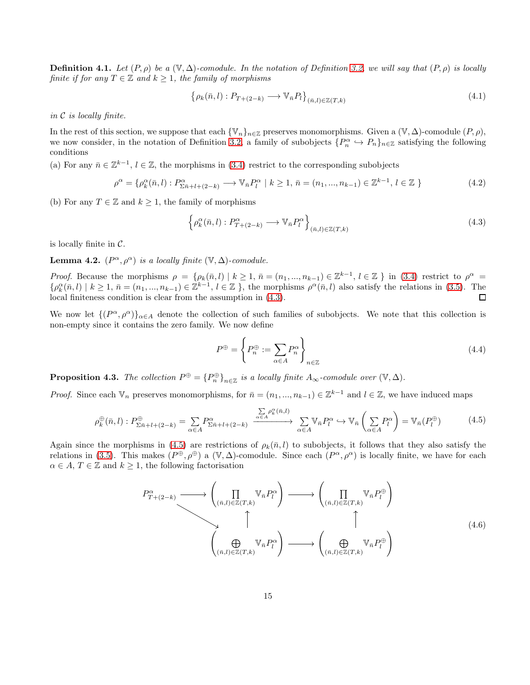**Definition 4.1.** Let  $(P, \rho)$  be a  $(\mathbb{V}, \Delta)$ -comodule. In the notation of Definition [3.2,](#page-7-3) we will say that  $(P, \rho)$  is locally *finite if for any*  $T \in \mathbb{Z}$  *and*  $k \geq 1$ *, the family of morphisms* 

$$
\left\{\rho_k(\bar{n},l): P_{T+(2-k)} \longrightarrow \mathbb{V}_{\bar{n}} P_l\right\}_{(\bar{n},l) \in \mathbb{Z}(T,k)}\tag{4.1}
$$

*in* C *is locally finite.*

In the rest of this section, we suppose that each  $\{V_n\}_{n\in\mathbb{Z}}$  preserves monomorphisms. Given a  $(V, \Delta)$ -comodule  $(P, \rho)$ , we now consider, in the notation of Definition [3.2,](#page-7-3) a family of subobjects  $\{P_n^{\alpha} \hookrightarrow P_n\}_{n\in\mathbb{Z}}$  satisfying the following conditions

(a) For any  $\bar{n} \in \mathbb{Z}^{k-1}$ ,  $l \in \mathbb{Z}$ , the morphisms in [\(3.4\)](#page-7-4) restrict to the corresponding subobjects

$$
\rho^{\alpha} = \{ \rho_k^{\alpha}(\bar{n}, l) : P_{\Sigma \bar{n} + l + (2 - k)}^{\alpha} \longrightarrow \mathbb{V}_{\bar{n}} P_l^{\alpha} \mid k \ge 1, \, \bar{n} = (n_1, \dots, n_{k-1}) \in \mathbb{Z}^{k-1}, \, l \in \mathbb{Z} \}
$$
\n
$$
(4.2)
$$

(b) For any  $T \in \mathbb{Z}$  and  $k \geq 1$ , the family of morphisms

<span id="page-14-0"></span>
$$
\left\{ \rho_k^{\alpha}(\bar{n},l) : P_{T+(2-k)}^{\alpha} \longrightarrow \mathbb{V}_{\bar{n}} P_l^{\alpha} \right\}_{(\bar{n},l) \in \mathbb{Z}(T,k)} \tag{4.3}
$$

is locally finite in  $\mathcal{C}$ .

**Lemma 4.2.**  $(P^{\alpha}, \rho^{\alpha})$  *is a locally finite*  $(\mathbb{V}, \Delta)$ *-comodule.* 

*Proof.* Because the morphisms  $\rho = {\rho_k(\bar{n},l) | k \geq 1, \bar{n} = (n_1,...,n_{k-1}) \in \mathbb{Z}^{k-1}, l \in \mathbb{Z}}$  in [\(3.4\)](#page-7-4) restrict to  $\rho^{\alpha} =$  $\{\rho_k^{\alpha}(\bar{n},l) \mid k \geq 1, \bar{n} = (n_1, ..., n_{k-1}) \in \mathbb{Z}^{k-1}, l \in \mathbb{Z}\}\$ , the morphisms  $\rho^{\alpha}(\bar{n},l)$  also satisfy the relations in [\(3.5\)](#page-7-2). The local finiteness condition is clear from the assumption in [\(4.3\)](#page-14-0).  $\Box$ 

We now let  $\{(P^{\alpha}, \rho^{\alpha})\}_{\alpha \in A}$  denote the collection of such families of subobjects. We note that this collection is non-empty since it contains the zero family. We now define

<span id="page-14-3"></span>
$$
P^{\oplus} = \left\{ P_n^{\oplus} := \sum_{\alpha \in A} P_n^{\alpha} \right\}_{n \in \mathbb{Z}} \tag{4.4}
$$

**Proposition 4.3.** *The collection*  $P^{\oplus} = {P^{\oplus}_n}_{n \in \mathbb{Z}}$  *is a locally finite*  $A_{\infty}$ -comodule over  $(\mathbb{V}, \Delta)$ *.* 

*Proof.* Since each  $\mathbb{V}_n$  preserves monomorphisms, for  $\bar{n} = (n_1, ..., n_{k-1}) \in \mathbb{Z}^{k-1}$  and  $l \in \mathbb{Z}$ , we have induced maps

<span id="page-14-1"></span>
$$
\rho_k^{\oplus}(\bar{n},l): P_{\Sigma \bar{n}+l+(2-k)}^{\oplus} = \sum_{\alpha \in A} P_{\Sigma \bar{n}+l+(2-k)}^{\alpha} \xrightarrow{\sum_{\alpha \in A} \rho_k^{\alpha}(\bar{n},l)} \sum_{\alpha \in A} \mathbb{V}_{\bar{n}} P_l^{\alpha} \hookrightarrow \mathbb{V}_{\bar{n}} \left( \sum_{\alpha \in A} P_l^{\alpha} \right) = \mathbb{V}_{\bar{n}}(P_l^{\oplus})
$$
(4.5)

Again since the morphisms in [\(4.5\)](#page-14-1) are restrictions of  $\rho_k(\bar{n}, l)$  to subobjects, it follows that they also satisfy the relations in [\(3.5\)](#page-7-2). This makes  $(P^{\oplus}, \rho^{\oplus})$  a  $(\mathbb{V}, \Delta)$ -comodule. Since each  $(P^{\alpha}, \rho^{\alpha})$  is locally finite, we have for each  $\alpha \in A, T \in \mathbb{Z}$  and  $k \geq 1$ , the following factorisation

<span id="page-14-2"></span>
$$
P_{T+(2-k)}^{\alpha} \longrightarrow \left(\prod_{(\bar{n},l) \in \mathbb{Z}(T,k)} \mathbb{V}_{\bar{n}} P_l^{\alpha}\right) \longrightarrow \left(\prod_{(\bar{n},l) \in \mathbb{Z}(T,k)} \mathbb{V}_{\bar{n}} P_l^{\oplus}\right)
$$
\n
$$
\uparrow \qquad \qquad \uparrow
$$
\n
$$
\left(\bigoplus_{(\bar{n},l) \in \mathbb{Z}(T,k)} \mathbb{V}_{\bar{n}} P_l^{\alpha}\right) \longrightarrow \left(\bigoplus_{(\bar{n},l) \in \mathbb{Z}(T,k)} \mathbb{V}_{\bar{n}} P_l^{\oplus}\right)
$$
\n
$$
(4.6)
$$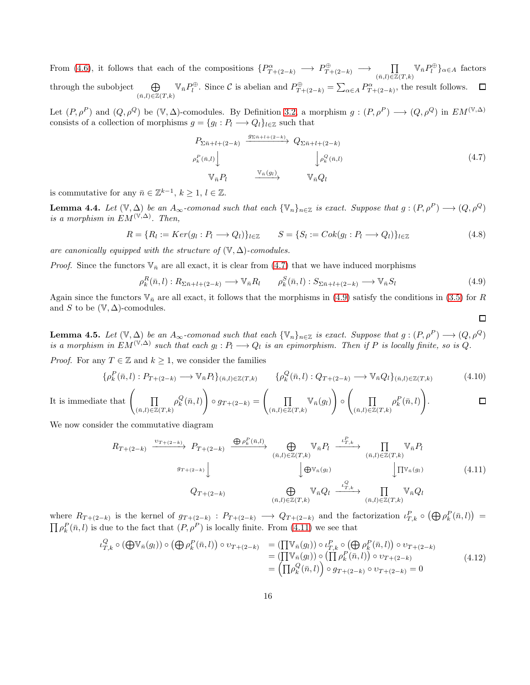From [\(4.6\)](#page-14-2), it follows that each of the compositions  $\{P_{T+(2-k)}^{\alpha} \longrightarrow P_{T+(2-k)}^{\oplus} \longrightarrow \prod_{(\bar{n},l) \in \mathbb{Z}(T,k)} \mathbb{V}_{\bar{n}} P_l^{\oplus} \}_{\alpha \in A}$  factors through the subobject  $\bigoplus$  $\bigoplus_{(\bar{n},l)\in\mathbb{Z}(T,k)} \mathbb{V}_{\bar{n}} P_l^{\oplus}$ . Since C is abelian and  $P_{T+(2-k)}^{\oplus} = \sum_{\alpha\in A} P_{T+(2-k)}^{\alpha}$ , the result follows.

Let  $(P, \rho^P)$  and  $(Q, \rho^Q)$  be  $(\mathbb{V}, \Delta)$ -comodules. By Definition [3.2,](#page-7-3) a morphism  $g : (P, \rho^P) \longrightarrow (Q, \rho^Q)$  in  $EM^{(\mathbb{V}, \Delta)}$ consists of a collection of morphisms  $g = \{g_l : P_l \longrightarrow Q_l\}_{l \in \mathbb{Z}}$  such that

<span id="page-15-0"></span>
$$
P_{\Sigma \bar{n}+l+(2-k)} \xrightarrow{g_{\Sigma \bar{n}+l+(2-k)}} Q_{\Sigma \bar{n}+l+(2-k)} \n\rho_k^P(\bar{n},l) \qquad \qquad \downarrow \rho_k^Q(\bar{n},l) \n\qquad \qquad \mathbb{V}_{\bar{n}} P_l \qquad \qquad \frac{\mathbb{V}_{\bar{n}}(g_l)}{\mathbb{V}_{\bar{n}} Q_l} \qquad \qquad \mathbb{V}_{\bar{n}} Q_l
$$
\n
$$
(4.7)
$$

 $\Box$ 

is commutative for any  $\bar{n} \in \mathbb{Z}^{k-1}$ ,  $k \geq 1$ ,  $l \in \mathbb{Z}$ .

<span id="page-15-4"></span>**Lemma 4.4.** Let  $(\mathbb{V}, \Delta)$  be an  $A_{\infty}$ -comonad such that each  $\{\mathbb{V}_n\}_{n\in\mathbb{Z}}$  is exact. Suppose that  $g: (P, \rho^P) \longrightarrow (Q, \rho^Q)$ *is a morphism in*  $EM^{(\mathbb{V}, \Delta)}$ . Then,

$$
R = \{ R_l := Ker(g_l : P_l \longrightarrow Q_l) \}_{l \in \mathbb{Z}} \qquad S = \{ S_l := Cok(g_l : P_l \longrightarrow Q_l) \}_{l \in \mathbb{Z}} \tag{4.8}
$$

*are canonically equipped with the structure of*  $(\mathbb{V}, \Delta)$ *-comodules.* 

*Proof.* Since the functors  $V_{\bar{n}}$  are all exact, it is clear from [\(4.7\)](#page-15-0) that we have induced morphisms

<span id="page-15-1"></span>
$$
\rho_k^R(\bar{n},l): R_{\Sigma \bar{n}+l+(2-k)} \longrightarrow \mathbb{V}_{\bar{n}} R_l \qquad \rho_k^S(\bar{n},l): S_{\Sigma \bar{n}+l+(2-k)} \longrightarrow \mathbb{V}_{\bar{n}} S_l \tag{4.9}
$$

Again since the functors  $\mathbb{V}_n$  are all exact, it follows that the morphisms in [\(4.9\)](#page-15-1) satisfy the conditions in [\(3.5\)](#page-7-2) for R and S to be  $(\mathbb{V}, \Delta)$ -comodules.

<span id="page-15-5"></span>**Lemma 4.5.** *Let*  $(\mathbb{V}, \Delta)$  *be an*  $A_{\infty}$ -comonad such that each  ${\mathbb{V}_n}_{n \in \mathbb{Z}}$  *is exact. Suppose that*  $g: (P, \rho^P) \longrightarrow (Q, \rho^Q)$ is a morphism in  $EM^{(\mathbb{V}, \Delta)}$  such that each  $g_l : P_l \longrightarrow Q_l$  is an epimorphism. Then if P is locally finite, so is Q.

*Proof.* For any  $T \in \mathbb{Z}$  and  $k \geq 1$ , we consider the families

$$
\{\rho_k^P(\bar{n},l): P_{T+(2-k)} \longrightarrow \mathbb{V}_{\bar{n}}P_l\}_{(\bar{n},l)\in\mathbb{Z}(T,k)} \qquad \{\rho_k^Q(\bar{n},l): Q_{T+(2-k)} \longrightarrow \mathbb{V}_{\bar{n}}Q_l\}_{(\bar{n},l)\in\mathbb{Z}(T,k)} \tag{4.10}
$$

It is immediate that 
$$
\left(\prod_{(\bar{n},l)\in\mathbb{Z}(T,k)}\rho_k^Q(\bar{n},l)\right)\circ g_{T+(2-k)}=\left(\prod_{(\bar{n},l)\in\mathbb{Z}(T,k)}\mathbb{V}_{\bar{n}}(g_l)\right)\circ\left(\prod_{(\bar{n},l)\in\mathbb{Z}(T,k)}\rho_k^P(\bar{n},l)\right).
$$

We now consider the commutative diagram

<span id="page-15-2"></span>
$$
R_{T+(2-k)} \xrightarrow{v_{T+(2-k)}} P_{T+(2-k)} \xrightarrow{\bigoplus_{\rho_k^P(\bar{n},l)}} \bigoplus_{(\bar{n},l) \in \mathbb{Z}(T,k)} \mathbb{V}_{\bar{n}} P_l \xrightarrow{L^P_{T,k}} \prod_{(\bar{n},l) \in \mathbb{Z}(T,k)} \mathbb{V}_{\bar{n}} P_l
$$
\n
$$
g_{T+(2-k)} \xrightarrow{g_{T+(2-k)}} \bigcup_{(\bar{n},l) \in \mathbb{Z}(T,k)} \mathbb{V}_{\bar{n}} Q_l \xrightarrow{L^Q_{T,k}} \prod_{(\bar{n},l) \in \mathbb{Z}(T,k)} \mathbb{V}_{\bar{n}} Q_l \xrightarrow{(2,2)} (4.11)
$$
\n
$$
(4.11)
$$

where  $R_{T+(2-k)}$  is the kernel of  $g_{T+(2-k)}$ :  $P_{T+(2-k)} \longrightarrow Q_{T+(2-k)}$  and the factorization  $\iota_{T,k}^P \circ (\bigoplus \rho_k^P(\bar{n},l)) =$  $\prod_{k} \rho_k^P(\bar{n}, l)$  is due to the fact that  $(P, \rho^P)$  is locally finite. From [\(4.11\)](#page-15-2) we see that

<span id="page-15-3"></span>
$$
\iota_{T,k}^Q \circ (\bigoplus \mathbb{V}_{\bar{n}}(g_l)) \circ (\bigoplus \rho_k^P(\bar{n},l)) \circ v_{T+(2-k)} = (\prod \mathbb{V}_{\bar{n}}(g_l)) \circ \iota_{T,k}^P \circ (\bigoplus \rho_k^P(\bar{n},l)) \circ v_{T+(2-k)} \n= (\prod \mathbb{V}_{\bar{n}}(g_l)) \circ (\prod \rho_k^P(\bar{n},l)) \circ v_{T+(2-k)} \n= (\prod \rho_k^Q(\bar{n},l)) \circ g_{T+(2-k)} \circ v_{T+(2-k)} = 0
$$
\n(4.12)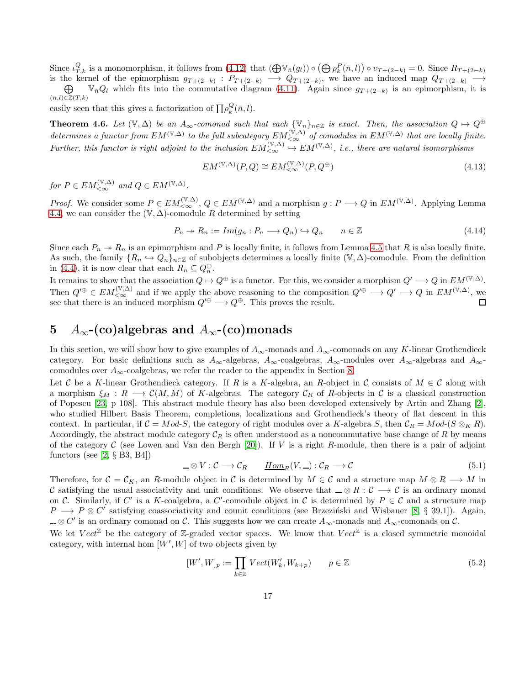Since  $\iota_{T,k}^Q$  is a monomorphism, it follows from [\(4.12\)](#page-15-3) that  $(\bigoplus \mathbb{V}_{\bar{n}}(g_l)) \circ (\bigoplus \rho_k^P(\bar{n}, l)) \circ \upsilon_{T+(2-k)} = 0$ . Since  $R_{T+(2-k)}$ is the kernel of the epimorphism  $g_{T+(2-k)}$ :  $P_{T+(2-k)} \longrightarrow Q_{T+(2-k)}$ , we have an induced map  $Q_{T+(2-k)} \longrightarrow$ 

 $\oplus$  $(\bar{n},l) \in \mathbb{Z}(T,k)$  $\mathbb{V}_{\bar{n}}Q_l$  which fits into the commutative diagram [\(4.11\)](#page-15-2). Again since  $g_{T+(2-k)}$  is an epimorphism, it is

easily seen that this gives a factorization of  $\prod \rho_k^Q(\bar{n}, l)$ .

<span id="page-16-0"></span>Theorem 4.6. Let  $(\mathbb{V}, \Delta)$  be an  $A_{\infty}$ -comonad such that each  ${\{\mathbb{V}_n\}}_{n\in\mathbb{Z}}$  is exact. Then, the association  $Q \mapsto Q^{\oplus}$  $determines$  a functor from  $EM^{(\mathbb{V},\Delta)}$  to the full subcategory  $EM_{< \infty}^{(\mathbb{V},\Delta)}$  of comodules in  $EM^{(\mathbb{V},\Delta)}$  that are locally finite. *Further, this functor is right adjoint to the inclusion*  $EM_{< \infty}^{(\mathbb{V}, \Delta)} \to EM^{(\mathbb{V}, \Delta)}$ *, i.e., there are natural isomorphisms* 

$$
EM^{(\mathbb{V}, \Delta)}(P, Q) \cong EM_{<\infty}^{(\mathbb{V}, \Delta)}(P, Q^{\oplus})
$$
\n(4.13)

*for*  $P \in EM_{< \infty}^{(\mathbb{V}, \Delta)}$  and  $Q \in EM^{(\mathbb{V}, \Delta)}$ .

*Proof.* We consider some  $P \in EM_{< \infty}^{(\mathbb{V}, \Delta)}$ ,  $Q \in EM^{(\mathbb{V}, \Delta)}$  and a morphism  $g : P \longrightarrow Q$  in  $EM^{(\mathbb{V}, \Delta)}$ . Applying Lemma [4.4,](#page-15-4) we can consider the  $(\mathbb{V}, \Delta)$ -comodule R determined by setting

$$
P_n \to R_n := Im(g_n : P_n \to Q_n) \hookrightarrow Q_n \qquad n \in \mathbb{Z}
$$
\n
$$
(4.14)
$$

Since each  $P_n \rightarrow R_n$  is an epimorphism and P is locally finite, it follows from Lemma [4.5](#page-15-5) that R is also locally finite. As such, the family  $\{R_n \hookrightarrow Q_n\}_{n\in \mathbb{Z}}$  of subobjects determines a locally finite  $(\mathbb{V}, \Delta)$ -comodule. From the definition in [\(4.4\)](#page-14-3), it is now clear that each  $R_n \subseteq Q_n^{\oplus}$ .

It remains to show that the association  $Q \mapsto Q^{\oplus}$  is a functor. For this, we consider a morphism  $Q' \longrightarrow Q$  in  $EM^{(\mathbb{V}, \Delta)}$ . Then  $Q'^{\oplus} \in EM_{< \infty}^{(\mathbb{V}, \Delta)}$  and if we apply the above reasoning to the composition  $Q'^{\oplus} \longrightarrow Q' \longrightarrow Q$  in  $EM^{(\mathbb{V}, \Delta)}$ , we see that there is an induced morphism  $Q'^{\oplus} \longrightarrow Q^{\oplus}$ . This proves the result.

# 5  $A_{\infty}$ -(co)algebras and  $A_{\infty}$ -(co)monads

In this section, we will show how to give examples of  $A_{\infty}$ -monads and  $A_{\infty}$ -comonads on any K-linear Grothendieck category. For basic definitions such as  $A_{\infty}$ -algebras,  $A_{\infty}$ -coalgebras,  $A_{\infty}$ -modules over  $A_{\infty}$ -algebras and  $A_{\infty}$ comodules over  $A_{\infty}$ -coalgebras, we refer the reader to the appendix in Section [8.](#page-27-0)

Let C be a K-linear Grothendieck category. If R is a K-algebra, an R-object in C consists of  $M \in \mathcal{C}$  along with a morphism  $\xi_M : R \longrightarrow \mathcal{C}(M, M)$  of K-algebras. The category  $\mathcal{C}_R$  of R-objects in C is a classical construction of Popescu [\[23,](#page-29-14) p 108]. This abstract module theory has also been developed extensively by Artin and Zhang [\[2\]](#page-28-3), who studied Hilbert Basis Theorem, completions, localizations and Grothendieck's theory of flat descent in this context. In particular, if  $\mathcal{C} = Mod-S$ , the category of right modules over a K-algebra S, then  $\mathcal{C}_R = Mod(S \otimes_K R)$ . Accordingly, the abstract module category  $\mathcal{C}_R$  is often understood as a noncommutative base change of R by means of the category C (see Lowen and Van den Bergh [\[20\]](#page-29-24)). If V is a right R-module, then there is a pair of adjoint functors (see  $[2, \S$  B3, B4])

<span id="page-16-1"></span>
$$
\mathcal{L} \otimes V : \mathcal{C} \longrightarrow \mathcal{C}_R \qquad \underline{Hom}_R(V, \underline{\hspace{1cm}}) : \mathcal{C}_R \longrightarrow \mathcal{C} \tag{5.1}
$$

Therefore, for  $C = C_K$ , an R-module object in C is determined by  $M \in C$  and a structure map  $M \otimes R \longrightarrow M$  in C satisfying the usual associativity and unit conditions. We observe that  $\Box \otimes R : C \longrightarrow C$  is an ordinary monad on C. Similarly, if C' is a K-coalgebra, a C'-comodule object in C is determined by  $P \in \mathcal{C}$  and a structure map  $P \longrightarrow P \otimes C'$  satisfying coassociativity and counit conditions (see Brzeziński and Wisbauer [\[8,](#page-29-11) § 39.1]). Again,  $\otimes$  C' is an ordinary comonad on C. This suggests how we can create  $A_{\infty}$ -monads and  $A_{\infty}$ -comonads on C.

We let  $Vect^{\mathbb{Z}}$  be the category of  $\mathbb{Z}$ -graded vector spaces. We know that  $Vect^{\mathbb{Z}}$  is a closed symmetric monoidal category, with internal hom  $[W', W]$  of two objects given by

<span id="page-16-2"></span>
$$
[W', W]_p := \prod_{k \in \mathbb{Z}} Vect(W'_k, W_{k+p}) \qquad p \in \mathbb{Z}
$$
\n
$$
(5.2)
$$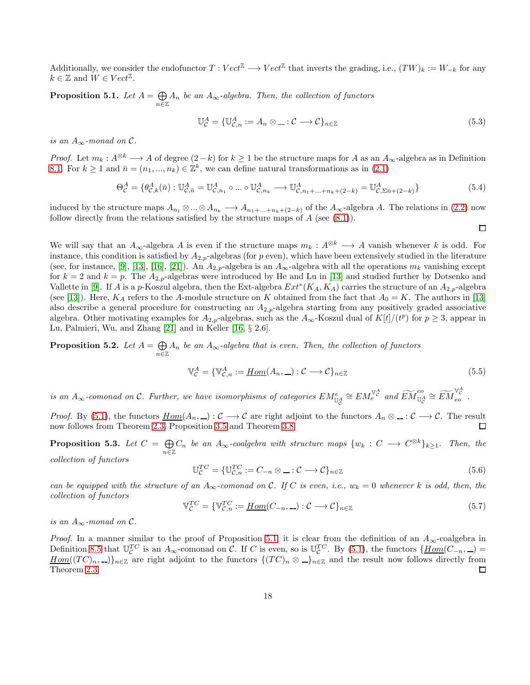Additionally, we consider the endofunctor  $T:Vect^{\mathbb{Z}} \longrightarrow Vect^{\mathbb{Z}}$  that inverts the grading, i.e.,  $(TW)_k := W_{-k}$  for any  $k \in \mathbb{Z}$  and  $W \in Vect^{\mathbb{Z}}$ .

<span id="page-17-1"></span>Proposition 5.1. Let  $A = \bigoplus$  $\bigoplus_{n \in \mathbb{Z}} A_n$  *be an*  $A_{\infty}$ -algebra. Then, the collection of functors

$$
\mathbb{U}_{\mathcal{C}}^A = \{ \mathbb{U}_{\mathcal{C},n}^A := A_n \otimes \ldots : \mathcal{C} \longrightarrow \mathcal{C} \}_{n \in \mathbb{Z}} \tag{5.3}
$$

 $\Box$ 

*is an*  $A_{\infty}$ *-monad on*  $\mathcal{C}$ *.* 

*Proof.* Let  $m_k : A^{\otimes k} \longrightarrow A$  of degree  $(2-k)$  for  $k \ge 1$  be the structure maps for A as an  $A_{\infty}$ -algebra as in Definition [8.1.](#page-27-1) For  $k \ge 1$  and  $\bar{n} = (n_1, ..., n_k) \in \mathbb{Z}^k$ , we can define natural transformations as in [\(2.1\)](#page-3-2)

$$
\Theta_{\mathcal{C}}^A = \{ \theta_{\mathcal{C},k}^A(\bar{n}) : \mathbb{U}_{\mathcal{C},\bar{n}}^A = \mathbb{U}_{\mathcal{C},n_1}^A \circ \dots \circ \mathbb{U}_{\mathcal{C},n_k}^A \longrightarrow \mathbb{U}_{\mathcal{C},n_1+\dots+n_k+(2-k)}^A = \mathbb{U}_{\mathcal{C},\Sigma\bar{n}+(2-k)}^A \}
$$
(5.4)

induced by the structure maps  $A_{n_1} \otimes ... \otimes A_{n_k} \longrightarrow A_{n_1+...+n_k+(2-k)}$  of the  $A_{\infty}$ -algebra A. The relations in [\(2.2\)](#page-3-0) now follow directly from the relations satisfied by the structure maps of  $A$  (see  $(8.1)$ ).

We will say that an  $A_{\infty}$ -algebra A is even if the structure maps  $m_k : A^{\otimes k} \longrightarrow A$  vanish whenever k is odd. For instance, this condition is satisfied by  $A_{2,p}$ -algebras (for p even), which have been extensively studied in the literature (see, for instance, [\[9\]](#page-29-15), [\[13\]](#page-29-16), [\[16\]](#page-29-17), [\[21\]](#page-29-18)). An  $A_{2,p}$ -algebra is an  $A_{\infty}$ -algebra with all the operations  $m_k$  vanishing except for  $k = 2$  and  $k = p$ . The  $A_{2,p}$ -algebras were introduced by He and Lu in [\[13\]](#page-29-16) and studied further by Dotsenko and Vallette in [\[9\]](#page-29-15). If A is a p-Koszul algebra, then the Ext-algebra  $Ext^*(K_A, K_A)$  carries the structure of an  $A_{2,p}$ -algebra (see [\[13\]](#page-29-16)). Here,  $K_A$  refers to the A-module structure on K obtained from the fact that  $A_0 = K$ . The authors in [13] also describe a general procedure for constructing an  $A_{2,p}$ -algebra starting from any positively graded associative algebra. Other motivating examples for  $A_{2,p}$ -algebras, such as the  $A_{\infty}$ -Koszul dual of  $K[t]/(t^p)$  for  $p \ge 3$ , appear in Lu, Palmieri, Wu, and Zhang [\[21\]](#page-29-18) and in Keller [\[16,](#page-29-17) § 2.6].

<span id="page-17-0"></span>Proposition 5.2. Let  $A = \bigoplus$  $\bigoplus_{n\in\mathbb{Z}}A_n$  be an  $A_{\infty}$ -algebra that is even. Then, the collection of functors

$$
\mathbb{V}_{\mathcal{C}}^{A} = \{ \mathbb{V}_{\mathcal{C},n}^{A} := \underline{Hom}(A_n, \_) : \mathcal{C} \longrightarrow \mathcal{C} \}_{n \in \mathbb{Z}}
$$
(5.5)

*is an*  $A_{\infty}$ -comonad on C. Further, we have isomorphisms of categories  $EM_{\mathbb{U}_{\mathcal{C}}^A}^e \cong EM_{e}^{\mathbb{V}_{\mathcal{C}}^A}$  and  $\widetilde{EM}_{\mathbb{U}_{\mathcal{C}}^A}^{eo} \cong \widetilde{EM}_{eo}^{\mathbb{V}_{\mathcal{C}}^A}$ .

*Proof.* By [\(5.1\)](#page-16-1), the functors  $\underline{Hom}(A_n, \underline{\hspace{1cm}}): \mathcal{C} \longrightarrow \mathcal{C}$  are right adjoint to the functors  $A_n \otimes \underline{\hspace{1cm}}: \mathcal{C} \longrightarrow \mathcal{C}$ . The result now follows from Theorem [2.3,](#page-4-0) Proposition [3.5](#page-9-0) and Theorem [3.8.](#page-12-0) □

<span id="page-17-2"></span>Proposition 5.3. Let  $C = \bigoplus$  $\bigoplus_{n\in\mathbb{Z}} C_n$  *be an*  $A_{\infty}$ -coalgebra with structure maps  $\{w_k : C \longrightarrow C^{\otimes k}\}_{k\geq 1}$ . Then, the

*collection of functors*

$$
\mathbb{U}_{\mathcal{C}}^{TC} = \{ \mathbb{U}_{\mathcal{C},n}^{TC} := C_{-n} \otimes \dots : \mathcal{C} \longrightarrow \mathcal{C} \}_{n \in \mathbb{Z}} \tag{5.6}
$$

*can be equipped with the structure of an*  $A_{\infty}$ -comonad on C. If C is even, i.e.,  $w_k = 0$  whenever k is odd, then, the *collection of functors*

$$
\mathbb{V}_{\mathcal{C}}^{TC} = \{ \mathbb{V}_{\mathcal{C},n}^{TC} := \underline{Hom}(C_{-n}, \underline{\hspace{0.1cm}}) : \mathcal{C} \longrightarrow \mathcal{C} \}_{n \in \mathbb{Z}}
$$
(5.7)

*is an A* $\infty$ *-monad on C*.

*Proof.* In a manner similar to the proof of Proposition [5.1,](#page-17-1) it is clear from the definition of an  $A_{\infty}$ -coalgebra in Definition [8.5](#page-28-7) that  $\mathbb{U}_{\mathcal{C}}^{TC}$  is an  $A_{\infty}$ -comonad on  $\mathcal{C}$ . If C is even, so is  $\mathbb{U}_{\mathcal{C}}^{TC}$ . By [\(5.1\)](#page-16-1), the functors  $\{\underline{Hom}(C_{-n},\_\_\)$  $Hom((TC)_n, ...)$ <sub>n∈Z</sub> are right adjoint to the functors  $\{(TC)_n \otimes \_\}_{n\in\mathbb{Z}}$  and the result now follows directly from Theorem [2.3.](#page-4-0) □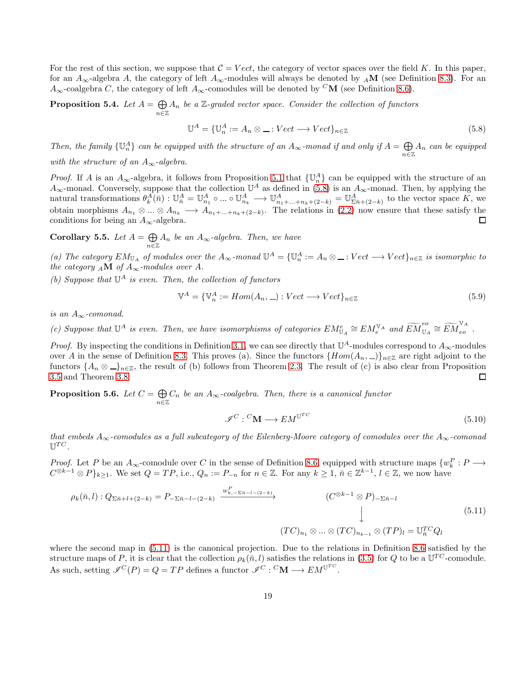For the rest of this section, we suppose that  $C = Vect$ , the category of vector spaces over the field K. In this paper, for an  $A_{\infty}$ -algebra A, the category of left  $A_{\infty}$ -modules will always be denoted by  $_A\mathbf{M}$  (see Definition [8.3\)](#page-27-3). For an  $A_{\infty}$ -coalgebra C, the category of left  $A_{\infty}$ -comodules will be denoted by <sup>C</sup>M (see Definition [8.6\)](#page-28-8).

Proposition 5.4. Let  $A = \bigoplus$  $\bigoplus_{n\in\mathbb{Z}}A_n$  *be a* Z-graded vector space. Consider the collection of functors

<span id="page-18-0"></span>
$$
\mathbb{U}^A = \{\mathbb{U}_n^A := A_n \otimes \dots : Vect \to Vect\}_{n \in \mathbb{Z}}
$$
\n(5.8)

*Then, the family*  $\{U_n^A\}$  *can be equipped with the structure of an*  $A_\infty$ *-monad if and only if*  $A = \bigoplus$ n∈Z A<sup>n</sup> *can be equipped with the structure of an*  $A_{\infty}$ -algebra.

*Proof.* If A is an  $A_{\infty}$ -algebra, it follows from Proposition [5.1](#page-17-1) that  $\{\mathbb{U}_{n}^{A}\}$  can be equipped with the structure of an

 $A_{\infty}$ -monad. Conversely, suppose that the collection  $\mathbb{U}^A$  as defined in [\(5.8\)](#page-18-0) is an  $A_{\infty}$ -monad. Then, by applying the natural transformations  $\theta_k^A(\bar{n}) : \mathbb{U}_{\bar{n}}^A = \mathbb{U}_{n_1}^A \circ ... \circ \mathbb{U}_{n_k}^A \longrightarrow \mathbb{U}_{n_1+...+n_k+(2-k)}^A = \mathbb{U}_{\Sigma \bar{n}+(2-k)}^A$  to the vector space K, we obtain morphisms  $A_{n_1} \otimes ... \otimes A_{n_k} \longrightarrow A_{n_1+...+n_k+(2-k)}$ . The relations in [\(2.2\)](#page-3-0) now ensure that these satisfy the conditions for being an  $A_{\infty}$ -algebra.  $\Box$ 

Corollary 5.5. Let  $A = \bigoplus$  $\bigoplus_{n \in \mathbb{Z}} A_n$  *be an*  $A_{\infty}$ -*algebra. Then, we have* 

(a) The category  $EM_{\mathbb{U}_A}$  of modules over the  $A_\infty$ -monad  $\mathbb{U}^A = {\{\mathbb{U}_n^A\coloneqq A_n \otimes \_ : Vect \longrightarrow Vect\}_{n \in \mathbb{Z}}}$  is isomorphic to *the category*  $_A \mathbf{M}$  *of*  $A_\infty$ *-modules over* A.

*(b) Suppose that* U <sup>A</sup> *is even. Then, the collection of functors*

$$
\mathbb{V}^{A} = \{ \mathbb{V}^{A}_{n} := Hom(A_{n}, \underline{\hspace{0.05cm}}) : Vect \longrightarrow Vect \}_{n \in \mathbb{Z}}
$$
\n
$$
(5.9)
$$

*is an* A∞*-comonad.*

*(c)* Suppose that  $\mathbb{U}^A$  is even. Then, we have isomorphisms of categories  $EM_{\mathbb{U}_A}^e \cong EM_{e}^{\mathbb{V}_A}$  and  $\widetilde{EM}_{\mathbb{U}_A}^{eo} \cong \widetilde{EM}_{eo}^{\mathbb{V}_A}$ .

*Proof.* By inspecting the conditions in Definition [3.1,](#page-7-0) we can see directly that  $\mathbb{U}^A$ -modules correspond to  $A_\infty$ -modules over A in the sense of Definition [8.3.](#page-27-3) This proves (a). Since the functors  $\{Hom(A_n, \underline{\hspace{1cm}})\}_{n\in\mathbb{Z}}$  are right adjoint to the functors  $\{A_n \otimes \_n\}_{n \in \mathbb{Z}}$ , the result of (b) follows from Theorem [2.3.](#page-4-0) The result of (c) is also clear from Proposition [3.5](#page-9-0) and Theorem [3.8.](#page-12-0) 口

<span id="page-18-2"></span>Proposition 5.6. Let  $C = \bigoplus$  $\bigoplus_{n\in\mathbb{Z}} C_n$  *be an*  $A_{\infty}$ -coalgebra. Then, there is a canonical functor

$$
\mathcal{I}^C: {}^C \mathbf{M} \longrightarrow E \mathbf{M}^{\mathbb{U}^{TC}} \tag{5.10}
$$

*that embeds*  $A_{\infty}$ -comodules as a full subcategory of the Eilenberg-Moore category of comodules over the  $A_{\infty}$ -comonad  $\mathbb{U}^{TC}$ .

*Proof.* Let P be an  $A_{\infty}$ -comodule over C in the sense of Definition [8.6,](#page-28-8) equipped with structure maps  $\{w_k^P: P \longrightarrow$  $C^{\otimes k-1}\otimes P\}_{k\geq 1}$ . We set  $Q=TP$ , i.e.,  $Q_n:=P_{-n}$  for  $n\in\mathbb{Z}$ . For any  $k\geq 1$ ,  $\bar{n}\in\mathbb{Z}^{k-1}$ ,  $l\in\mathbb{Z}$ , we now have

<span id="page-18-1"></span>
$$
\rho_k(\bar{n},l): Q_{\Sigma\bar{n}+l+(2-k)} = P_{-\Sigma\bar{n}-l-(2-k)} \xrightarrow{w_{k,-\Sigma\bar{n}-l-(2-k)}^P} (C^{\otimes k-1} \otimes P)_{-\Sigma\bar{n}-l}
$$
\n
$$
(5.11)
$$
\n
$$
(TC)_{n_1} \otimes \dots \otimes (TC)_{n_{k-1}} \otimes (TP)_l = \mathbb{U}_{\bar{n}}^{TC}Q_l
$$
\n
$$
(5.11)
$$

where the second map in [\(5.11\)](#page-18-1) is the canonical projection. Due to the relations in Definition [8.6](#page-28-8) satisfied by the structure maps of P, it is clear that the collection  $\rho_k(\bar{n}, l)$  satisfies the relations in [\(3.5\)](#page-7-2) for Q to be a  $\mathbb{U}^{TC}$ -comodule. As such, setting  $\mathscr{I}^C(P) = Q = TP$  defines a functor  $\mathscr{I}^C : C^{\bullet}(\mathbf{M}) \longrightarrow EM^{\mathbb{U}^{TC}}$ .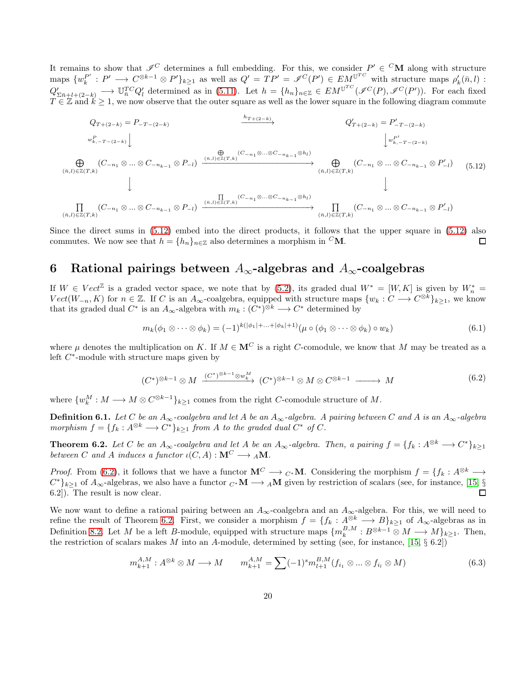It remains to show that  $\mathscr{I}^C$  determines a full embedding. For this, we consider  $P' \in {}^C{\bf M}$  along with structure maps  $\{w_k^{P'}: P' \longrightarrow C^{\otimes k-1} \otimes P'\}_{k\geq 1}$  as well as  $Q' = TP' = \mathscr{I}^C(P') \in EM^{\mathbb{U}^{TC}}$  with structure maps  $\rho'_k(\bar{n},l)$ :  $Q'_{\Sigma \bar{n}+l+(2-k)} \longrightarrow \mathbb{U}_{\bar{n}}^{TC} Q'_{l}$  determined as in [\(5.11\)](#page-18-1). Let  $h = \{h_{n}\}_{n\in\mathbb{Z}} \in EM^{\mathbb{U}^{TC}}(\mathscr{I}^{C}(P), \mathscr{I}^{C}(P'))$ . For each fixed  $T \in \mathbb{Z}$  and  $k \geq 1$ , we now observe that the outer square as well as the lower square in the following diagram commute

<span id="page-19-0"></span>
$$
Q_{T+(2-k)} = P_{-T-(2-k)}
$$
\n
$$
\downarrow Q'_{T+(2-k)} = P'_{-T-(2-k)}
$$
\n
$$
\downarrow Q''_{r+(2-k)} = P'_{-T-(2-k)}
$$
\n
$$
\downarrow Q''_{r+(2-k)} = P'_{-T-(2-k)}
$$
\n
$$
\downarrow Q''_{r+(2-k)} = P'_{-T-(2-k)}
$$
\n
$$
\downarrow Q''_{r+(2-k)} = P'_{-T-(2-k)}
$$
\n
$$
\downarrow Q''_{r+(2-k)} = P'_{-T-(2-k)}
$$
\n
$$
\downarrow Q''_{r+(2-k)} = P'_{-T-(2-k)}
$$
\n
$$
\downarrow Q''_{r+(2-k)} = P'_{-T-(2-k)}
$$
\n
$$
\downarrow Q''_{r+(2-k)} = P'_{-T-(2-k)}
$$
\n
$$
\downarrow Q''_{r+(2-k)} = P'_{-T-(2-k)}
$$
\n
$$
\downarrow Q''_{r+(2-k)} = P'_{-T-(2-k)}
$$
\n
$$
\downarrow Q''_{r+(2-k)} = P'_{-T-(2-k)}
$$
\n
$$
\downarrow Q''_{r+(2-k)} = P'_{-T-(2-k)}
$$
\n
$$
\downarrow Q''_{r+(2-k)} = P'_{-T-(2-k)}
$$
\n
$$
\downarrow Q''_{r+(2-k)} = P'_{-T-(2-k)}
$$
\n
$$
\downarrow Q''_{r+(2-k)} = P'_{-T-(2-k)}
$$
\n
$$
\downarrow Q''_{r+(2-k)} = P'_{-T-(2-k)}
$$
\n
$$
\downarrow Q''_{r+(2-k)} = Q'_{-T-(2-k)}
$$
\n
$$
\downarrow Q''_{r+(2-k)} = Q'_{-T-(2-k)}
$$
\n
$$
\downarrow Q''_{r+(2-k)} = Q'_{-T-(2-k)}
$$
\n
$$
\downarrow Q''_{r+(2-k)} = Q'_{-T-(2-k)}
$$
\n
$$
\downarrow Q''_{r+(2-k)} = Q'_{-T-(2-k)}
$$
\n
$$
\downarrow Q''_{r+(2-k)} = Q'_{-T-(2-k)}
$$
\n
$$
\downarrow Q''_{r+(2-k)} = Q'_{-T-(2-k)}
$$
\n
$$
\downarrow Q''_{r+(2-k)} = Q'_{-T-(2-k)}
$$
\n
$$
\downarrow Q''_{r+(2-k
$$

Since the direct sums in [\(5.12\)](#page-19-0) embed into the direct products, it follows that the upper square in [\(5.12\)](#page-19-0) also commutes. We now see that  $h = \{h_n\}_{n\in\mathbb{Z}}$  also determines a morphism in <sup>C</sup>M. □

### 6 Rational pairings between  $A_{\infty}$ -algebras and  $A_{\infty}$ -coalgebras

If  $W \in Vect^{\mathbb{Z}}$  is a graded vector space, we note that by [\(5.2\)](#page-16-2), its graded dual  $W^* = [W, K]$  is given by  $W_n^* =$  $Vect(W_{-n}, K)$  for  $n \in \mathbb{Z}$ . If C is an  $A_{\infty}$ -coalgebra, equipped with structure maps  $\{w_k : C \longrightarrow C^{\otimes k}\}_{k \geq 1}$ , we know that its graded dual  $C^*$  is an  $A_{\infty}$ -algebra with  $m_k : (C^*)^{\otimes k} \longrightarrow C^*$  determined by

$$
m_k(\phi_1 \otimes \cdots \otimes \phi_k) = (-1)^{k(|\phi_1| + \cdots + |\phi_k| + 1)} (\mu \circ (\phi_1 \otimes \cdots \otimes \phi_k) \circ w_k)
$$
(6.1)

where  $\mu$  denotes the multiplication on K. If  $M \in \mathbb{M}^C$  is a right C-comodule, we know that M may be treated as a left  $C^*$ -module with structure maps given by

<span id="page-19-1"></span>
$$
(C^*)^{\otimes k-1} \otimes M \xrightarrow{(C^*)^{\otimes k-1} \otimes w_k^M} (C^*)^{\otimes k-1} \otimes M \otimes C^{\otimes k-1} \xrightarrow{\qquad} M \tag{6.2}
$$

where  $\{w_k^M: M \longrightarrow M \otimes C^{\otimes k-1}\}_{k \geq 1}$  comes from the right C-comodule structure of M.

**Definition 6.1.** *Let* C *be an*  $A_{\infty}$ -coalgebra and let A *be an*  $A_{\infty}$ -algebra. A pairing between C and A is an  $A_{\infty}$ -algebra *morphism*  $f = \{f_k : A^{\otimes k} \longrightarrow C^*\}_{k \ge 1}$  *from* A *to the graded dual*  $C^*$  *of*  $C$ *.* 

<span id="page-19-2"></span>**Theorem 6.2.** Let C be an  $A_{\infty}$ -coalgebra and let A be an  $A_{\infty}$ -algebra. Then, a pairing  $f = \{f_k : A^{\otimes k} \longrightarrow C^*\}_{k \geq 1}$ *between* C and A *induces* a functor  $\iota(C, A) : \mathbf{M}^C \longrightarrow {}_A\mathbf{M}$ .

*Proof.* From [\(6.2\)](#page-19-1), it follows that we have a functor  $\mathbf{M}^C \longrightarrow C^* \mathbf{M}$ . Considering the morphism  $f = \{f_k : A^{\otimes k} \longrightarrow$  $C^*$ <sub>k≥1</sub> of  $A_\infty$ -algebras, we also have a functor  $C^*M \longrightarrow AM$  given by restriction of scalars (see, for instance, [\[15,](#page-29-5) § 6.2]). The result is now clear.  $\Box$ 

We now want to define a rational pairing between an  $A_{\infty}$ -coalgebra and an  $A_{\infty}$ -algebra. For this, we will need to refine the result of Theorem [6.2.](#page-19-2) First, we consider a morphism  $f = \{f_k : A^{\otimes k} \longrightarrow B\}_{k\geq 1}$  of  $A_{\infty}$ -algebras as in Definition [8.2.](#page-27-4) Let M be a left B-module, equipped with structure maps  $\{m_k^{B,M}: B^{\otimes k-1}\otimes M\longrightarrow M\}_{k\geq 1}$ . Then, the restriction of scalars makes M into an A-module, determined by setting (see, for instance, [\[15,](#page-29-5)  $\S$  6.2])

<span id="page-19-3"></span>
$$
m_{k+1}^{A,M}: A^{\otimes k} \otimes M \longrightarrow M \qquad m_{k+1}^{A,M} = \sum (-1)^s m_{l+1}^{B,M} (f_{i_1} \otimes \dots \otimes f_{i_l} \otimes M)
$$
(6.3)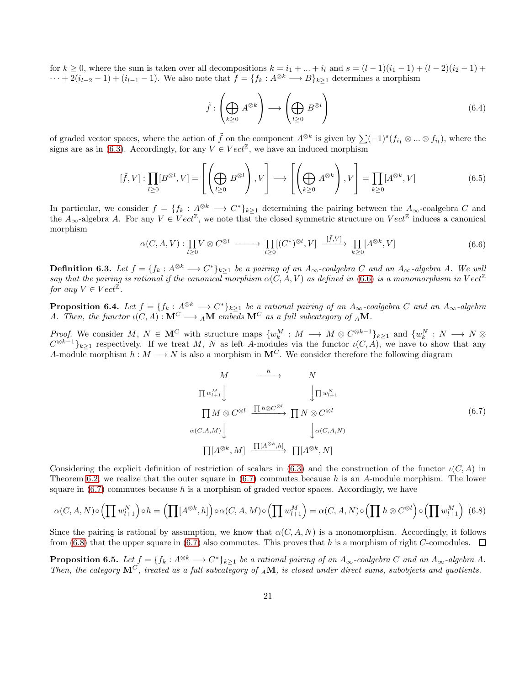for  $k \ge 0$ , where the sum is taken over all decompositions  $k = i_1 + ... + i_l$  and  $s = (l-1)(i_1-1) + (l-2)(i_2-1) +$  $\cdots + 2(i_{l-2}-1) + (i_{l-1}-1)$ . We also note that  $f = \{f_k : A^{\otimes k} \longrightarrow B\}_{k>1}$  determines a morphism

$$
\tilde{f} : \left(\bigoplus_{k\geq 0} A^{\otimes k}\right) \longrightarrow \left(\bigoplus_{l\geq 0} B^{\otimes l}\right) \tag{6.4}
$$

of graded vector spaces, where the action of  $\tilde{f}$  on the component  $A^{\otimes k}$  is given by  $\sum (-1)^s (f_{i_1} \otimes ... \otimes f_{i_l})$ , where the signs are as in [\(6.3\)](#page-19-3). Accordingly, for any  $V \in Vect^{\mathbb{Z}}$ , we have an induced morphism

$$
[\tilde{f}, V] : \prod_{l \ge 0} [B^{\otimes l}, V] = \left[ \left( \bigoplus_{l \ge 0} B^{\otimes l} \right), V \right] \longrightarrow \left[ \left( \bigoplus_{k \ge 0} A^{\otimes k} \right), V \right] = \prod_{k \ge 0} [A^{\otimes k}, V] \tag{6.5}
$$

In particular, we consider  $f = \{f_k : A^{\otimes k} \longrightarrow C^*\}_{k\geq 1}$  determining the pairing between the  $A_\infty$ -coalgebra C and the  $A_{\infty}$ -algebra A. For any  $V \in Vect^{\mathbb{Z}}$ , we note that the closed symmetric structure on  $Vect^{\mathbb{Z}}$  induces a canonical morphism

<span id="page-20-1"></span>
$$
\alpha(C, A, V) : \prod_{l \ge 0} V \otimes C^{\otimes l} \longrightarrow \prod_{l \ge 0} [(C^*)^{\otimes l}, V] \xrightarrow{[\tilde{f}, V]} \prod_{k \ge 0} [A^{\otimes k}, V] \tag{6.6}
$$

<span id="page-20-0"></span>**Definition 6.3.** Let  $f = \{f_k : A^{\otimes k} \longrightarrow C^*\}_{k\geq 1}$  be a pairing of an  $A_\infty$ -coalgebra C and an  $A_\infty$ -algebra A. We will *say that the pairing is rational if the canonical morphism*  $\alpha(C, A, V)$  *as defined in* [\(6.6\)](#page-20-1) *is a monomorphism in* Vect<sup> $\mathbb{Z}$ </sup> *for any*  $V \in Vect^{\mathbb{Z}}$ .

**Proposition 6.4.** Let  $f = \{f_k : A^{\otimes k} \longrightarrow C^*\}_{k\geq 1}$  be a rational pairing of an  $A_\infty$ -coalgebra C and an  $A_\infty$ -algebra A. Then, the functor  $\iota(C, A) : \mathbf{M}^C \longrightarrow {}_A\mathbf{M}$  embeds  $\mathbf{M}^C$  as a full subcategory of  ${}_A\mathbf{M}$ .

*Proof.* We consider  $M, N \in \mathbf{M}^C$  with structure maps  $\{w_k^M : M \longrightarrow M \otimes C^{\otimes k-1}\}_{k \geq 1}$  and  $\{w_k^N : N \longrightarrow N \otimes$  $C^{\otimes k-1}\}_{k\geq 1}$  respectively. If we treat M, N as left A-modules via the functor  $\iota(C, A)$ , we have to show that any A-module morphism  $h : M \longrightarrow N$  is also a morphism in  $\mathbf{M}^C$ . We consider therefore the following diagram

<span id="page-20-2"></span>
$$
M \longrightarrow N
$$
  
\n
$$
\Pi w_{l+1}^M \downarrow \qquad \qquad \downarrow \Pi w_{l+1}^N
$$
  
\n
$$
\Pi M \otimes C^{\otimes l} \xrightarrow{\Pi h \otimes C^{\otimes l}} \Pi N \otimes C^{\otimes l}
$$
  
\n
$$
\alpha(C, A, M) \downarrow \qquad \qquad \downarrow \alpha(C, A, N)
$$
  
\n
$$
\Pi[A^{\otimes k}, M] \xrightarrow{\Pi [A^{\otimes k}, h]} \Pi[A^{\otimes k}, N]
$$
  
\n(6.7)

Considering the explicit definition of restriction of scalars in [\(6.3\)](#page-19-3) and the construction of the functor  $\iota(C, A)$  in Theorem [6.2,](#page-19-2) we realize that the outer square in  $(6.7)$  commutes because h is an A-module morphism. The lower square in  $(6.7)$  commutes because h is a morphism of graded vector spaces. Accordingly, we have

<span id="page-20-3"></span>
$$
\alpha(C, A, N) \circ \left(\prod w_{l+1}^{N}\right) \circ h = \left(\prod [A^{\otimes k}, h]\right) \circ \alpha(C, A, M) \circ \left(\prod w_{l+1}^{M}\right) = \alpha(C, A, N) \circ \left(\prod h \otimes C^{\otimes l}\right) \circ \left(\prod w_{l+1}^{M}\right) \tag{6.8}
$$

Since the pairing is rational by assumption, we know that  $\alpha(C, A, N)$  is a monomorphism. Accordingly, it follows from [\(6.8\)](#page-20-3) that the upper square in [\(6.7\)](#page-20-2) also commutes. This proves that h is a morphism of right C-comodules.  $\Box$ 

<span id="page-20-4"></span>**Proposition 6.5.** Let  $f = \{f_k : A^{\otimes k} \longrightarrow C^*\}_{k\geq 1}$  be a rational pairing of an  $A_\infty$ -coalgebra C and an  $A_\infty$ -algebra A. *Then, the category* M<sup>C</sup> *, treated as a full subcategory of* <sup>A</sup>M*, is closed under direct sums, subobjects and quotients.*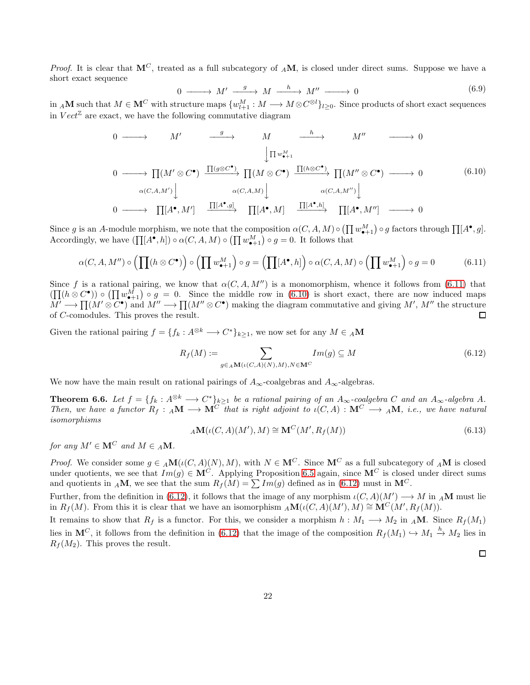*Proof.* It is clear that  $M^C$ , treated as a full subcategory of AM, is closed under direct sums. Suppose we have a short exact sequence

$$
0 \longrightarrow M' \xrightarrow{g} M \xrightarrow{h} M'' \longrightarrow 0
$$
\n
$$
(6.9)
$$

 $\text{in } _A\mathbf{M} \text{ such that } M\in\mathbf{M}^C \text{ with structure maps } \{w^M_{l+1}:M\longrightarrow M\otimes C^{\otimes l}\}_{l\geq 0}. \text{ Since products of short exact sequences }$ in  $Vect^{\mathbb{Z}}$  are exact, we have the following commutative diagram

<span id="page-21-2"></span>
$$
0 \longrightarrow M' \longrightarrow M \longrightarrow M'' \longrightarrow 0
$$
  

$$
\downarrow \Pi w_{\bullet+1}^M
$$
  

$$
0 \longrightarrow \Pi(M' \otimes C^{\bullet}) \xrightarrow{\Pi(g \otimes C^{\bullet})} \Pi(M \otimes C^{\bullet}) \xrightarrow{\Pi(h \otimes C^{\bullet})} \Pi(M'' \otimes C^{\bullet}) \longrightarrow 0
$$
  

$$
\alpha(C, A, M') \downarrow \qquad \alpha(C, A, M) \downarrow \qquad \alpha(C, A, M'') \downarrow
$$
  

$$
0 \longrightarrow \Pi[A^{\bullet}, M'] \xrightarrow{\Pi[A^{\bullet}, g]} \Pi[A^{\bullet}, M] \xrightarrow{\Pi[A^{\bullet}, h]} \Pi[A^{\bullet}, M''] \longrightarrow 0
$$
  
(6.10)

Since g is an A-module morphism, we note that the composition  $\alpha(C, A, M) \circ (\prod w_{\bullet+1}^M) \circ g$  factors through  $\prod [A^{\bullet}, g]$ . Accordingly, we have  $(\prod [A^{\bullet}, h]) \circ \alpha(C, A, M) \circ (\prod w_{\bullet+1}^{M}) \circ g = 0$ . It follows that

<span id="page-21-1"></span>
$$
\alpha(C, A, M'') \circ \left(\prod(h \otimes C^{\bullet})\right) \circ \left(\prod w_{\bullet+1}^{M}\right) \circ g = \left(\prod[A^{\bullet}, h]\right) \circ \alpha(C, A, M) \circ \left(\prod w_{\bullet+1}^{M}\right) \circ g = 0 \tag{6.11}
$$

Since f is a rational pairing, we know that  $\alpha(C, A, M'')$  is a monomorphism, whence it follows from [\(6.11\)](#page-21-1) that  $(\prod (h \otimes C^{\bullet})) \circ (\prod w_{\bullet+1}^{M}) \circ g = 0$ . Since the middle row in [\(6.10\)](#page-21-2) is short exact, there are now induced maps  $M' \longrightarrow \prod (M' \otimes C^{\bullet})$  and  $M'' \longrightarrow \prod (M'' \otimes C^{\bullet})$  making the diagram commutative and giving  $M'$ ,  $M''$  the structure of C-comodules. This proves the result. 口

Given the rational pairing  $f = \{f_k : A^{\otimes k} \longrightarrow C^*\}_{k \ge 1}$ , we now set for any  $M \in {}_A{\bf M}$ 

<span id="page-21-3"></span>
$$
R_f(M) := \sum_{g \in {}_A \mathbf{M}(\iota(C,A)(N),M), N \in \mathbf{M}^C} Im(g) \subseteq M
$$
\n
$$
(6.12)
$$

We now have the main result on rational pairings of  $A_{\infty}$ -coalgebras and  $A_{\infty}$ -algebras.

<span id="page-21-0"></span>**Theorem 6.6.** Let  $f = \{f_k : A^{\otimes k} \longrightarrow C^*\}_{k\geq 1}$  be a rational pairing of an  $A_\infty$ -coalgebra C and an  $A_\infty$ -algebra A. *Then, we have a functor*  $R_f : A\mathbf{M} \to \mathbf{M}^C$  *that is right adjoint to*  $\iota(C, A) : \mathbf{M}^C \to {}_A\mathbf{M}$ *, i.e., we have natural isomorphisms*

$$
{}_{A}\mathbf{M}(\iota(C, A)(M'), M) \cong \mathbf{M}^{C}(M', R_{f}(M))
$$
\n(6.13)

*for any*  $M' \in \mathbf{M}^C$  *and*  $M \in A\mathbf{M}$ *.* 

*Proof.* We consider some  $q \in A\mathbf{M}(\iota(C, A)(N), M)$ , with  $N \in \mathbf{M}^C$ . Since  $\mathbf{M}^C$  as a full subcategory of  $_A\mathbf{M}$  is closed under quotients, we see that  $Im(g) \in M^C$ . Applying Proposition [6.5](#page-20-4) again, since  $M^C$  is closed under direct sums and quotients in AM, we see that the sum  $R_f(M) = \sum Im(g)$  defined as in [\(6.12\)](#page-21-3) must in M<sup>C</sup>.

Further, from the definition in [\(6.12\)](#page-21-3), it follows that the image of any morphism  $\iota(C, A)(M') \to M$  in  $_A\mathbf{M}$  must lie in  $R_f(M)$ . From this it is clear that we have an isomorphism  $_A\mathbf{M}(\iota(C,A)(M'),M) \cong \mathbf{M}^C(M',R_f(M)).$ 

It remains to show that  $R_f$  is a functor. For this, we consider a morphism  $h : M_1 \longrightarrow M_2$  in AM. Since  $R_f(M_1)$ lies in  $\mathbf{M}^C$ , it follows from the definition in [\(6.12\)](#page-21-3) that the image of the composition  $R_f(M_1) \hookrightarrow M_1 \stackrel{h}{\to} M_2$  lies in  $R_f(M_2)$ . This proves the result.

 $\Box$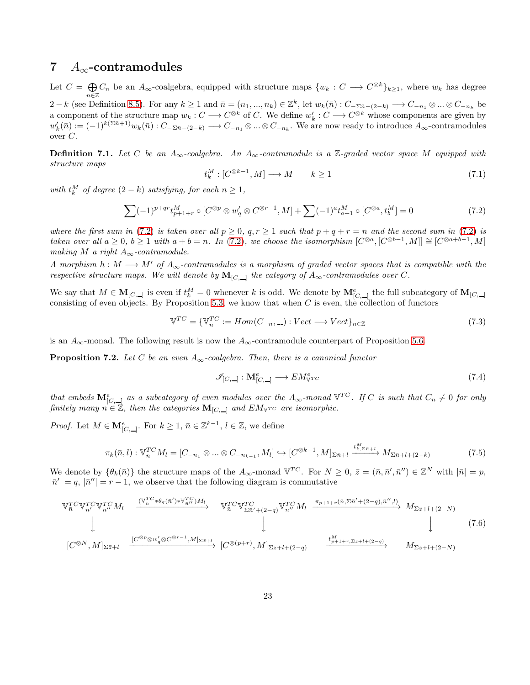### 7  $A_{\infty}$ -contramodules

Let  $C = \bigoplus$  $\bigoplus_{n\in\mathbb{Z}} C_n$  be an  $A_{\infty}$ -coalgebra, equipped with structure maps  $\{w_k : C \longrightarrow C^{\otimes k}\}_{k\geq 1}$ , where  $w_k$  has degree 2 – k (see Definition [8.5\)](#page-28-7). For any  $k \geq 1$  and  $\bar{n} = (n_1, ..., n_k) \in \mathbb{Z}^k$ , let  $w_k(\bar{n}) : C_{-\Sigma \bar{n} - (2-k)} \longrightarrow C_{-n_1} \otimes ... \otimes C_{-n_k}$  be a component of the structure map  $w_k : C \longrightarrow C^{\otimes k}$  of C. We define  $w'_k : C \longrightarrow C^{\otimes k}$  whose components are given by  $w'_k(\bar{n}) := (-1)^{k(\Sigma \bar{n}+1)} w_k(\bar{n}) : C_{-\Sigma \bar{n}-(2-k)} \longrightarrow C_{-n_1} \otimes ... \otimes C_{-n_k}$ . We are now ready to introduce  $A_{\infty}$ -contramodules over C.

<span id="page-22-0"></span>**Definition 7.1.** Let C be an  $A_\infty$ -coalgebra. An  $A_\infty$ -contramodule is a Z-graded vector space M equipped with *structure maps*

<span id="page-22-4"></span>
$$
t_k^M : [C^{\otimes k-1}, M] \longrightarrow M \qquad k \ge 1 \tag{7.1}
$$

*with*  $t_k^M$  *of degree*  $(2 - k)$  *satisfying, for each*  $n \geq 1$ *,* 

<span id="page-22-1"></span>
$$
\sum (-1)^{p+qr} t_{p+1+r}^M \circ [C^{\otimes p} \otimes w'_q \otimes C^{\otimes r-1}, M] + \sum (-1)^a t_{a+1}^M \circ [C^{\otimes a}, t_b^M] = 0 \tag{7.2}
$$

*where the first sum in* [\(7.2\)](#page-22-1) *is taken over all*  $p \ge 0$ ,  $q, r \ge 1$  *such that*  $p + q + r = n$  *and the second sum in* (7.2) *is taken over all*  $a \geq 0$ ,  $b \geq 1$  *with*  $a + b = n$ . In [\(7.2\)](#page-22-1), we choose the isomorphism  $[C^{\otimes a}, [C^{\otimes b-1}, M]] \cong [C^{\otimes a+b-1}, M]$ *making*  $M$  *a right*  $A_{\infty}$ -contramodule.

*A morphism*  $h : M \longrightarrow M'$  *of*  $A_{\infty}$ -contramodules is a morphism of graded vector spaces that is compatible with the *respective structure maps.* We will denote by $\mathbf{M}_{[C,\_\]}$  the category of  $A_\infty$ -contramodules over C.

We say that  $M \in \mathbf{M}_{[C,\_\]}$  is even if  $t_k^M = 0$  whenever k is odd. We denote by  $\mathbf{M}_{[C,\_\]}^e$  the full subcategory of  $\mathbf{M}_{[C,\_\]}$ consisting of even objects. By Proposition [5.3,](#page-17-2) we know that when  $C$  is even, the collection of functors

$$
\mathbb{V}^{TC} = \{ \mathbb{V}_n^{TC} := Hom(C_{-n}, \_) : Vect \longrightarrow Vect \}_{n \in \mathbb{Z}} \tag{7.3}
$$

is an  $A_{\infty}$ -monad. The following result is now the  $A_{\infty}$ -contramodule counterpart of Proposition [5.6.](#page-18-2)

Proposition 7.2. *Let* C *be an even* A∞*-coalgebra. Then, there is a canonical functor*

$$
\mathcal{I}_{[C,\_]} : \mathbf{M}_{[C,\_]}^e \longrightarrow EM_{\mathbb{V}^{TC}}^e \tag{7.4}
$$

*that embeds*  $\mathbf{M}_{[C,\_\_]}^e$  as a subcategory of even modules over the  $A_\infty$ -monad  $\mathbb{V}^{TC}$ . If C is such that  $C_n \neq 0$  for only *finitely many*  $n \in \mathbb{Z}$ *, then the categories*  $\mathbf{M}_{[C,\_\]}$  *and*  $EM_{\mathbb{V}^{TC}}$  *are isomorphic.* 

*Proof.* Let  $M \in \mathbf{M}_{[C,\_\]}^e$ . For  $k \geq 1$ ,  $\bar{n} \in \mathbb{Z}^{k-1}$ ,  $l \in \mathbb{Z}$ , we define

<span id="page-22-3"></span>
$$
\pi_k(\bar{n}, l) : \mathbb{V}_{\bar{n}}^{TC} M_l = [C_{-n_1} \otimes \ldots \otimes C_{-n_{k-1}}, M_l] \hookrightarrow [C^{\otimes k-1}, M]_{\Sigma \bar{n}+l} \xrightarrow{t_{k,\Sigma \bar{n}+l}^{M}} M_{\Sigma \bar{n}+l+(2-k)} \tag{7.5}
$$

We denote by  $\{\theta_k(\bar{n})\}$  the structure maps of the  $A_{\infty}$ -monad  $\mathbb{V}^{TC}$ . For  $N \geq 0$ ,  $\bar{z} = (\bar{n}, \bar{n}', \bar{n}'') \in \mathbb{Z}^N$  with  $|\bar{n}| = p$ ,  $|\bar{n}'| = q$ ,  $|\bar{n}''| = r - 1$ , we observe that the following diagram is commutative

<span id="page-22-2"></span>V T C <sup>n</sup>¯ V T C n¯ ′ V T C n¯ ′′ M<sup>l</sup> (V T C <sup>n</sup>¯ ∗θq(¯n ′ )∗V T C <sup>n</sup>¯′′ )M<sup>l</sup> −−−−−−−−−−−−−−→ V T C <sup>n</sup>¯ V T C Σ¯n′+(2−q)<sup>V</sup> T C n¯ ′′ M<sup>l</sup> πp+1+r(¯n,Σ¯n ′+(2−q),n¯ ′′ ,l) −−−−−−−−−−−−−−−−−→ MΣ¯z+l+(2−N) y y y [C <sup>⊗</sup><sup>N</sup> , M]Σ¯z+<sup>l</sup> [C <sup>⊗</sup>p⊗w ′ <sup>q</sup>⊗C ⊗r−1 ,M]Σ¯z+<sup>l</sup> −−−−−−−−−−−−−−−−−→ [C ⊗(p+r) , M]Σ¯z+l+(2−q) t<sup>M</sup> p+1+r,Σ¯z+l+(2−q) −−−−−−−−−−−−→ MΣ¯z+l+(2−N) (7.6)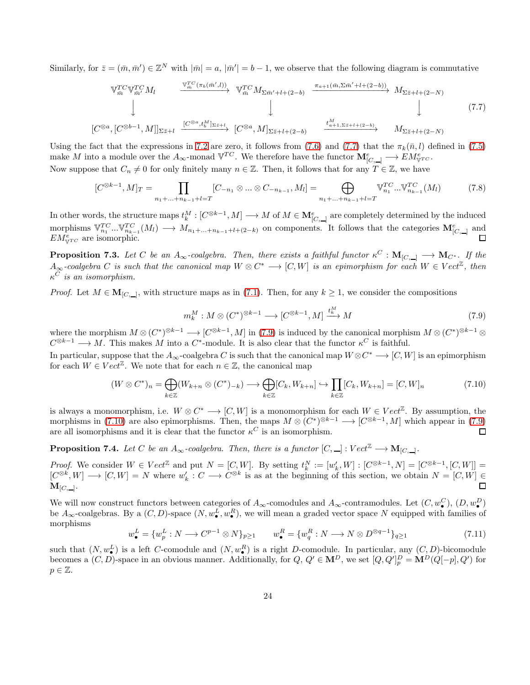Similarly, for  $\bar{z} = (\bar{m}, \bar{m}') \in \mathbb{Z}^N$  with  $|\bar{m}| = a$ ,  $|\bar{m}'| = b - 1$ , we observe that the following diagram is commutative

<span id="page-23-0"></span>
$$
\begin{array}{ccccccccc}\n\mathbb{V}_{\bar{m}}^{TC} \mathbb{V}_{\bar{m}'}^{TC} M_l & \xrightarrow{\mathbb{V}_{\bar{m}}^{TC} (\pi_b(\bar{m}',l))} & \mathbb{V}_{\bar{m}}^{TC} M_{\Sigma \bar{m}'+l+(2-b)} & \xrightarrow{\pi_{a+1}(\bar{m}, \Sigma \bar{m}'+l+(2-b))} & M_{\Sigma \bar{z}+l+(2-N)} \\
\downarrow & & & \downarrow & & \downarrow & & \downarrow & & (7.7) \\
[C^{\otimes a}, [C^{\otimes b-1}, M]]_{\Sigma \bar{z}+l} & \xrightarrow{[C^{\otimes a}, t_b^M]_{\Sigma \bar{z}+l}} & [C^{\otimes a}, M]_{\Sigma \bar{z}+l+(2-b)} & \xrightarrow{t_{a+1, \Sigma \bar{z}+l+(2-b)}} & M_{\Sigma \bar{z}+l+(2-N)}\n\end{array}
$$

Using the fact that the expressions in [7.2](#page-22-1) are zero, it follows from [\(7.6\)](#page-22-2) and [\(7.7\)](#page-23-0) that the  $\pi_k(\bar{n}, l)$  defined in [\(7.5\)](#page-22-3) make M into a module over the  $A_{\infty}$ -monad  $\mathbb{V}^{TC}$ . We therefore have the functor  $\mathbf{M}_{[C,\_\]}^e \longrightarrow EM_{\mathbb{V}^{TC}}^e$ . Now suppose that  $C_n \neq 0$  for only finitely many  $n \in \mathbb{Z}$ . Then, it follows that for any  $T \in \mathbb{Z}$ , we have

$$
[C^{\otimes k-1}, M]_T = \prod_{n_1 + \dots + n_{k-1} + l = T} [C_{-n_1} \otimes \dots \otimes C_{-n_{k-1}}, M_l] = \bigoplus_{n_1 + \dots + n_{k-1} + l = T} \mathbb{V}_{n_1}^{TC} \dots \mathbb{V}_{n_{k-1}}^{TC} (M_l)
$$
(7.8)

In other words, the structure maps  $t_k^M: [C^{\otimes k-1}, M] \longrightarrow M$  of  $M \in \mathbf{M}_{[C, -]}^e$  are completely determined by the induced morphisms  $\mathbb{V}_{n_1}^{TC} \dots \mathbb{V}_{n_{k-1}}^{TC}(M_l) \longrightarrow M_{n_1+\dots+n_{k-1}+l+(2-k)}$  on components. It follows that the categories  $\mathbf{M}_{[C,\perp]}^e$  and  $EM_{\mathbb{V}^{TC}}^e$  are isomorphic.

**Proposition 7.3.** Let C be an  $A_{\infty}$ -coalgebra. Then, there exists a faithful functor  $\kappa^C : M_{[C,\_]} \longrightarrow M_{C^*}$ . If the  $A_{\infty}$ -coalgebra C is such that the canonical map  $W \otimes C^* \longrightarrow [C, W]$  is an epimorphism for each  $W \in Vect^{\mathbb{Z}}$ , then κ <sup>C</sup> *is an isomorphism.*

*Proof.* Let  $M \in \mathbf{M}_{[C,\_\]}$ , with structure maps as in [\(7.1\)](#page-22-4). Then, for any  $k \geq 1$ , we consider the compositions

<span id="page-23-1"></span>
$$
m_k^M: M \otimes (C^*)^{\otimes k-1} \longrightarrow [C^{\otimes k-1}, M] \xrightarrow{t_k^M} M \tag{7.9}
$$

where the morphism  $M \otimes (C^*)^{\otimes k-1} \longrightarrow [C^{\otimes k-1}, M]$  in [\(7.9\)](#page-23-1) is induced by the canonical morphism  $M \otimes (C^*)^{\otimes k-1} \otimes$  $C^{\otimes k-1} \longrightarrow M$ . This makes M into a  $C^*$ -module. It is also clear that the functor  $\kappa^C$  is faithful.

In particular, suppose that the  $A_{\infty}$ -coalgebra C is such that the canonical map  $W \otimes C^* \longrightarrow [C, W]$  is an epimorphism for each  $W \in Vect^{\mathbb{Z}}$ . We note that for each  $n \in \mathbb{Z}$ , the canonical map

<span id="page-23-2"></span>
$$
(W \otimes C^*)_n = \bigoplus_{k \in \mathbb{Z}} (W_{k+n} \otimes (C^*)_{-k}) \longrightarrow \bigoplus_{k \in \mathbb{Z}} [C_k, W_{k+n}] \hookrightarrow \prod_{k \in \mathbb{Z}} [C_k, W_{k+n}] = [C, W]_n
$$
\n(7.10)

is always a monomorphism, i.e.  $W \otimes C^* \longrightarrow [C, W]$  is a monomorphism for each  $W \in Vect^{\mathbb{Z}}$ . By assumption, the morphisms in [\(7.10\)](#page-23-2) are also epimorphisms. Then, the maps  $M \otimes (C^*)^{\otimes k-1} \longrightarrow [C^{\otimes k-1}, M]$  which appear in [\(7.9\)](#page-23-1) are all isomorphisms and it is clear that the functor  $\kappa^C$  is an isomorphism.  $\Box$ 

**Proposition 7.4.** Let C be an  $A_{\infty}$ -coalgebra. Then, there is a functor  $[C, \_]: Vect^{\mathbb{Z}} \longrightarrow M_{[C, \_]}.$ 

*Proof.* We consider  $W \in Vect^{\mathbb{Z}}$  and put  $N = [C, W]$ . By setting  $t_k^N := [w'_k, W] : [C^{\otimes k-1}, N] = [C^{\otimes k-1}, [C, W]] =$  $[C^{\otimes k}, W] \longrightarrow [C, W] = N$  where  $w'_k : C \longrightarrow C^{\otimes k}$  is as at the beginning of this section, we obtain  $N = [C, W] \in$  $\mathbf{M}_{[C,\_\]}$ . п

We will now construct functors between categories of  $A_{\infty}$ -comodules and  $A_{\infty}$ -contramodules. Let  $(C, w_{\bullet}^C), (D, w_{\bullet}^D)$ be  $A_{\infty}$ -coalgebras. By a  $(C, D)$ -space  $(N, w_{\bullet}^L, w_{\bullet}^R)$ , we will mean a graded vector space N equipped with families of morphisms

$$
w_{\bullet}^{L} = \{w_{p}^{L}: N \longrightarrow C^{p-1} \otimes N\}_{p \ge 1} \qquad w_{\bullet}^{R} = \{w_{q}^{R}: N \longrightarrow N \otimes D^{\otimes q-1}\}_{q \ge 1}
$$
(7.11)

such that  $(N, w_{\bullet}^{L})$  is a left C-comodule and  $(N, w_{\bullet}^{R})$  is a right D-comodule. In particular, any  $(C, D)$ -bicomodule becomes a  $(C, D)$ -space in an obvious manner. Additionally, for  $Q, Q' \in M^D$ , we set  $[Q, Q']_p^D = M^D(Q[-p], Q')$  for  $p \in \mathbb{Z}$ .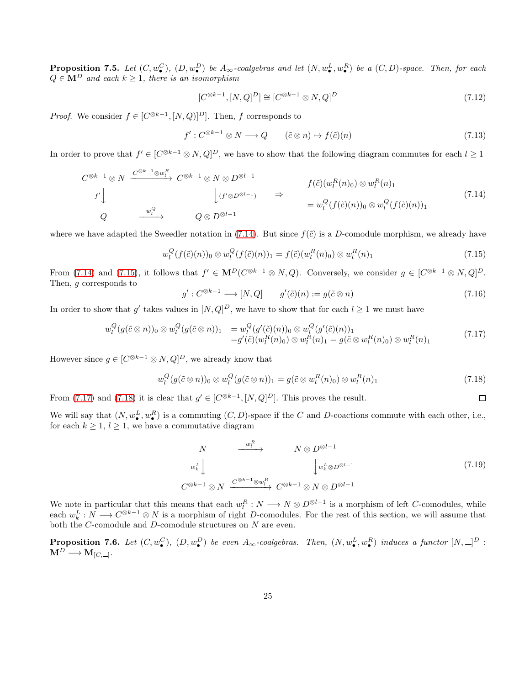<span id="page-24-4"></span>**Proposition 7.5.** Let  $(C, w_{\bullet}^C)$ ,  $(D, w_{\bullet}^D)$  be  $A_{\infty}$ -coalgebras and let  $(N, w_{\bullet}^L, w_{\bullet}^R)$  be a  $(C, D)$ -space. Then, for each  $Q \in \mathbf{M}^D$  and each  $k \geq 1$ , there is an isomorphism

$$
[C^{\otimes k-1}, [N, Q]^D] \cong [C^{\otimes k-1} \otimes N, Q]^D
$$
\n
$$
(7.12)
$$

*Proof.* We consider  $f \in [C^{\otimes k-1}, [N, Q)]^D$ . Then, f corresponds to

$$
f': C^{\otimes k-1} \otimes N \longrightarrow Q \qquad (\tilde{c} \otimes n) \mapsto f(\tilde{c})(n) \tag{7.13}
$$

In order to prove that  $f' \in [C^{\otimes k-1} \otimes N, Q]^D$ , we have to show that the following diagram commutes for each  $l \geq 1$ 

<span id="page-24-0"></span>
$$
C^{\otimes k-1} \otimes N \xrightarrow{C^{\otimes k-1} \otimes w_i^R} C^{\otimes k-1} \otimes N \otimes D^{\otimes l-1}
$$
\n
$$
f(\tilde{c})(w_i^R(n)_0) \otimes w_i^R(n)_1
$$
\n
$$
Q \xrightarrow{w_i^Q} Q \otimes D^{\otimes l-1}
$$
\n
$$
f(\tilde{c})(w_i^R(n)_0) \otimes w_i^R(n)_1
$$
\n
$$
= w_i^Q(f(\tilde{c})(n))_0 \otimes w_i^Q(f(\tilde{c})(n))_1
$$
\n
$$
(7.14)
$$

where we have adapted the Sweedler notation in [\(7.14\)](#page-24-0). But since  $f(\tilde{c})$  is a D-comodule morphism, we already have

<span id="page-24-1"></span>
$$
w_l^Q(f(\tilde{c})(n))_0 \otimes w_l^Q(f(\tilde{c})(n))_1 = f(\tilde{c})(w_l^R(n)_0) \otimes w_l^R(n)_1
$$
\n(7.15)

From [\(7.14\)](#page-24-0) and [\(7.15\)](#page-24-1), it follows that  $f' \in M^D(C^{\otimes k-1} \otimes N, Q)$ . Conversely, we consider  $g \in [C^{\otimes k-1} \otimes N, Q]^D$ . Then, g corresponds to

$$
g': C^{\otimes k-1} \longrightarrow [N, Q] \qquad g'(\tilde{c})(n) := g(\tilde{c} \otimes n) \tag{7.16}
$$

In order to show that g' takes values in  $[N,Q]^D$ , we have to show that for each  $l \geq 1$  we must have

<span id="page-24-2"></span>
$$
w_l^Q(g(\tilde{c}\otimes n))_0 \otimes w_l^Q(g(\tilde{c}\otimes n))_1 = w_l^Q(g'(\tilde{c})(n))_0 \otimes w_l^Q(g'(\tilde{c})(n))_1 = g'(\tilde{c})(w_l^R(n)_0) \otimes w_l^R(n)_1 = g(\tilde{c}\otimes w_l^R(n)_0) \otimes w_l^R(n)_1
$$
(7.17)

However since  $g \in [C^{\otimes k-1} \otimes N, Q]^D$ , we already know that

<span id="page-24-3"></span>
$$
w_l^Q(g(\tilde{c}\otimes n))_0\otimes w_l^Q(g(\tilde{c}\otimes n))_1=g(\tilde{c}\otimes w_l^R(n)_0)\otimes w_l^R(n)_1\tag{7.18}
$$

From [\(7.17\)](#page-24-2) and [\(7.18\)](#page-24-3) it is clear that  $g' \in [C^{\otimes k-1}, [N, Q]^D]$ . This proves the result.

We will say that  $(N, w_{\bullet}^L, w_{\bullet}^R)$  is a commuting  $(C, D)$ -space if the C and D-coactions commute with each other, i.e., for each  $k \geq 1$ ,  $l \geq 1$ , we have a commutative diagram

$$
N \longrightarrow N \otimes D^{\otimes l-1}
$$
  
\n
$$
w_k^L \downarrow \qquad \qquad \downarrow w_k^L \otimes D^{\otimes l-1}
$$
  
\n
$$
C^{\otimes k-1} \otimes N \xrightarrow{C^{\otimes k-1} \otimes w_l^R} C^{\otimes k-1} \otimes N \otimes D^{\otimes l-1}
$$
  
\n(7.19)

 $\Box$ 

We note in particular that this means that each  $w_l^R: N \to N \otimes D^{\otimes l-1}$  is a morphism of left C-comodules, while each  $w_k^L: N \longrightarrow C^{\otimes k-1} \otimes N$  is a morphism of right D-comodules. For the rest of this section, we will assume that both the C-comodule and D-comodule structures on N are even.

**Proposition 7.6.** Let  $(C, w_{\bullet}^C)$ ,  $(D, w_{\bullet}^D)$  be even  $A_{\infty}$ -coalgebras. Then,  $(N, w_{\bullet}^L, w_{\bullet}^R)$  induces a functor  $[N, \_\_]^D$ :  $\mathbf{M}^D \longrightarrow \mathbf{M}_{[C,\_\_]}.$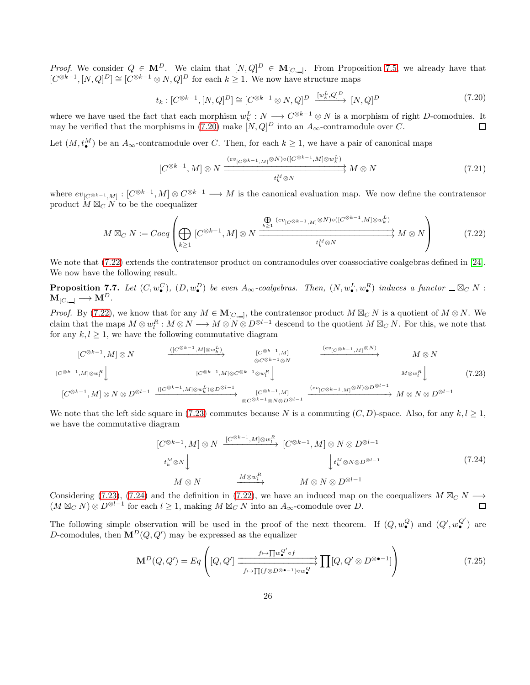*Proof.* We consider  $Q \in M^D$ . We claim that  $[N,Q]^D \in M_{[C,\_]}$ . From Proposition [7.5,](#page-24-4) we already have that  $[C^{\otimes k-1}, [N, Q]^D] \cong [C^{\otimes k-1} \otimes N, Q]^D$  for each  $k \geq 1$ . We now have structure maps

<span id="page-25-1"></span>
$$
t_k : [C^{\otimes k-1}, [N, Q]^D] \cong [C^{\otimes k-1} \otimes N, Q]^D \xrightarrow{[w_k^L, Q]^D} [N, Q]^D
$$
\n
$$
(7.20)
$$

where we have used the fact that each morphism  $w_k^L : N \longrightarrow C^{\otimes k-1} \otimes N$  is a morphism of right D-comodules. It may be verified that the morphisms in [\(7.20\)](#page-25-1) make  $[N,Q]^D$  into an  $A_{\infty}$ -contramodule over C.

Let  $(M, t_{\bullet}^{M})$  be an  $A_{\infty}$ -contramodule over C. Then, for each  $k \geq 1$ , we have a pair of canonical maps

$$
[C^{\otimes k-1}, M] \otimes N \xrightarrow{\underbrace{(ev_{[C^{\otimes k-1}, M]} \otimes N) \circ ([C^{\otimes k-1}, M] \otimes w_k^L)}_{t_k^M \otimes N}} M \otimes N \qquad (7.21)
$$

where  $ev_{[C\otimes k-1,M]} : [C^{\otimes k-1}, M] \otimes C^{\otimes k-1} \longrightarrow M$  is the canonical evaluation map. We now define the contratensor product  $M \boxtimes_C N$  to be the coequalizer

<span id="page-25-0"></span>
$$
M \boxtimes_C N := Coeq\left(\bigoplus_{k \ge 1} [C^{\otimes k-1}, M] \otimes N \xrightarrow{\bigoplus_{k \ge 1} (ev_{[C^{\otimes k-1}, M]} \otimes N) \circ ([C^{\otimes k-1}, M] \otimes w_k^L)} M \otimes N \right) \tag{7.22}
$$

We note that  $(7.22)$  extends the contratensor product on contramodules over coassociative coalgebras defined in [\[24\]](#page-29-13). We now have the following result.

**Proposition 7.7.** Let  $(C, w_{\bullet}^C)$ ,  $(D, w_{\bullet}^D)$  be even  $A_{\infty}$ -coalgebras. Then,  $(N, w_{\bullet}^L, w_{\bullet}^R)$  induces a functor  $\Box \boxtimes_C N$ :  $M_{[C,\_\]} \longrightarrow M^D.$ 

*Proof.* By [\(7.22\)](#page-25-0), we know that for any  $M \in M_{[C,\_]}$ , the contratensor product  $M \boxtimes_C N$  is a quotient of  $M \otimes N$ . We claim that the maps  $M \otimes w_l^R : M \otimes N \longrightarrow M \otimes N \otimes D^{\otimes l-1}$  descend to the quotient  $M \boxtimes_C N$ . For this, we note that for any  $k, l \geq 1$ , we have the following commutative diagram

<span id="page-25-2"></span>
$$
[C^{\otimes k-1}, M] \otimes N \xrightarrow{\left([C^{\otimes k-1}, M] \otimes w_k^L\right)} \qquad [C^{\otimes k-1}, M] \xrightarrow{\otimes C^{\otimes k-1} \otimes N} \qquad \xrightarrow{\left([C^{\otimes k-1}, M] \otimes w_k^R\right)} \qquad M \otimes N
$$
  

$$
[C^{\otimes k-1}, M] \otimes w_l^R \downarrow \qquad \qquad [C^{\otimes k-1}, M] \otimes C^{\otimes k-1} \otimes w_l^R \downarrow \qquad \qquad M \otimes w_l^R \downarrow \qquad \qquad M \otimes N
$$
  

$$
[C^{\otimes k-1}, M] \otimes N \otimes D^{\otimes l-1} \xrightarrow{\left([C^{\otimes k-1}, M] \otimes w_k^L\right) \otimes D^{\otimes l-1}} \qquad \xrightarrow{\left([C^{\otimes k-1}, M] \otimes N\right) \otimes D^{\otimes l-1}} \qquad M \otimes N \otimes D^{\otimes l-1}
$$
  

$$
\xrightarrow{\left([C^{\otimes k-1}, M] \otimes N\right) \otimes D^{\otimes l-1}} \qquad \xrightarrow{\left([C^{\otimes k-1}, M] \otimes w_k^R\right) \otimes D^{\otimes l-1}} \qquad \xrightarrow{\left([C^{\otimes k-1}, M] \otimes N\right) \otimes D^{\otimes l-1}} \qquad \qquad (7.23)
$$

We note that the left side square in [\(7.23\)](#page-25-2) commutes because N is a commuting  $(C, D)$ -space. Also, for any  $k, l \geq 1$ , we have the commutative diagram

<span id="page-25-3"></span>
$$
[C^{\otimes k-1}, M] \otimes N \xrightarrow{[C^{\otimes k-1}, M] \otimes w_l^R} [C^{\otimes k-1}, M] \otimes N \otimes D^{\otimes l-1}
$$
  
\n
$$
t_k^M \otimes N \downarrow \qquad \qquad \downarrow t_k^M \otimes N \otimes D^{\otimes l-1}
$$
  
\n
$$
M \otimes N \xrightarrow{M \otimes w_l^R} M \otimes N \otimes D^{\otimes l-1}
$$
\n
$$
(7.24)
$$

Considering [\(7.23\)](#page-25-2), [\(7.24\)](#page-25-3) and the definition in [\(7.22\)](#page-25-0), we have an induced map on the coequalizers  $M \boxtimes_C N \longrightarrow$  $(M \boxtimes_C N) \otimes D^{\otimes l-1}$  for each  $l \geq 1$ , making  $M \boxtimes_C N$  into an  $A_\infty$ -comodule over D.

The following simple observation will be used in the proof of the next theorem. If  $(Q, w_{\bullet}^Q)$  and  $(Q', w_{\bullet}^Q')$  are D-comodules, then  $\mathbf{M}^D(Q, Q')$  may be expressed as the equalizer

<span id="page-25-4"></span>
$$
\mathbf{M}^{D}(Q,Q') = Eq \left( [Q,Q'] \xrightarrow[f \mapsto \prod_{\mathcal{U} \otimes D^{\otimes \bullet-1} \ni ow_{\bullet}^{Q}} \prod [Q,Q' \otimes D^{\otimes \bullet-1}] \right)
$$
(7.25)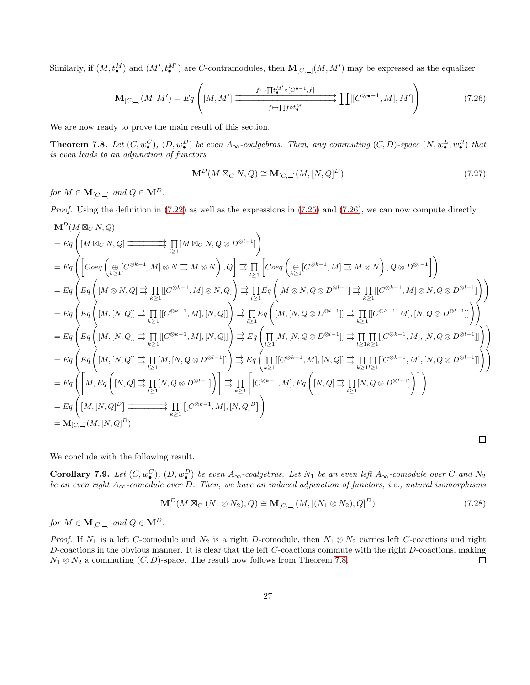Similarly, if  $(M, t_{\bullet}^M)$  and  $(M', t_{\bullet}^{M'})$  are C-contramodules, then  $M_{[C, \_]}(M, M')$  may be expressed as the equalizer

<span id="page-26-1"></span>
$$
\mathbf{M}_{[C,\_]}(M,M') = Eq \left( [M,M'] \xrightarrow{f \mapsto \prod t_{\bullet}^{M'} \circ [C^{\bullet-1},f]} \prod [ [C^{\otimes \bullet-1},M],M'] \right) \tag{7.26}
$$

We are now ready to prove the main result of this section.

<span id="page-26-0"></span>**Theorem 7.8.** Let  $(C, w_{\bullet}^C), (D, w_{\bullet}^D)$  be even  $A_{\infty}$ -coalgebras. Then, any commuting  $(C, D)$ -space  $(N, w_{\bullet}^L, w_{\bullet}^R)$  that *is even leads to an adjunction of functors*

$$
\mathbf{M}^{D}(M \boxtimes_{C} N,Q) \cong \mathbf{M}_{[C,\perp]}(M,[N,Q]^{D})
$$
\n(7.27)

*for*  $M \in \mathbf{M}_{[C,\_\]}$  *and*  $Q \in \mathbf{M}^D$ *.* 

*Proof.* Using the definition in [\(7.22\)](#page-25-0) as well as the expressions in [\(7.25\)](#page-25-4) and [\(7.26\)](#page-26-1), we can now compute directly

$$
\begin{split} &\mathbf{M}^D(M\boxtimes_{C} N,Q)\\ &=Eq\left([M\boxtimes_{C} N,Q)\xrightarrow{\hspace{1cm}}\prod_{l\geq 1}[M\boxtimes_{C} N,Q\otimes D^{\otimes l-1}]\right)\\ &=Eq\left(\left[Coeq\left(\underset{k\geq 1}{\underset{k\geq 1}{\oplus}}[C^{\otimes k-1},M]\otimes N\xrightarrow{\hspace{1cm}}M\otimes N\right),Q\right]\xrightarrow{\hspace{1cm}}\prod_{l\geq 1}\left[Coeq\left(\underset{k\geq 1}{\underset{k\geq 1}{\oplus}}[C^{\otimes k-1},M]\xrightarrow{\hspace{1cm}}M\otimes N\right),Q\otimes D^{\otimes l-1}\right]\right)\\ &=Eq\left(Eq\left([M\otimes N,Q]\xrightarrow{\hspace{1cm}}\prod_{k\geq 1}[C^{\otimes k-1},M]\otimes N,Q]\right)\xrightarrow{\hspace{1cm}}\prod_{l\geq 1}Eq\left([M\otimes N,Q\otimes D^{\otimes l-1}]\xrightarrow{\hspace{1cm}}\prod_{k\geq 1}[(C^{\otimes k-1},M]\otimes N,Q\otimes D^{\otimes l-1}]\right)\right)\\ &=Eq\left(Eq\left([M,[N,Q]]\xrightarrow{\hspace{1cm}}\prod_{k\geq 1}[(C^{\otimes k-1},M],[N,Q]]\right)\xrightarrow{\hspace{1cm}}\prod_{l\geq 1}Eq\left([M,[N,Q\otimes D^{\otimes l-1}]]\xrightarrow{\hspace{1cm}}\prod_{k\geq 1}[(C^{\otimes k-1},M],[N,Q\otimes D^{\otimes l-1}]]\right)\right)\\ &=Eq\left(Eq\left([M,[N,Q]]\xrightarrow{\hspace{1cm}}\prod_{k\geq 1}[(C^{\otimes k-1},M],[N,Q]]\right)\xrightarrow{\hspace{1cm}}\prod_{l\geq 1}Eq\left([M,[N,Q\otimes D^{\otimes l-1}]]\xrightarrow{\hspace{1cm}}\prod_{l\geq 1}[[C^{\otimes k-1},M],[N,Q\otimes D^{\otimes l-1}]]\right)\right)\\ &=Eq\left(Eq\left([M,[N,Q]]\xrightarrow{\hspace{1cm}}\prod_{l\geq 1}[M,[N,Q\otimes D^{\otimes l-1}]]\right)\xrightarrow{\hspace{1cm}}\prod_{k\geq
$$

We conclude with the following result.

**Corollary 7.9.** Let  $(C, w_{\bullet}^C)$ ,  $(D, w_{\bullet}^D)$  be even  $A_{\infty}$ -coalgebras. Let  $N_1$  be an even left  $A_{\infty}$ -comodule over C and  $N_2$ *be an even right* A∞*-comodule over* D*. Then, we have an induced adjunction of functors, i.e., natural isomorphisms*

$$
\mathbf{M}^{D}(M \boxtimes_{C} (N_{1} \otimes N_{2}), Q) \cong \mathbf{M}_{[C, \_]}(M, [(N_{1} \otimes N_{2}), Q]^{D})
$$
\n(7.28)

 $\Box$ 

*for*  $M \in \mathbf{M}_{[C,\_\]}$  *and*  $Q \in \mathbf{M}^D$ *.* 

*Proof.* If  $N_1$  is a left C-comodule and  $N_2$  is a right D-comodule, then  $N_1 \otimes N_2$  carries left C-coactions and right D-coactions in the obvious manner. It is clear that the left C-coactions commute with the right D-coactions, making  $N_1 \otimes N_2$  a commuting  $(C, D)$ -space. The result now follows from Theorem [7.8.](#page-26-0)  $\Box$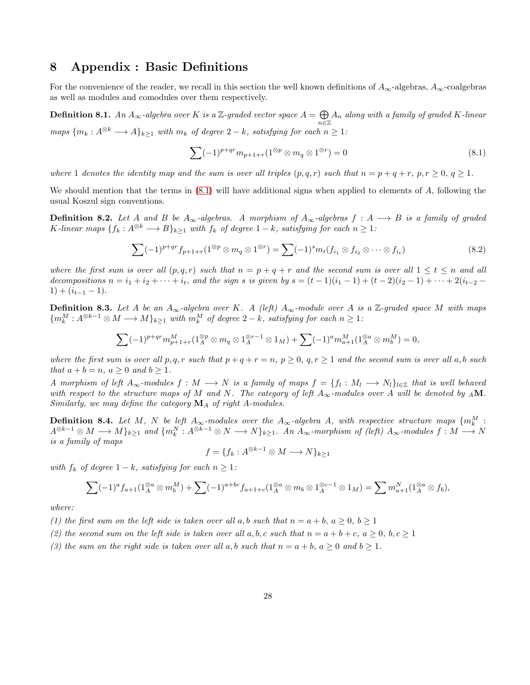### <span id="page-27-0"></span>8 Appendix : Basic Definitions

For the convenience of the reader, we recall in this section the well known definitions of  $A_{\infty}$ -algebras,  $A_{\infty}$ -coalgebras as well as modules and comodules over them respectively.

<span id="page-27-1"></span>Definition 8.1. *An*  $A_{\infty}$ -algebra over *K* is a  $\mathbb{Z}$ -graded vector space  $A = \bigoplus$  $\bigoplus_{n\in\mathbb{Z}}A_n$  along with a family of graded K-linear *maps*  ${m_k : A^{\otimes k} \longrightarrow A}_{k>1}$  *with*  $m_k$  *of degree*  $2 - k$ *, satisfying for each*  $n \geq 1$ *:* 

<span id="page-27-2"></span>
$$
\sum (-1)^{p+qr} m_{p+1+r} (1^{\otimes p} \otimes m_q \otimes 1^{\otimes r}) = 0 \tag{8.1}
$$

*where* 1 *denotes the identity map and the sum is over all triples*  $(p, q, r)$  *such that*  $n = p + q + r$ *,*  $p, r \ge 0, q \ge 1$ *.* 

We should mention that the terms in  $(8.1)$  will have additional signs when applied to elements of  $A$ , following the usual Koszul sign conventions.

<span id="page-27-4"></span>**Definition 8.2.** Let A and B be  $A_{\infty}$ -algebras. A morphism of  $A_{\infty}$ -algebras  $f : A \longrightarrow B$  is a family of graded K-linear maps  $\{f_k: A^{\otimes k} \longrightarrow B\}_{k\geq 1}$  *with*  $f_k$  *of degree*  $1-k$ *, satisfying for each*  $n \geq 1$ *:* 

$$
\sum (-1)^{p+qr} f_{p+1+r} (1^{\otimes p} \otimes m_q \otimes 1^{\otimes r}) = \sum (-1)^s m_t (f_{i_1} \otimes f_{i_2} \otimes \cdots \otimes f_{i_t})
$$
\n(8.2)

*where the first sum is over all*  $(p, q, r)$  *such that*  $n = p + q + r$  *and the second sum is over all*  $1 \le t \le n$  *and all decompositions*  $n = i_1 + i_2 + \cdots + i_t$ , and the sign s is given by  $s = (t - 1)(i_1 - 1) + (t - 2)(i_2 - 1) + \cdots + 2(i_{t-2} - 1)$  $1) + (i_{t-1} - 1).$ 

<span id="page-27-3"></span>**Definition 8.3.** Let A be an  $A_{\infty}$ -algebra over K. A (left)  $A_{\infty}$ -module over A is a  $\mathbb{Z}$ -graded space M with maps  ${m_k^M : A^{\otimes k-1} \otimes M \longrightarrow M}_{k \geq 1}$  *with*  $m_k^M$  *of degree*  $2 - k$ *, satisfying for each*  $n \geq 1$ *:* 

$$
\sum (-1)^{p+qr} m_{p+1+r}^M (1_A^{\otimes p} \otimes m_q \otimes 1_A^{\otimes r-1} \otimes 1_M) + \sum (-1)^a m_{a+1}^M (1_A^{\otimes a} \otimes m_b^M) = 0,
$$

*where the first sum is over all* p, q, r *such that*  $p + q + r = n$ ,  $p \ge 0$ ,  $q, r \ge 1$  *and the second sum is over all* a, b *such that*  $a + b = n$ *,*  $a \ge 0$  *and*  $b \ge 1$ *.* 

*A* morphism of left  $A_\infty$ -modules  $f : M \longrightarrow N$  is a family of maps  $f = \{f_l : M_l \longrightarrow N_l\}_{l \in \mathbb{Z}}$  that is well behaved *with respect to the structure maps of* M *and* N. The category of left  $A_{\infty}$ -modules over A will be denoted by <sub>A</sub>M. *Similarly, we may define the category* M<sup>A</sup> *of right* A*-modules.*

**Definition 8.4.** Let M, N be left  $A_{\infty}$ -modules over the  $A_{\infty}$ -algebra A, with respective structure maps  $\{m_k^M:$  $A^{\otimes k-1}\otimes M \longrightarrow M\}_{k\geq 1}$  and  $\{m_k^N: A^{\otimes k-1}\otimes N \longrightarrow N\}_{k\geq 1}$ . An  $A_\infty$ -morphism of (left)  $A_\infty$ -modules  $f: M \longrightarrow N$ *is a family of maps*

$$
f = \{ f_k : A^{\otimes k-1} \otimes M \longrightarrow N \}_{k \ge 1}
$$

*with*  $f_k$  *of degree*  $1 - k$ *, satisfying for each*  $n \geq 1$ *:* 

$$
\sum (-1)^{a} f_{a+1}(1_A^{\otimes a} \otimes m_b^M) + \sum (-1)^{a+bc} f_{a+1+c}(1_A^{\otimes a} \otimes m_b \otimes 1_A^{\otimes c-1} \otimes 1_M) = \sum m_{a+1}^N (1_A^{\otimes a} \otimes f_b),
$$

*where:*

*(1) the first sum on the left side is taken over all a, b such that*  $n = a + b$ ,  $a \ge 0$ ,  $b \ge 1$ 

(2) the second sum on the left side is taken over all a, b, c such that  $n = a + b + c$ ,  $a > 0$ ,  $b, c > 1$ 

*(3) the sum on the right side is taken over all*  $a, b$  *such that*  $n = a + b, a \ge 0$  *and*  $b \ge 1$ *.*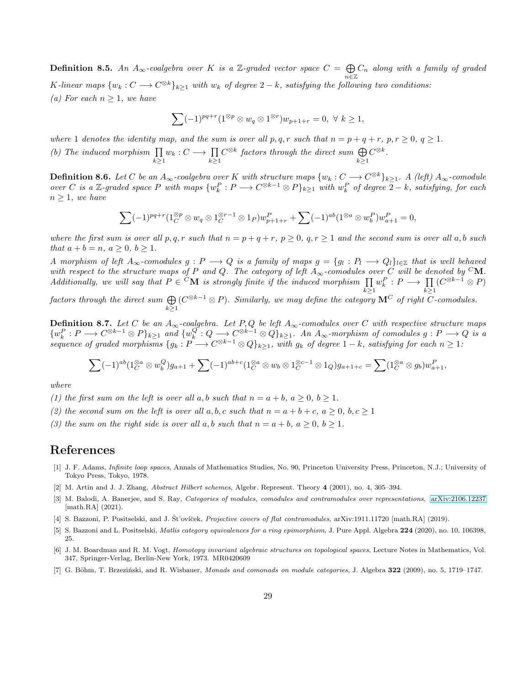<span id="page-28-7"></span>**Definition 8.5.** An  $A_{\infty}$ -coalgebra over K is a Z-graded vector space  $C = \bigoplus$  $\bigoplus_{n\in\mathbb{Z}}C_n$  along with a family of graded K-linear maps  $\{w_k : C \longrightarrow C^{\otimes k}\}_{k\geq 1}$  with  $w_k$  of degree  $2-k$ , satisfying the following two conditions: *(a)* For each  $n \geq 1$ *, we have* 

$$
\sum (-1)^{pq+r} (1^{\otimes p} \otimes w_q \otimes 1^{\otimes r}) w_{p+1+r} = 0, \ \forall \ k \ge 1,
$$

*where* 1 *denotes the identity map, and the sum is over all*  $p, q, r$  *such that*  $n = p + q + r$ *,*  $p, r \ge 0$ *,*  $q \ge 1$ *.*  $(b)$  The induced morphism  $\prod$  $\prod_{k\geq 1} w_k : C \longrightarrow \prod_{k\geq 1}$  $C^{\otimes k}$  factors through the direct sum  $\bigoplus$  $k \geq 1$  $C^{\otimes k}$ .

<span id="page-28-8"></span> $\textbf{Definition 8.6.} \ \textit{Let} \ C \ \textit{be an} \ A_\infty\textit{-coalgebra over } K \ \textit{with structure maps} \ \{w_k: C \longrightarrow C^{\otimes k}\}_{k\geq 1}.\ \ A \ \textit{(left)} \ A_\infty\textit{-comodule} \$ *over* C is a Z-graded space P with maps  $\{w_k^P : P \longrightarrow C^{\otimes k-1} \otimes P\}_{k \ge 1}$  with  $w_k^P$  of degree  $\overline{2} - k$ , satisfying, for each  $n \geq 1$ *, we have* 

$$
\sum (-1)^{pq+r} (1_C^{\otimes p} \otimes w_q \otimes 1_C^{\otimes r-1} \otimes 1_P) w_{p+1+r}^P + \sum (-1)^{ab} (1^{\otimes a} \otimes w_b^P) w_{a+1}^P = 0,
$$

*where the first sum is over all* p, q, r *such that*  $n = p + q + r$ ,  $p \ge 0$ ,  $q, r \ge 1$  *and the second sum is over all a,b such that*  $a + b = n$ ,  $a > 0$ ,  $b > 1$ .

*A morphism of left*  $A_\infty$ -comodules  $g: P \longrightarrow Q$  is a family of maps  $g = \{g_l: P_l \longrightarrow Q_l\}_{l \in \mathbb{Z}}$  that is well behaved *with respect to the structure maps of* P *and* Q. The category of left  $A_{\infty}$ -comodules over C *will be denoted by* <sup>C</sup>M. *Additionally, we will say that*  $P \in {}^{C}\mathbf{M}$  *is strongly finite if the induced morphism*  $\prod$  $k \geq 1$  $w_k^P: P \longrightarrow \prod$  $k \geq 1$  $(C^{\otimes k-1} \otimes P)$ 

factors through the direct sum  $\bigoplus$  $k \geq 1$ (C <sup>⊗</sup>k−<sup>1</sup> ⊗ P)*. Similarly, we may define the category* M<sup>C</sup> *of right* C*-comodules.*

Definition 8.7. *Let* C *be an* A∞*-coalgebra. Let* P, Q *be left* A∞*-comodules over* C *with respective structure maps*  $\{w_k^P: P \longrightarrow C^{\otimes k-1} \otimes P\}_{k \geq 1}$  and  $\{w_k^Q: Q \longrightarrow C^{\otimes k-1} \otimes Q\}_{k \geq 1}$ . An  $A_\infty$ -morphism of comodules  $g: P \longrightarrow Q$  is a *sequence of graded morphisms*  $\{g_k : P \longrightarrow C^{\otimes k-1} \otimes Q\}_{k \geq 1}$ , with  $g_k$  *of degree*  $1-k$ , satisfying for each  $n \geq 1$ :

$$
\sum (-1)^{ab} (1_C^{\otimes a} \otimes w_b^Q) g_{a+1} + \sum (-1)^{ab+c} (1_C^{\otimes a} \otimes w_b \otimes 1_C^{\otimes c-1} \otimes 1_Q) g_{a+1+c} = \sum (1_C^{\otimes a} \otimes g_b) w_{a+1}^P,
$$

*where*

*(1) the first sum on the left is over all a, b such that*  $n = a + b$ ,  $a \ge 0$ ,  $b \ge 1$ *.* 

(2) the second sum on the left is over all a, b, c such that  $n = a + b + c$ ,  $a > 0$ ,  $b, c > 1$ 

*(3) the sum on the right side is over all*  $a, b$  *such that*  $n = a + b, a \ge 0, b \ge 1$ *.* 

### References

- <span id="page-28-0"></span>[1] J. F. Adams, *Infinite loop spaces*, Annals of Mathematics Studies, No. 90, Princeton University Press, Princeton, N.J.; University of Tokyo Press, Tokyo, 1978.
- <span id="page-28-3"></span>[2] M. Artin and J. J. Zhang, Abstract Hilbert schemes, Algebr. Represent. Theory 4 (2001), no. 4, 305–394.
- <span id="page-28-4"></span>[3] M. Balodi, A. Banerjee, and S. Ray, Categories of modules, comodules and contramodules over representations, [arXiv:2106.12237](http://arxiv.org/abs/2106.12237) [math.RA] (2021).
- <span id="page-28-5"></span>[4] S. Bazzoni, P. Positselski, and J. Št'ovíček, Projective covers of flat contramodules, arXiv:1911.11720 [math.RA] (2019).
- <span id="page-28-6"></span>[5] S. Bazzoni and L. Positselski, *Matlis category equivalences for a ring epimorphism*, J. Pure Appl. Algebra 224 (2020), no. 10, 106398, 25.
- <span id="page-28-1"></span>[6] J. M. Boardman and R. M. Vogt, Homotopy invariant algebraic structures on topological spaces, Lecture Notes in Mathematics, Vol. 347, Springer-Verlag, Berlin-New York, 1973. MR0420609
- <span id="page-28-2"></span>[7] G. Böhm, T. Brzeziński, and R. Wisbauer, Monads and comonads on module categories, J. Algebra 322 (2009), no. 5, 1719–1747.